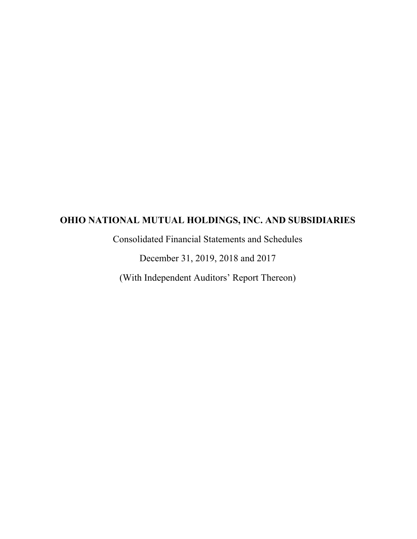Consolidated Financial Statements and Schedules

December 31, 2019, 2018 and 2017

(With Independent Auditors' Report Thereon)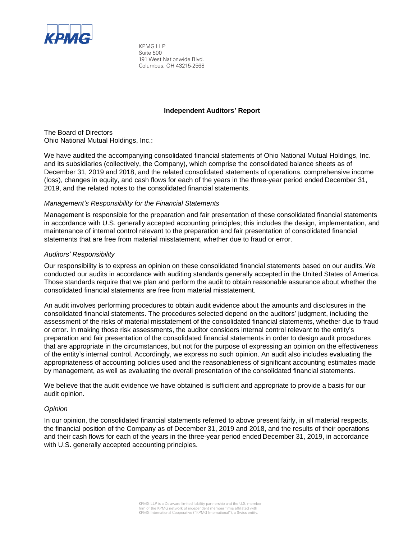

KPMG LLP Suite 500 191 West Nationwide Blvd. Columbus, OH 43215-2568

### **Independent Auditors' Report**

The Board of Directors Ohio National Mutual Holdings, Inc.:

We have audited the accompanying consolidated financial statements of Ohio National Mutual Holdings, Inc. and its subsidiaries (collectively, the Company), which comprise the consolidated balance sheets as of December 31, 2019 and 2018, and the related consolidated statements of operations, comprehensive income (loss), changes in equity, and cash flows for each of the years in the three-year period ended December 31, 2019, and the related notes to the consolidated financial statements.

#### *Management's Responsibility for the Financial Statements*

Management is responsible for the preparation and fair presentation of these consolidated financial statements in accordance with U.S. generally accepted accounting principles; this includes the design, implementation, and maintenance of internal control relevant to the preparation and fair presentation of consolidated financial statements that are free from material misstatement, whether due to fraud or error.

### *Auditors' Responsibility*

Our responsibility is to express an opinion on these consolidated financial statements based on our audits. We conducted our audits in accordance with auditing standards generally accepted in the United States of America. Those standards require that we plan and perform the audit to obtain reasonable assurance about whether the consolidated financial statements are free from material misstatement.

An audit involves performing procedures to obtain audit evidence about the amounts and disclosures in the consolidated financial statements. The procedures selected depend on the auditors' judgment, including the assessment of the risks of material misstatement of the consolidated financial statements, whether due to fraud or error. In making those risk assessments, the auditor considers internal control relevant to the entity's preparation and fair presentation of the consolidated financial statements in order to design audit procedures that are appropriate in the circumstances, but not for the purpose of expressing an opinion on the effectiveness of the entity's internal control. Accordingly, we express no such opinion. An audit also includes evaluating the appropriateness of accounting policies used and the reasonableness of significant accounting estimates made by management, as well as evaluating the overall presentation of the consolidated financial statements.

We believe that the audit evidence we have obtained is sufficient and appropriate to provide a basis for our audit opinion.

#### *Opinion*

In our opinion, the consolidated financial statements referred to above present fairly, in all material respects, the financial position of the Company as of December 31, 2019 and 2018, and the results of their operations and their cash flows for each of the years in the three-year period ended December 31, 2019, in accordance with U.S. generally accepted accounting principles.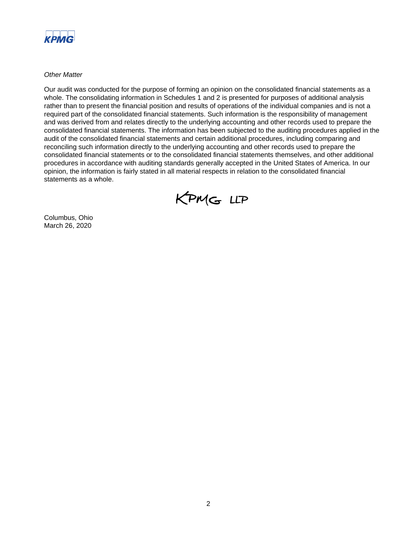

*Other Matter* 

Our audit was conducted for the purpose of forming an opinion on the consolidated financial statements as a whole. The consolidating information in Schedules 1 and 2 is presented for purposes of additional analysis rather than to present the financial position and results of operations of the individual companies and is not a required part of the consolidated financial statements. Such information is the responsibility of management and was derived from and relates directly to the underlying accounting and other records used to prepare the consolidated financial statements. The information has been subjected to the auditing procedures applied in the audit of the consolidated financial statements and certain additional procedures, including comparing and reconciling such information directly to the underlying accounting and other records used to prepare the consolidated financial statements or to the consolidated financial statements themselves, and other additional procedures in accordance with auditing standards generally accepted in the United States of America. In our opinion, the information is fairly stated in all material respects in relation to the consolidated financial statements as a whole.



Columbus, Ohio March 26, 2020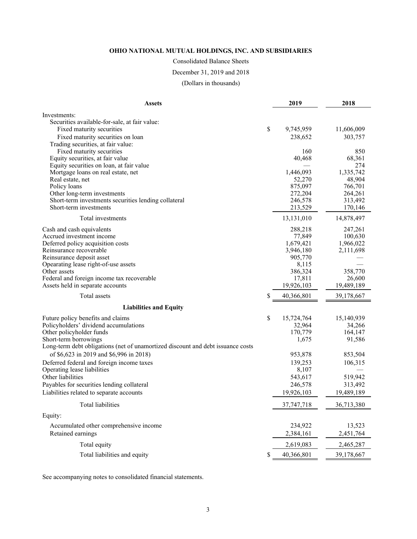# Consolidated Balance Sheets

### December 31, 2019 and 2018

(Dollars in thousands)

| <b>Assets</b>                                                                   |    | 2019       | 2018       |
|---------------------------------------------------------------------------------|----|------------|------------|
| Investments:                                                                    |    |            |            |
| Securities available-for-sale, at fair value:                                   |    |            |            |
| Fixed maturity securities                                                       | \$ | 9,745,959  | 11,606,009 |
| Fixed maturity securities on loan                                               |    | 238,652    | 303,757    |
| Trading securities, at fair value:                                              |    |            |            |
| Fixed maturity securities                                                       |    | 160        | 850        |
| Equity securities, at fair value                                                |    | 40,468     | 68,361     |
| Equity securities on loan, at fair value                                        |    |            | 274        |
| Mortgage loans on real estate, net                                              |    | 1,446,093  | 1,335,742  |
| Real estate, net                                                                |    | 52,270     | 48,904     |
| Policy loans                                                                    |    | 875,097    | 766,701    |
| Other long-term investments                                                     |    | 272,204    | 264,261    |
| Short-term investments securities lending collateral                            |    | 246,578    | 313,492    |
| Short-term investments                                                          |    | 213,529    | 170,146    |
|                                                                                 |    |            |            |
| Total investments                                                               |    | 13,131,010 | 14,878,497 |
| Cash and cash equivalents                                                       |    | 288,218    | 247,261    |
| Accrued investment income                                                       |    | 77,849     | 100,630    |
| Deferred policy acquisition costs                                               |    | 1,679,421  | 1,966,022  |
| Reinsurance recoverable                                                         |    | 3,946,180  | 2,111,698  |
| Reinsurance deposit asset                                                       |    | 905,770    |            |
| Opearating lease right-of-use assets                                            |    | 8,115      |            |
| Other assets                                                                    |    | 386,324    | 358,770    |
| Federal and foreign income tax recoverable                                      |    | 17,811     | 26,600     |
| Assets held in separate accounts                                                |    | 19,926,103 | 19,489,189 |
| Total assets                                                                    |    |            |            |
|                                                                                 | \$ | 40,366,801 | 39,178,667 |
| <b>Liabilities and Equity</b>                                                   |    |            |            |
| Future policy benefits and claims                                               | \$ | 15,724,764 | 15,140,939 |
| Policyholders' dividend accumulations                                           |    | 32,964     | 34,266     |
| Other policyholder funds                                                        |    | 170,779    | 164,147    |
| Short-term borrowings                                                           |    | 1,675      | 91,586     |
| Long-term debt obligations (net of unamortized discount and debt issuance costs |    |            |            |
| of \$6,623 in 2019 and \$6,996 in 2018)                                         |    | 953,878    | 853,504    |
| Deferred federal and foreign income taxes                                       |    | 139,253    | 106,315    |
| Operating lease liabilities                                                     |    | 8,107      |            |
| Other liabilities                                                               |    |            |            |
|                                                                                 |    | 543,617    | 519,942    |
| Payables for securities lending collateral                                      |    | 246,578    | 313,492    |
| Liabilities related to separate accounts                                        |    | 19,926,103 | 19,489,189 |
| Total liabilities                                                               |    | 37,747,718 | 36,713,380 |
| Equity:                                                                         |    |            |            |
| Accumulated other comprehensive income                                          |    | 234,922    | 13,523     |
| Retained earnings                                                               |    | 2,384,161  | 2,451,764  |
| Total equity                                                                    |    | 2,619,083  | 2,465,287  |
| Total liabilities and equity                                                    | S  | 40,366,801 | 39,178,667 |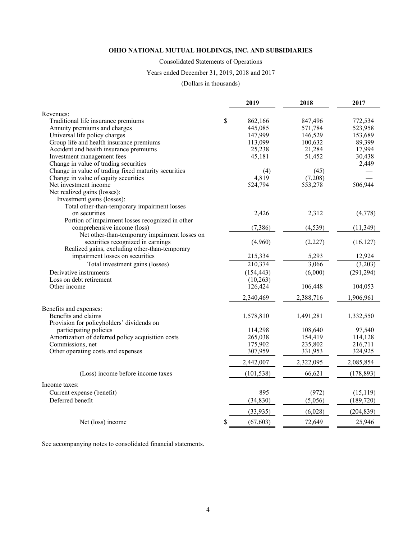# Consolidated Statements of Operations

# Years ended December 31, 2019, 2018 and 2017

### (Dollars in thousands)

|                                                      | 2019            | 2018      | 2017       |
|------------------------------------------------------|-----------------|-----------|------------|
| Revenues:                                            |                 |           |            |
| Traditional life insurance premiums                  | \$<br>862,166   | 847,496   | 772,534    |
| Annuity premiums and charges                         | 445,085         | 571,784   | 523,958    |
| Universal life policy charges                        | 147,999         | 146,529   | 153,689    |
| Group life and health insurance premiums             | 113,099         | 100,632   | 89,399     |
| Accident and health insurance premiums               | 25,238          | 21,284    | 17,994     |
| Investment management fees                           | 45,181          | 51,452    | 30,438     |
| Change in value of trading securities                |                 |           | 2,449      |
| Change in value of trading fixed maturity securities | (4)             | (45)      |            |
| Change in value of equity securities                 | 4,819           | (7,208)   |            |
| Net investment income                                | 524,794         | 553,278   | 506,944    |
| Net realized gains (losses):                         |                 |           |            |
| Investment gains (losses):                           |                 |           |            |
| Total other-than-temporary impairment losses         |                 |           |            |
| on securities                                        | 2,426           | 2,312     | (4,778)    |
| Portion of impairment losses recognized in other     |                 |           |            |
| comprehensive income (loss)                          | (7, 386)        | (4, 539)  | (11, 349)  |
| Net other-than-temporary impairment losses on        |                 |           |            |
| securities recognized in earnings                    | (4,960)         | (2,227)   | (16, 127)  |
| Realized gains, excluding other-than-temporary       |                 |           |            |
| impairment losses on securities                      | 215,334         | 5,293     | 12,924     |
| Total investment gains (losses)                      | 210,374         | 3,066     | (3,203)    |
| Derivative instruments                               | (154, 443)      | (6,000)   | (291, 294) |
| Loss on debt retirement                              | (10, 263)       |           |            |
| Other income                                         | 126,424         | 106,448   | 104,053    |
|                                                      | 2,340,469       | 2,388,716 | 1,906,961  |
| Benefits and expenses:                               |                 |           |            |
| Benefits and claims                                  | 1,578,810       | 1,491,281 | 1,332,550  |
| Provision for policyholders' dividends on            |                 |           |            |
| participating policies                               | 114,298         | 108,640   | 97,540     |
| Amortization of deferred policy acquisition costs    | 265,038         | 154,419   | 114,128    |
| Commissions, net                                     | 175,902         | 235,802   | 216,711    |
| Other operating costs and expenses                   | 307,959         | 331,953   | 324,925    |
|                                                      | 2,442,007       | 2,322,095 | 2,085,854  |
| (Loss) income before income taxes                    | (101, 538)      | 66,621    | (178, 893) |
| Income taxes:                                        |                 |           |            |
| Current expense (benefit)                            | 895             | (972)     | (15, 119)  |
| Deferred benefit                                     |                 |           |            |
|                                                      | (34, 830)       | (5,056)   | (189, 720) |
|                                                      | (33, 935)       | (6,028)   | (204, 839) |
| Net (loss) income                                    | \$<br>(67, 603) | 72,649    | 25,946     |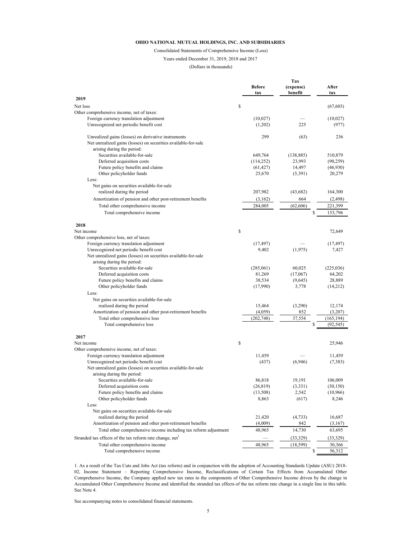#### Consolidated Statements of Comprehensive Income (Loss)

Years ended December 31, 2019, 2018 and 2017

(Dollars in thousands)

|                                                                      | <b>Before</b><br>tax | Tax<br>(expense)<br>benefit | After<br>tax |
|----------------------------------------------------------------------|----------------------|-----------------------------|--------------|
| 2019                                                                 |                      |                             |              |
| Net loss                                                             | \$                   |                             | (67, 603)    |
| Other comprehensive income, net of taxes:                            |                      |                             |              |
| Foreign currency translation adjustment                              | (10,027)             |                             | (10,027)     |
| Unrecognized net periodic benefit cost                               | (1,202)              | 225                         | (977)        |
| Unrealized gains (losses) on derivative instruments                  | 299                  | (63)                        | 236          |
| Net unrealized gains (losses) on securities available-for-sale       |                      |                             |              |
| arising during the period:                                           |                      |                             |              |
| Securities available-for-sale                                        | 649,764              | (138, 885)                  | 510,879      |
| Deferred acquisition costs                                           | (114, 252)           | 23,993                      | (90, 259)    |
| Future policy benefits and claims                                    | (61, 427)            | 14,497                      | (46,930)     |
| Other policyholder funds                                             | 25,670               | (5,391)                     | 20,279       |
| Less:                                                                |                      |                             |              |
| Net gains on securities available-for-sale                           |                      |                             |              |
| realized during the period                                           | 207,982              | (43, 682)                   | 164,300      |
| Amortization of pension and other post-retirement benefits           | (3,162)              | 664                         | (2, 498)     |
| Total other comprehensive income                                     | 284,005              | (62, 606)                   | 221,399      |
| Total comprehensive income                                           |                      | \$                          | 153,796      |
| 2018                                                                 |                      |                             |              |
| Net income                                                           | \$                   |                             | 72,649       |
| Other comprehensive loss, net of taxes:                              |                      |                             |              |
| Foreign currency translation adjustment                              | (17, 497)            |                             | (17, 497)    |
| Unrecognized net periodic benefit cost                               | 9,402                | (1, 975)                    | 7,427        |
| Net unrealized gains (losses) on securities available-for-sale       |                      |                             |              |
| arising during the period:                                           |                      |                             |              |
| Securities available-for-sale                                        | (285,061)            | 60,025                      | (225, 036)   |
| Deferred acquisition costs                                           | 81,269               | (17,067)                    | 64,202       |
| Future policy benefits and claims                                    | 38,534               | (9,645)                     | 28,889       |
| Other policyholder funds                                             | (17,990)             | 3,778                       | (14,212)     |
| Less:                                                                |                      |                             |              |
| Net gains on securities available-for-sale                           |                      |                             |              |
| realized during the period                                           | 15,464               | (3,290)                     | 12,174       |
| Amortization of pension and other post-retirement benefits           | (4,059)              | 852                         | (3,207)      |
| Total other comprehensive loss                                       | (202, 748)           | 37,554                      | (165, 194)   |
| Total comprehensive loss                                             |                      | \$                          | (92, 545)    |
| 2017                                                                 |                      |                             |              |
| Net income                                                           | \$                   |                             | 25,946       |
| Other comprehensive income, net of taxes:                            |                      |                             |              |
| Foreign currency translation adjustment                              | 11,459               |                             | 11,459       |
| Unrecognized net periodic benefit cost                               | (437)                | (6,946)                     | (7, 383)     |
| Net unrealized gains (losses) on securities available-for-sale       |                      |                             |              |
| arising during the period:                                           |                      |                             |              |
| Securities available-for-sale                                        | 86.818               | 19,191                      | 106,009      |
| Deferred acquisition costs                                           | (26, 819)            | (3, 331)                    | (30, 150)    |
| Future policy benefits and claims                                    | (13,508)             | 2,542                       | (10,966)     |
| Other policyholder funds                                             | 8,863                | (617)                       | 8,246        |
| Less:                                                                |                      |                             |              |
| Net gains on securities available-for-sale                           |                      |                             |              |
| realized during the period                                           | 21,420               | (4, 733)                    | 16,687       |
| Amortization of pension and other post-retirement benefits           | (4,009)              | 842                         | (3,167)      |
| Total other comprehensive income including tax reform adjustment     | 48,965               | 14,730                      | 63,695       |
| Stranded tax effects of the tax reform rate change, net <sup>1</sup> |                      | (33, 329)                   | (33,329)     |
| Total other comprehensive income                                     | 48,965               | (18, 599)                   | 30,366       |
| Total comprehensive income                                           |                      | \$                          | 56,312       |

1. As a result of the Tax Cuts and Jobs Act (tax reform) and in conjunction with the adoption of Accounting Standards Update (ASU) 2018- 02, Income Statement – Reporting Comprehensive Income, Reclassifications of Certain Tax Effects from Accumulated Other Comprehensive Income, the Company applied new tax rates to the components of Other Comprehensive Income driven by the change in Accumulated Other Comprehensive Income and identified the stranded tax effects of the tax reform rate change in a single line in this table. See Note 4.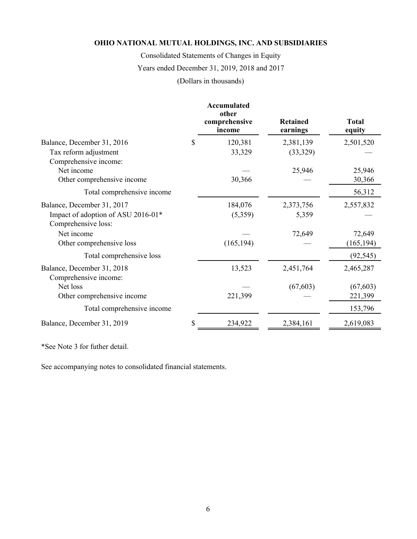Consolidated Statements of Changes in Equity

Years ended December 31, 2019, 2018 and 2017

(Dollars in thousands)

|                                                                                         | Accumulated<br>other<br>comprehensive<br>income | <b>Retained</b><br>earnings | <b>Total</b><br>equity |
|-----------------------------------------------------------------------------------------|-------------------------------------------------|-----------------------------|------------------------|
| Balance, December 31, 2016<br>Tax reform adjustment<br>Comprehensive income:            | \$<br>120,381<br>33,329                         | 2,381,139<br>(33,329)       | 2,501,520              |
| Net income<br>Other comprehensive income                                                | 30,366                                          | 25,946                      | 25,946<br>30,366       |
| Total comprehensive income                                                              |                                                 |                             | 56,312                 |
| Balance, December 31, 2017<br>Impact of adoption of ASU 2016-01*<br>Comprehensive loss: | 184,076<br>(5,359)                              | 2,373,756<br>5,359          | 2,557,832              |
| Net income<br>Other comprehensive loss                                                  | (165, 194)                                      | 72,649                      | 72,649<br>(165, 194)   |
| Total comprehensive loss                                                                |                                                 |                             | (92, 545)              |
| Balance, December 31, 2018<br>Comprehensive income:                                     | 13,523                                          | 2,451,764                   | 2,465,287              |
| Net loss<br>Other comprehensive income                                                  | 221,399                                         | (67, 603)                   | (67, 603)<br>221,399   |
| Total comprehensive income                                                              |                                                 |                             | 153,796                |
| Balance, December 31, 2019                                                              | \$<br>234,922                                   | 2,384,161                   | 2,619,083              |

\*See Note 3 for futher detail.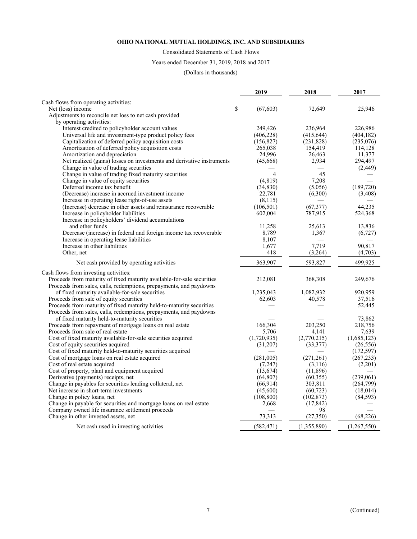#### Consolidated Statements of Cash Flows

### Years ended December 31, 2019, 2018 and 2017

(Dollars in thousands)

|                                                                        | 2019                | 2018                    | 2017        |
|------------------------------------------------------------------------|---------------------|-------------------------|-------------|
| Cash flows from operating activities:                                  |                     |                         |             |
| Net (loss) income                                                      | \$<br>(67, 603)     | 72,649                  | 25,946      |
| Adjustments to reconcile net loss to net cash provided                 |                     |                         |             |
| by operating activities:                                               |                     |                         |             |
| Interest credited to policyholder account values                       | 249,426             | 236,964                 | 226,986     |
| Universal life and investment-type product policy fees                 | (406, 228)          | (415, 644)              | (404, 182)  |
| Capitalization of deferred policy acquisition costs                    | (156, 827)          | (231, 828)              | (235,076)   |
| Amortization of deferred policy acquisition costs                      | 265,038             | 154,419                 | 114,128     |
| Amortization and depreciation                                          | 24,996              | 26,463                  | 11,377      |
| Net realized (gains) losses on investments and derivative instruments  | (45,668)            | 2,934                   | 294,497     |
| Change in value of trading securities                                  |                     |                         | (2, 449)    |
| Change in value of trading fixed maturity securities                   | 4                   | 45                      |             |
| Change in value of equity securities                                   | (4,819)             | 7,208                   |             |
| Deferred income tax benefit                                            | (34, 830)           | (5,056)                 | (189, 720)  |
| (Decrease) increase in accrued investment income                       | 22,781              | (6,300)                 | (3, 408)    |
| Increase in operating lease right-of-use assets                        | (8,115)             |                         |             |
| (Increase) decrease in other assets and reinsurance recoverable        | (106, 501)          | (67, 377)               | 44,235      |
| Increase in policyholder liabilities                                   | 602,004             | 787,915                 | 524,368     |
| Increase in policyholders' dividend accumulations                      |                     |                         |             |
| and other funds                                                        | 11,258              | 25,613                  | 13,836      |
| Decrease (increase) in federal and foreign income tax recoverable      | 8,789               | 1,367                   | (6,727)     |
| Increase in operating lease liabilities                                | 8,107               |                         |             |
| Increase in other liabilities                                          | 1,677               | 7,719                   | 90,817      |
| Other, net                                                             | 418                 | (3,264)                 | (4,703)     |
|                                                                        |                     |                         |             |
| Net cash provided by operating activities                              | 363,907             | 593,827                 | 499,925     |
| Cash flows from investing activities:                                  |                     |                         |             |
| Proceeds from maturity of fixed maturity available-for-sale securities | 212,081             | 368,308                 | 249,676     |
| Proceeds from sales, calls, redemptions, prepayments, and paydowns     |                     |                         |             |
| of fixed maturity available-for-sale securities                        | 1,235,043           | 1,082,932               | 920,959     |
| Proceeds from sale of equity securities                                | 62,603              | 40,578                  | 37,516      |
| Proceeds from maturity of fixed maturity held-to-maturity securities   |                     |                         | 52,445      |
| Proceeds from sales, calls, redemptions, prepayments, and paydowns     |                     |                         |             |
| of fixed maturity held-to-maturity securities                          |                     |                         | 73,862      |
| Proceeds from repayment of mortgage loans on real estate               | 166,304             | 203,250                 | 218,756     |
| Proceeds from sale of real estate                                      | 5,706               | 4,141                   | 7,639       |
| Cost of fixed maturity available-for-sale securities acquired          | (1,720,935)         | (2,770,215)             | (1,685,123) |
| Cost of equity securities acquired                                     | (31,207)            | (33,377)                | (26, 556)   |
| Cost of fixed maturity held-to-maturity securities acquired            |                     |                         | (172, 597)  |
| Cost of mortgage loans on real estate acquired                         | (281,005)           | (271, 261)              | (267, 233)  |
| Cost of real estate acquired                                           | (7,247)             | (3,116)                 | (2,201)     |
| Cost of property, plant and equipment acquired                         | (13,674)            | (11,896)                |             |
| Derivative (payments) receipts, net                                    | (64, 807)           | (60,355)                | (239,061)   |
| Change in payables for securities lending collateral, net              | (66, 914)           | 303,811                 | (264,799)   |
| Net increase in short-term investments                                 | (45,600)            | (60, 723)               | (18,014)    |
| Change in policy loans, net                                            |                     |                         | (84, 593)   |
| Change in payable for securities and mortgage loans on real estate     | (108, 800)<br>2,668 | (102, 873)<br>(17, 842) |             |
| Company owned life insurance settlement proceeds                       |                     | 98                      |             |
| Change in other invested assets, net                                   | 73,313              | (27, 350)               | (68, 226)   |
|                                                                        |                     |                         |             |
| Net cash used in investing activities                                  | (582, 471)          | (1,355,890)             | (1,267,550) |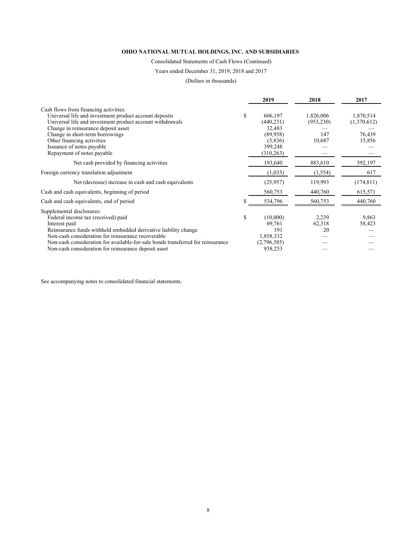Consolidated Statements of Cash Flows (Continued)

#### Years ended December 31, 2019, 2018 and 2017

(Dollars in thousands)

|                                                                                 | 2019           | 2018       | 2017        |
|---------------------------------------------------------------------------------|----------------|------------|-------------|
| Cash flows from financing activities:                                           |                |            |             |
| Universal life and investment product account deposits                          | \$<br>606,197  | 1,826,006  | 1,870,514   |
| Universal life and investment product account withdrawals                       | (440, 231)     | (953, 230) | (1,370,612) |
| Change in reinsurance deposit asset                                             | 32,483         |            |             |
| Change in short-term borrowings                                                 | (89,958)       | 147        | 76,439      |
| Other financing activities                                                      | (3,836)        | 10,687     | 15,856      |
| Issuance of notes payable                                                       | 399,248        |            |             |
| Repayment of notes payable                                                      | (310, 263)     |            |             |
| Net cash provided by financing activities                                       | 193,640        | 883,610    | 592,197     |
| Foreign currency translation adjustment                                         | (1,033)        | (1, 554)   | 617         |
| Net (decrease) increase in cash and cash equivalents                            | (25,957)       | 119,993    | (174, 811)  |
| Cash and cash equivalents, beginning of period                                  | 560,753        | 440,760    | 615,571     |
| Cash and cash equivalents, end of period                                        | 534,796        | 560,753    | 440,760     |
| Supplemental disclosures:                                                       |                |            |             |
| Federal income tax (received) paid                                              | \$<br>(10,000) | 2,239      | 9,863       |
| Interest paid                                                                   | 69,761         | 62,318     | 58,423      |
| Reinsurance funds withheld embedded derivative liability change                 | 191            | 20         |             |
| Non-cash consideration for reinsurance recoverable                              | 1,858,332      |            |             |
| Non-cash consideration for available-for-sale bonds transferred for reinsurance | (2,796,585)    |            |             |
| Non-cash consideration for reinsurance deposit asset                            | 938,253        |            |             |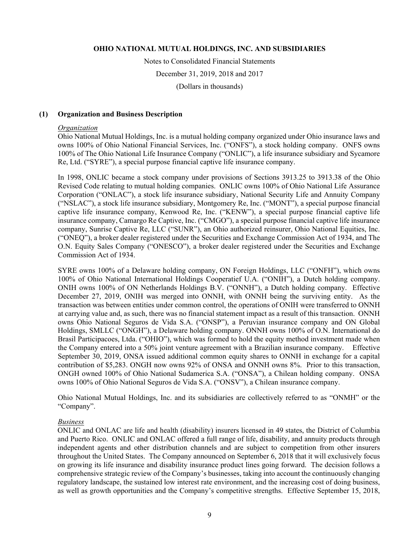Notes to Consolidated Financial Statements

December 31, 2019, 2018 and 2017

(Dollars in thousands)

#### **(1) Organization and Business Description**

#### *Organization*

Ohio National Mutual Holdings, Inc. is a mutual holding company organized under Ohio insurance laws and owns 100% of Ohio National Financial Services, Inc. ("ONFS"), a stock holding company. ONFS owns 100% of The Ohio National Life Insurance Company ("ONLIC"), a life insurance subsidiary and Sycamore Re, Ltd. ("SYRE"), a special purpose financial captive life insurance company.

In 1998, ONLIC became a stock company under provisions of Sections 3913.25 to 3913.38 of the Ohio Revised Code relating to mutual holding companies. ONLIC owns 100% of Ohio National Life Assurance Corporation ("ONLAC"), a stock life insurance subsidiary, National Security Life and Annuity Company ("NSLAC"), a stock life insurance subsidiary, Montgomery Re, Inc. ("MONT"), a special purpose financial captive life insurance company, Kenwood Re, Inc. ("KENW"), a special purpose financial captive life insurance company, Camargo Re Captive, Inc. ("CMGO"), a special purpose financial captive life insurance company, Sunrise Captive Re, LLC ("SUNR"), an Ohio authorized reinsurer, Ohio National Equities, Inc. ("ONEQ"), a broker dealer registered under the Securities and Exchange Commission Act of 1934, and The O.N. Equity Sales Company ("ONESCO"), a broker dealer registered under the Securities and Exchange Commission Act of 1934.

SYRE owns 100% of a Delaware holding company, ON Foreign Holdings, LLC ("ONFH"), which owns 100% of Ohio National International Holdings Cooperatief U.A. ("ONIH"), a Dutch holding company. ONIH owns 100% of ON Netherlands Holdings B.V. ("ONNH"), a Dutch holding company. Effective December 27, 2019, ONIH was merged into ONNH, with ONNH being the surviving entity. As the transaction was between entities under common control, the operations of ONIH were transferred to ONNH at carrying value and, as such, there was no financial statement impact as a result of this transaction. ONNH owns Ohio National Seguros de Vida S.A. ("ONSP"), a Peruvian insurance company and ON Global Holdings, SMLLC ("ONGH"), a Delaware holding company. ONNH owns 100% of O.N. International do Brasil Participacoes, Ltda. ("OHIO"), which was formed to hold the equity method investment made when the Company entered into a 50% joint venture agreement with a Brazilian insurance company. Effective September 30, 2019, ONSA issued additional common equity shares to ONNH in exchange for a capital contribution of \$5,283. ONGH now owns 92% of ONSA and ONNH owns 8%. Prior to this transaction, ONGH owned 100% of Ohio National Sudamerica S.A. ("ONSA"), a Chilean holding company. ONSA owns 100% of Ohio National Seguros de Vida S.A. ("ONSV"), a Chilean insurance company.

Ohio National Mutual Holdings, Inc. and its subsidiaries are collectively referred to as "ONMH" or the "Company".

#### *Business*

ONLIC and ONLAC are life and health (disability) insurers licensed in 49 states, the District of Columbia and Puerto Rico. ONLIC and ONLAC offered a full range of life, disability, and annuity products through independent agents and other distribution channels and are subject to competition from other insurers throughout the United States. The Company announced on September 6, 2018 that it will exclusively focus on growing its life insurance and disability insurance product lines going forward. The decision follows a comprehensive strategic review of the Company's businesses, taking into account the continuously changing regulatory landscape, the sustained low interest rate environment, and the increasing cost of doing business, as well as growth opportunities and the Company's competitive strengths. Effective September 15, 2018,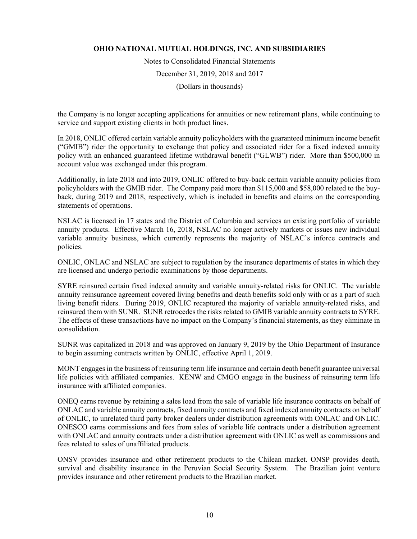Notes to Consolidated Financial Statements December 31, 2019, 2018 and 2017

(Dollars in thousands)

the Company is no longer accepting applications for annuities or new retirement plans, while continuing to service and support existing clients in both product lines.

In 2018, ONLIC offered certain variable annuity policyholders with the guaranteed minimum income benefit ("GMIB") rider the opportunity to exchange that policy and associated rider for a fixed indexed annuity policy with an enhanced guaranteed lifetime withdrawal benefit ("GLWB") rider. More than \$500,000 in account value was exchanged under this program.

Additionally, in late 2018 and into 2019, ONLIC offered to buy-back certain variable annuity policies from policyholders with the GMIB rider. The Company paid more than \$115,000 and \$58,000 related to the buyback, during 2019 and 2018, respectively, which is included in benefits and claims on the corresponding statements of operations.

NSLAC is licensed in 17 states and the District of Columbia and services an existing portfolio of variable annuity products. Effective March 16, 2018, NSLAC no longer actively markets or issues new individual variable annuity business, which currently represents the majority of NSLAC's inforce contracts and policies.

ONLIC, ONLAC and NSLAC are subject to regulation by the insurance departments of states in which they are licensed and undergo periodic examinations by those departments.

SYRE reinsured certain fixed indexed annuity and variable annuity-related risks for ONLIC. The variable annuity reinsurance agreement covered living benefits and death benefits sold only with or as a part of such living benefit riders. During 2019, ONLIC recaptured the majority of variable annuity-related risks, and reinsured them with SUNR. SUNR retrocedes the risks related to GMIB variable annuity contracts to SYRE. The effects of these transactions have no impact on the Company's financial statements, as they eliminate in consolidation.

SUNR was capitalized in 2018 and was approved on January 9, 2019 by the Ohio Department of Insurance to begin assuming contracts written by ONLIC, effective April 1, 2019.

MONT engages in the business of reinsuring term life insurance and certain death benefit guarantee universal life policies with affiliated companies. KENW and CMGO engage in the business of reinsuring term life insurance with affiliated companies.

ONEQ earns revenue by retaining a sales load from the sale of variable life insurance contracts on behalf of ONLAC and variable annuity contracts, fixed annuity contracts and fixed indexed annuity contracts on behalf of ONLIC, to unrelated third party broker dealers under distribution agreements with ONLAC and ONLIC. ONESCO earns commissions and fees from sales of variable life contracts under a distribution agreement with ONLAC and annuity contracts under a distribution agreement with ONLIC as well as commissions and fees related to sales of unaffiliated products.

ONSV provides insurance and other retirement products to the Chilean market. ONSP provides death, survival and disability insurance in the Peruvian Social Security System. The Brazilian joint venture provides insurance and other retirement products to the Brazilian market.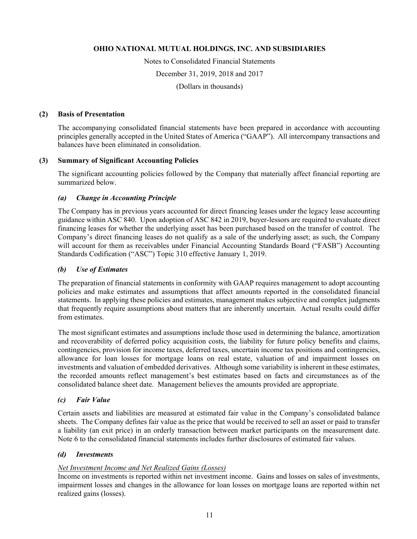Notes to Consolidated Financial Statements

December 31, 2019, 2018 and 2017

(Dollars in thousands)

#### **(2) Basis of Presentation**

The accompanying consolidated financial statements have been prepared in accordance with accounting principles generally accepted in the United States of America ("GAAP"). All intercompany transactions and balances have been eliminated in consolidation.

### **(3) Summary of Significant Accounting Policies**

The significant accounting policies followed by the Company that materially affect financial reporting are summarized below.

### *(a) Change in Accounting Principle*

The Company has in previous years accounted for direct financing leases under the legacy lease accounting guidance within ASC 840. Upon adoption of ASC 842 in 2019, buyer-lessors are required to evaluate direct financing leases for whether the underlying asset has been purchased based on the transfer of control. The Company's direct financing leases do not qualify as a sale of the underlying asset; as such, the Company will account for them as receivables under Financial Accounting Standards Board ("FASB") Accounting Standards Codification ("ASC") Topic 310 effective January 1, 2019.

### *(b) Use of Estimates*

The preparation of financial statements in conformity with GAAP requires management to adopt accounting policies and make estimates and assumptions that affect amounts reported in the consolidated financial statements. In applying these policies and estimates, management makes subjective and complex judgments that frequently require assumptions about matters that are inherently uncertain. Actual results could differ from estimates.

The most significant estimates and assumptions include those used in determining the balance, amortization and recoverability of deferred policy acquisition costs, the liability for future policy benefits and claims, contingencies, provision for income taxes, deferred taxes, uncertain income tax positions and contingencies, allowance for loan losses for mortgage loans on real estate, valuation of and impairment losses on investments and valuation of embedded derivatives. Although some variability is inherent in these estimates, the recorded amounts reflect management's best estimates based on facts and circumstances as of the consolidated balance sheet date. Management believes the amounts provided are appropriate.

### *(c) Fair Value*

Certain assets and liabilities are measured at estimated fair value in the Company's consolidated balance sheets. The Company defines fair value as the price that would be received to sell an asset or paid to transfer a liability (an exit price) in an orderly transaction between market participants on the measurement date. Note 6 to the consolidated financial statements includes further disclosures of estimated fair values.

#### *(d) Investments*

### *Net Investment Income and Net Realized Gains (Losses)*

Income on investments is reported within net investment income. Gains and losses on sales of investments, impairment losses and changes in the allowance for loan losses on mortgage loans are reported within net realized gains (losses).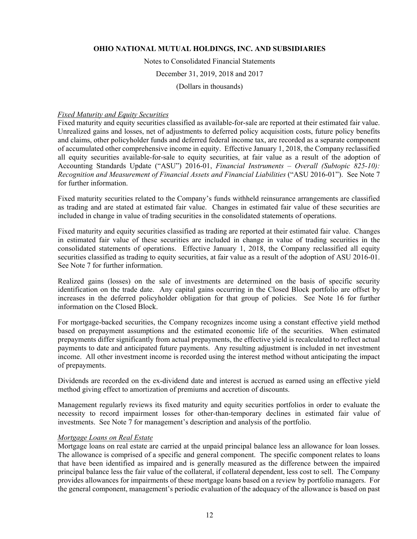Notes to Consolidated Financial Statements

December 31, 2019, 2018 and 2017

(Dollars in thousands)

#### *Fixed Maturity and Equity Securities*

Fixed maturity and equity securities classified as available-for-sale are reported at their estimated fair value. Unrealized gains and losses, net of adjustments to deferred policy acquisition costs, future policy benefits and claims, other policyholder funds and deferred federal income tax, are recorded as a separate component of accumulated other comprehensive income in equity. Effective January 1, 2018, the Company reclassified all equity securities available-for-sale to equity securities, at fair value as a result of the adoption of Accounting Standards Update ("ASU") 2016-01, *Financial Instruments – Overall (Subtopic 825-10): Recognition and Measurement of Financial Assets and Financial Liabilities* ("ASU 2016-01"). See Note 7 for further information.

Fixed maturity securities related to the Company's funds withheld reinsurance arrangements are classified as trading and are stated at estimated fair value. Changes in estimated fair value of these securities are included in change in value of trading securities in the consolidated statements of operations.

Fixed maturity and equity securities classified as trading are reported at their estimated fair value. Changes in estimated fair value of these securities are included in change in value of trading securities in the consolidated statements of operations. Effective January 1, 2018, the Company reclassified all equity securities classified as trading to equity securities, at fair value as a result of the adoption of ASU 2016-01. See Note 7 for further information.

Realized gains (losses) on the sale of investments are determined on the basis of specific security identification on the trade date. Any capital gains occurring in the Closed Block portfolio are offset by increases in the deferred policyholder obligation for that group of policies. See Note 16 for further information on the Closed Block.

For mortgage-backed securities, the Company recognizes income using a constant effective yield method based on prepayment assumptions and the estimated economic life of the securities. When estimated prepayments differ significantly from actual prepayments, the effective yield is recalculated to reflect actual payments to date and anticipated future payments. Any resulting adjustment is included in net investment income. All other investment income is recorded using the interest method without anticipating the impact of prepayments.

Dividends are recorded on the ex-dividend date and interest is accrued as earned using an effective yield method giving effect to amortization of premiums and accretion of discounts.

Management regularly reviews its fixed maturity and equity securities portfolios in order to evaluate the necessity to record impairment losses for other-than-temporary declines in estimated fair value of investments. See Note 7 for management's description and analysis of the portfolio.

### *Mortgage Loans on Real Estate*

Mortgage loans on real estate are carried at the unpaid principal balance less an allowance for loan losses. The allowance is comprised of a specific and general component. The specific component relates to loans that have been identified as impaired and is generally measured as the difference between the impaired principal balance less the fair value of the collateral, if collateral dependent, less cost to sell. The Company provides allowances for impairments of these mortgage loans based on a review by portfolio managers. For the general component, management's periodic evaluation of the adequacy of the allowance is based on past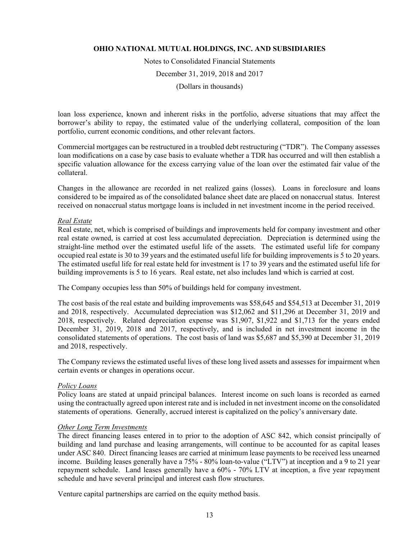Notes to Consolidated Financial Statements

December 31, 2019, 2018 and 2017

(Dollars in thousands)

loan loss experience, known and inherent risks in the portfolio, adverse situations that may affect the borrower's ability to repay, the estimated value of the underlying collateral, composition of the loan portfolio, current economic conditions, and other relevant factors.

Commercial mortgages can be restructured in a troubled debt restructuring ("TDR"). The Company assesses loan modifications on a case by case basis to evaluate whether a TDR has occurred and will then establish a specific valuation allowance for the excess carrying value of the loan over the estimated fair value of the collateral.

Changes in the allowance are recorded in net realized gains (losses). Loans in foreclosure and loans considered to be impaired as of the consolidated balance sheet date are placed on nonaccrual status. Interest received on nonaccrual status mortgage loans is included in net investment income in the period received.

#### *Real Estate*

Real estate, net, which is comprised of buildings and improvements held for company investment and other real estate owned, is carried at cost less accumulated depreciation. Depreciation is determined using the straight-line method over the estimated useful life of the assets. The estimated useful life for company occupied real estate is 30 to 39 years and the estimated useful life for building improvements is 5 to 20 years. The estimated useful life for real estate held for investment is 17 to 39 years and the estimated useful life for building improvements is 5 to 16 years. Real estate, net also includes land which is carried at cost.

The Company occupies less than 50% of buildings held for company investment.

The cost basis of the real estate and building improvements was \$58,645 and \$54,513 at December 31, 2019 and 2018, respectively. Accumulated depreciation was \$12,062 and \$11,296 at December 31, 2019 and 2018, respectively. Related depreciation expense was \$1,907, \$1,922 and \$1,713 for the years ended December 31, 2019, 2018 and 2017, respectively, and is included in net investment income in the consolidated statements of operations. The cost basis of land was \$5,687 and \$5,390 at December 31, 2019 and 2018, respectively.

The Company reviews the estimated useful lives of these long lived assets and assesses for impairment when certain events or changes in operations occur.

#### *Policy Loans*

Policy loans are stated at unpaid principal balances. Interest income on such loans is recorded as earned using the contractually agreed upon interest rate and is included in net investment income on the consolidated statements of operations. Generally, accrued interest is capitalized on the policy's anniversary date.

#### *Other Long Term Investments*

The direct financing leases entered in to prior to the adoption of ASC 842, which consist principally of building and land purchase and leasing arrangements, will continue to be accounted for as capital leases under ASC 840. Direct financing leases are carried at minimum lease payments to be received less unearned income. Building leases generally have a 75% - 80% loan-to-value ("LTV") at inception and a 9 to 21 year repayment schedule. Land leases generally have a 60% - 70% LTV at inception, a five year repayment schedule and have several principal and interest cash flow structures.

Venture capital partnerships are carried on the equity method basis.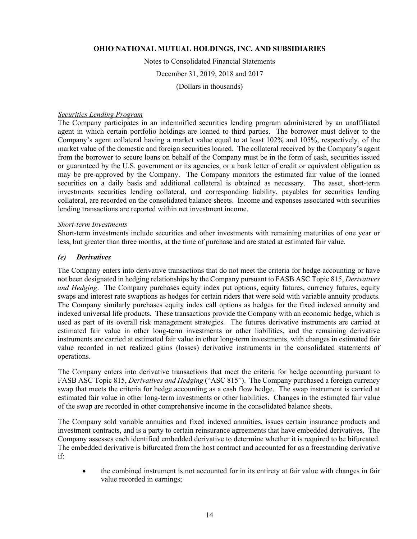Notes to Consolidated Financial Statements

December 31, 2019, 2018 and 2017

(Dollars in thousands)

#### *Securities Lending Program*

The Company participates in an indemnified securities lending program administered by an unaffiliated agent in which certain portfolio holdings are loaned to third parties. The borrower must deliver to the Company's agent collateral having a market value equal to at least 102% and 105%, respectively, of the market value of the domestic and foreign securities loaned. The collateral received by the Company's agent from the borrower to secure loans on behalf of the Company must be in the form of cash, securities issued or guaranteed by the U.S. government or its agencies, or a bank letter of credit or equivalent obligation as may be pre-approved by the Company. The Company monitors the estimated fair value of the loaned securities on a daily basis and additional collateral is obtained as necessary. The asset, short-term investments securities lending collateral, and corresponding liability, payables for securities lending collateral, are recorded on the consolidated balance sheets. Income and expenses associated with securities lending transactions are reported within net investment income.

#### *Short-term Investments*

Short-term investments include securities and other investments with remaining maturities of one year or less, but greater than three months, at the time of purchase and are stated at estimated fair value.

#### *(e) Derivatives*

The Company enters into derivative transactions that do not meet the criteria for hedge accounting or have not been designated in hedging relationships by the Company pursuant to FASB ASC Topic 815, *Derivatives and Hedging*. The Company purchases equity index put options, equity futures, currency futures, equity swaps and interest rate swaptions as hedges for certain riders that were sold with variable annuity products. The Company similarly purchases equity index call options as hedges for the fixed indexed annuity and indexed universal life products. These transactions provide the Company with an economic hedge, which is used as part of its overall risk management strategies. The futures derivative instruments are carried at estimated fair value in other long-term investments or other liabilities, and the remaining derivative instruments are carried at estimated fair value in other long-term investments, with changes in estimated fair value recorded in net realized gains (losses) derivative instruments in the consolidated statements of operations.

The Company enters into derivative transactions that meet the criteria for hedge accounting pursuant to FASB ASC Topic 815, *Derivatives and Hedging* ("ASC 815"). The Company purchased a foreign currency swap that meets the criteria for hedge accounting as a cash flow hedge. The swap instrument is carried at estimated fair value in other long-term investments or other liabilities. Changes in the estimated fair value of the swap are recorded in other comprehensive income in the consolidated balance sheets.

The Company sold variable annuities and fixed indexed annuities, issues certain insurance products and investment contracts, and is a party to certain reinsurance agreements that have embedded derivatives. The Company assesses each identified embedded derivative to determine whether it is required to be bifurcated. The embedded derivative is bifurcated from the host contract and accounted for as a freestanding derivative if:

 the combined instrument is not accounted for in its entirety at fair value with changes in fair value recorded in earnings;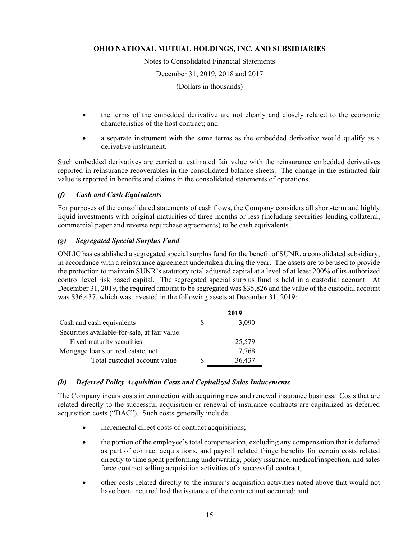Notes to Consolidated Financial Statements

December 31, 2019, 2018 and 2017

(Dollars in thousands)

- the terms of the embedded derivative are not clearly and closely related to the economic characteristics of the host contract; and
- a separate instrument with the same terms as the embedded derivative would qualify as a derivative instrument.

Such embedded derivatives are carried at estimated fair value with the reinsurance embedded derivatives reported in reinsurance recoverables in the consolidated balance sheets. The change in the estimated fair value is reported in benefits and claims in the consolidated statements of operations.

### *(f) Cash and Cash Equivalents*

For purposes of the consolidated statements of cash flows, the Company considers all short-term and highly liquid investments with original maturities of three months or less (including securities lending collateral, commercial paper and reverse repurchase agreements) to be cash equivalents.

### *(g) Segregated Special Surplus Fund*

ONLIC has established a segregated special surplus fund for the benefit of SUNR, a consolidated subsidiary, in accordance with a reinsurance agreement undertaken during the year. The assets are to be used to provide the protection to maintain SUNR's statutory total adjusted capital at a level of at least 200% of its authorized control level risk based capital. The segregated special surplus fund is held in a custodial account. At December 31, 2019, the required amount to be segregated was \$35,826 and the value of the custodial account was \$36,437, which was invested in the following assets at December 31, 2019:

|                                               | 2019   |
|-----------------------------------------------|--------|
| Cash and cash equivalents                     | 3,090  |
| Securities available-for-sale, at fair value: |        |
| Fixed maturity securities                     | 25,579 |
| Mortgage loans on real estate, net            | 7,768  |
| Total custodial account value                 | 36,437 |

### *(h) Deferred Policy Acquisition Costs and Capitalized Sales Inducements*

The Company incurs costs in connection with acquiring new and renewal insurance business. Costs that are related directly to the successful acquisition or renewal of insurance contracts are capitalized as deferred acquisition costs ("DAC"). Such costs generally include:

- incremental direct costs of contract acquisitions;
- the portion of the employee's total compensation, excluding any compensation that is deferred as part of contract acquisitions, and payroll related fringe benefits for certain costs related directly to time spent performing underwriting, policy issuance, medical/inspection, and sales force contract selling acquisition activities of a successful contract;
- other costs related directly to the insurer's acquisition activities noted above that would not have been incurred had the issuance of the contract not occurred; and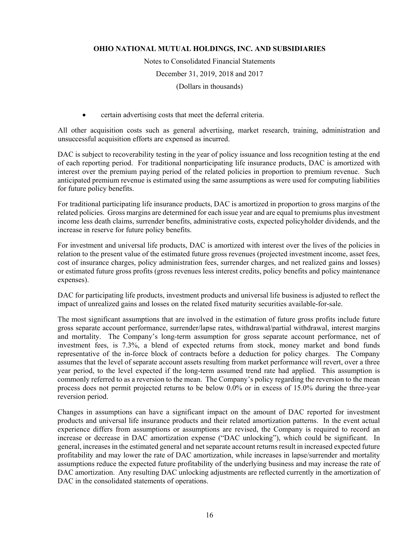Notes to Consolidated Financial Statements December 31, 2019, 2018 and 2017 (Dollars in thousands)

certain advertising costs that meet the deferral criteria.

All other acquisition costs such as general advertising, market research, training, administration and unsuccessful acquisition efforts are expensed as incurred.

DAC is subject to recoverability testing in the year of policy issuance and loss recognition testing at the end of each reporting period. For traditional nonparticipating life insurance products, DAC is amortized with interest over the premium paying period of the related policies in proportion to premium revenue. Such anticipated premium revenue is estimated using the same assumptions as were used for computing liabilities for future policy benefits.

For traditional participating life insurance products, DAC is amortized in proportion to gross margins of the related policies. Gross margins are determined for each issue year and are equal to premiums plus investment income less death claims, surrender benefits, administrative costs, expected policyholder dividends, and the increase in reserve for future policy benefits.

For investment and universal life products, DAC is amortized with interest over the lives of the policies in relation to the present value of the estimated future gross revenues (projected investment income, asset fees, cost of insurance charges, policy administration fees, surrender charges, and net realized gains and losses) or estimated future gross profits (gross revenues less interest credits, policy benefits and policy maintenance expenses).

DAC for participating life products, investment products and universal life business is adjusted to reflect the impact of unrealized gains and losses on the related fixed maturity securities available-for-sale.

The most significant assumptions that are involved in the estimation of future gross profits include future gross separate account performance, surrender/lapse rates, withdrawal/partial withdrawal, interest margins and mortality. The Company's long-term assumption for gross separate account performance, net of investment fees, is 7.3%, a blend of expected returns from stock, money market and bond funds representative of the in-force block of contracts before a deduction for policy charges. The Company assumes that the level of separate account assets resulting from market performance will revert, over a three year period, to the level expected if the long-term assumed trend rate had applied. This assumption is commonly referred to as a reversion to the mean. The Company's policy regarding the reversion to the mean process does not permit projected returns to be below 0.0% or in excess of 15.0% during the three-year reversion period.

Changes in assumptions can have a significant impact on the amount of DAC reported for investment products and universal life insurance products and their related amortization patterns. In the event actual experience differs from assumptions or assumptions are revised, the Company is required to record an increase or decrease in DAC amortization expense ("DAC unlocking"), which could be significant. In general, increases in the estimated general and net separate account returns result in increased expected future profitability and may lower the rate of DAC amortization, while increases in lapse/surrender and mortality assumptions reduce the expected future profitability of the underlying business and may increase the rate of DAC amortization. Any resulting DAC unlocking adjustments are reflected currently in the amortization of DAC in the consolidated statements of operations.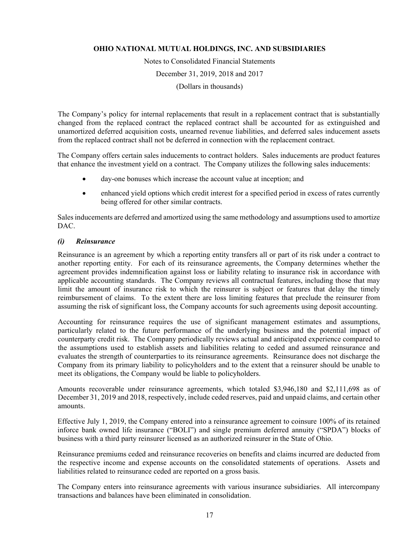Notes to Consolidated Financial Statements

December 31, 2019, 2018 and 2017

(Dollars in thousands)

The Company's policy for internal replacements that result in a replacement contract that is substantially changed from the replaced contract the replaced contract shall be accounted for as extinguished and unamortized deferred acquisition costs, unearned revenue liabilities, and deferred sales inducement assets from the replaced contract shall not be deferred in connection with the replacement contract.

The Company offers certain sales inducements to contract holders. Sales inducements are product features that enhance the investment yield on a contract. The Company utilizes the following sales inducements:

- day-one bonuses which increase the account value at inception; and
- enhanced yield options which credit interest for a specified period in excess of rates currently being offered for other similar contracts.

Sales inducements are deferred and amortized using the same methodology and assumptions used to amortize DAC.

### *(i) Reinsurance*

Reinsurance is an agreement by which a reporting entity transfers all or part of its risk under a contract to another reporting entity. For each of its reinsurance agreements, the Company determines whether the agreement provides indemnification against loss or liability relating to insurance risk in accordance with applicable accounting standards. The Company reviews all contractual features, including those that may limit the amount of insurance risk to which the reinsurer is subject or features that delay the timely reimbursement of claims. To the extent there are loss limiting features that preclude the reinsurer from assuming the risk of significant loss, the Company accounts for such agreements using deposit accounting.

Accounting for reinsurance requires the use of significant management estimates and assumptions, particularly related to the future performance of the underlying business and the potential impact of counterparty credit risk. The Company periodically reviews actual and anticipated experience compared to the assumptions used to establish assets and liabilities relating to ceded and assumed reinsurance and evaluates the strength of counterparties to its reinsurance agreements. Reinsurance does not discharge the Company from its primary liability to policyholders and to the extent that a reinsurer should be unable to meet its obligations, the Company would be liable to policyholders.

Amounts recoverable under reinsurance agreements, which totaled \$3,946,180 and \$2,111,698 as of December 31, 2019 and 2018, respectively, include ceded reserves, paid and unpaid claims, and certain other amounts.

Effective July 1, 2019, the Company entered into a reinsurance agreement to coinsure 100% of its retained inforce bank owned life insurance ("BOLI") and single premium deferred annuity ("SPDA") blocks of business with a third party reinsurer licensed as an authorized reinsurer in the State of Ohio.

Reinsurance premiums ceded and reinsurance recoveries on benefits and claims incurred are deducted from the respective income and expense accounts on the consolidated statements of operations. Assets and liabilities related to reinsurance ceded are reported on a gross basis.

The Company enters into reinsurance agreements with various insurance subsidiaries. All intercompany transactions and balances have been eliminated in consolidation.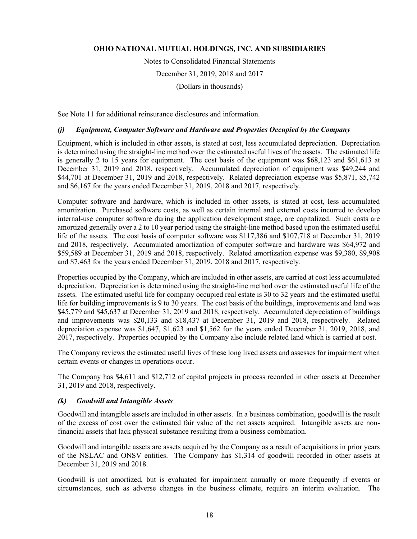Notes to Consolidated Financial Statements December 31, 2019, 2018 and 2017 (Dollars in thousands)

See Note 11 for additional reinsurance disclosures and information.

#### *(j) Equipment, Computer Software and Hardware and Properties Occupied by the Company*

Equipment, which is included in other assets, is stated at cost, less accumulated depreciation. Depreciation is determined using the straight-line method over the estimated useful lives of the assets. The estimated life is generally 2 to 15 years for equipment. The cost basis of the equipment was \$68,123 and \$61,613 at December 31, 2019 and 2018, respectively. Accumulated depreciation of equipment was \$49,244 and \$44,701 at December 31, 2019 and 2018, respectively. Related depreciation expense was \$5,871, \$5,742 and \$6,167 for the years ended December 31, 2019, 2018 and 2017, respectively.

Computer software and hardware, which is included in other assets, is stated at cost, less accumulated amortization. Purchased software costs, as well as certain internal and external costs incurred to develop internal-use computer software during the application development stage, are capitalized. Such costs are amortized generally over a 2 to 10 year period using the straight-line method based upon the estimated useful life of the assets. The cost basis of computer software was \$117,386 and \$107,718 at December 31, 2019 and 2018, respectively. Accumulated amortization of computer software and hardware was \$64,972 and \$59,589 at December 31, 2019 and 2018, respectively. Related amortization expense was \$9,380, \$9,908 and \$7,463 for the years ended December 31, 2019, 2018 and 2017, respectively.

Properties occupied by the Company, which are included in other assets, are carried at cost less accumulated depreciation. Depreciation is determined using the straight-line method over the estimated useful life of the assets. The estimated useful life for company occupied real estate is 30 to 32 years and the estimated useful life for building improvements is 9 to 30 years. The cost basis of the buildings, improvements and land was \$45,779 and \$45,637 at December 31, 2019 and 2018, respectively. Accumulated depreciation of buildings and improvements was \$20,133 and \$18,437 at December 31, 2019 and 2018, respectively. Related depreciation expense was \$1,647, \$1,623 and \$1,562 for the years ended December 31, 2019, 2018, and 2017, respectively. Properties occupied by the Company also include related land which is carried at cost.

The Company reviews the estimated useful lives of these long lived assets and assesses for impairment when certain events or changes in operations occur.

The Company has \$4,611 and \$12,712 of capital projects in process recorded in other assets at December 31, 2019 and 2018, respectively.

### *(k) Goodwill and Intangible Assets*

Goodwill and intangible assets are included in other assets. In a business combination, goodwill is the result of the excess of cost over the estimated fair value of the net assets acquired. Intangible assets are nonfinancial assets that lack physical substance resulting from a business combination.

Goodwill and intangible assets are assets acquired by the Company as a result of acquisitions in prior years of the NSLAC and ONSV entities. The Company has \$1,314 of goodwill recorded in other assets at December 31, 2019 and 2018.

Goodwill is not amortized, but is evaluated for impairment annually or more frequently if events or circumstances, such as adverse changes in the business climate, require an interim evaluation. The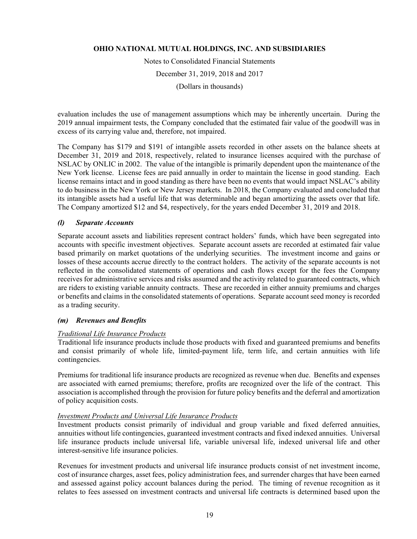Notes to Consolidated Financial Statements

December 31, 2019, 2018 and 2017

(Dollars in thousands)

evaluation includes the use of management assumptions which may be inherently uncertain. During the 2019 annual impairment tests, the Company concluded that the estimated fair value of the goodwill was in excess of its carrying value and, therefore, not impaired.

The Company has \$179 and \$191 of intangible assets recorded in other assets on the balance sheets at December 31, 2019 and 2018, respectively, related to insurance licenses acquired with the purchase of NSLAC by ONLIC in 2002. The value of the intangible is primarily dependent upon the maintenance of the New York license. License fees are paid annually in order to maintain the license in good standing. Each license remains intact and in good standing as there have been no events that would impact NSLAC's ability to do business in the New York or New Jersey markets. In 2018, the Company evaluated and concluded that its intangible assets had a useful life that was determinable and began amortizing the assets over that life. The Company amortized \$12 and \$4, respectively, for the years ended December 31, 2019 and 2018.

### *(l) Separate Accounts*

Separate account assets and liabilities represent contract holders' funds, which have been segregated into accounts with specific investment objectives. Separate account assets are recorded at estimated fair value based primarily on market quotations of the underlying securities. The investment income and gains or losses of these accounts accrue directly to the contract holders. The activity of the separate accounts is not reflected in the consolidated statements of operations and cash flows except for the fees the Company receives for administrative services and risks assumed and the activity related to guaranteed contracts, which are riders to existing variable annuity contracts. These are recorded in either annuity premiums and charges or benefits and claims in the consolidated statements of operations. Separate account seed money is recorded as a trading security.

### *(m) Revenues and Benefits*

### *Traditional Life Insurance Products*

Traditional life insurance products include those products with fixed and guaranteed premiums and benefits and consist primarily of whole life, limited-payment life, term life, and certain annuities with life contingencies.

Premiums for traditional life insurance products are recognized as revenue when due. Benefits and expenses are associated with earned premiums; therefore, profits are recognized over the life of the contract. This association is accomplished through the provision for future policy benefits and the deferral and amortization of policy acquisition costs.

#### *Investment Products and Universal Life Insurance Products*

Investment products consist primarily of individual and group variable and fixed deferred annuities, annuities without life contingencies, guaranteed investment contracts and fixed indexed annuities. Universal life insurance products include universal life, variable universal life, indexed universal life and other interest-sensitive life insurance policies.

Revenues for investment products and universal life insurance products consist of net investment income, cost of insurance charges, asset fees, policy administration fees, and surrender charges that have been earned and assessed against policy account balances during the period. The timing of revenue recognition as it relates to fees assessed on investment contracts and universal life contracts is determined based upon the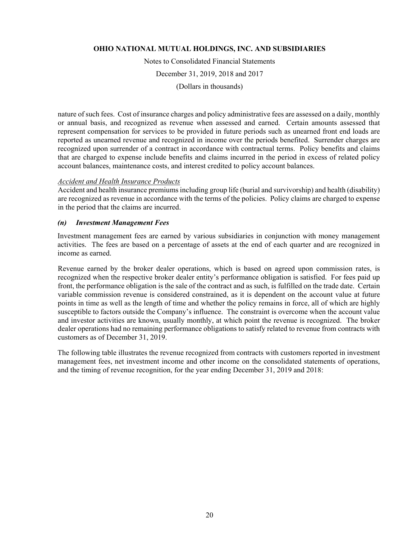Notes to Consolidated Financial Statements

December 31, 2019, 2018 and 2017

(Dollars in thousands)

nature of such fees. Cost of insurance charges and policy administrative fees are assessed on a daily, monthly or annual basis, and recognized as revenue when assessed and earned. Certain amounts assessed that represent compensation for services to be provided in future periods such as unearned front end loads are reported as unearned revenue and recognized in income over the periods benefited. Surrender charges are recognized upon surrender of a contract in accordance with contractual terms. Policy benefits and claims that are charged to expense include benefits and claims incurred in the period in excess of related policy account balances, maintenance costs, and interest credited to policy account balances.

#### *Accident and Health Insurance Products*

Accident and health insurance premiums including group life (burial and survivorship) and health (disability) are recognized as revenue in accordance with the terms of the policies. Policy claims are charged to expense in the period that the claims are incurred.

### *(n) Investment Management Fees*

Investment management fees are earned by various subsidiaries in conjunction with money management activities. The fees are based on a percentage of assets at the end of each quarter and are recognized in income as earned.

Revenue earned by the broker dealer operations, which is based on agreed upon commission rates, is recognized when the respective broker dealer entity's performance obligation is satisfied. For fees paid up front, the performance obligation is the sale of the contract and as such, is fulfilled on the trade date. Certain variable commission revenue is considered constrained, as it is dependent on the account value at future points in time as well as the length of time and whether the policy remains in force, all of which are highly susceptible to factors outside the Company's influence. The constraint is overcome when the account value and investor activities are known, usually monthly, at which point the revenue is recognized. The broker dealer operations had no remaining performance obligations to satisfy related to revenue from contracts with customers as of December 31, 2019.

The following table illustrates the revenue recognized from contracts with customers reported in investment management fees, net investment income and other income on the consolidated statements of operations, and the timing of revenue recognition, for the year ending December 31, 2019 and 2018: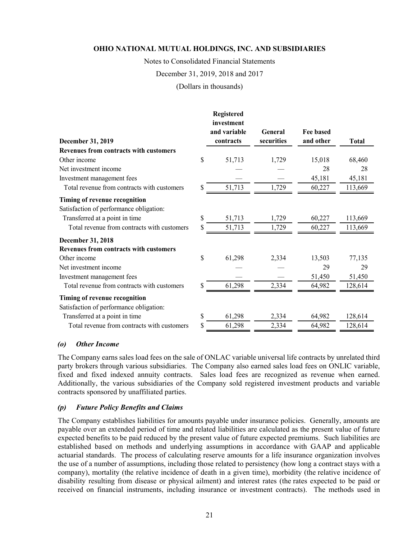Notes to Consolidated Financial Statements

December 31, 2019, 2018 and 2017

(Dollars in thousands)

|                                               |    | Registered<br>investment<br>and variable | General    | <b>Fee based</b> |              |
|-----------------------------------------------|----|------------------------------------------|------------|------------------|--------------|
| December 31, 2019                             |    | contracts                                | securities | and other        | <b>Total</b> |
| <b>Revenues from contracts with customers</b> |    |                                          |            |                  |              |
| Other income                                  | \$ | 51,713                                   | 1,729      | 15,018           | 68,460       |
| Net investment income                         |    |                                          |            | 28               | 28           |
| Investment management fees                    |    |                                          |            | 45,181           | 45,181       |
| Total revenue from contracts with customers   | \$ | 51,713                                   | 1,729      | 60,227           | 113,669      |
| Timing of revenue recognition                 |    |                                          |            |                  |              |
| Satisfaction of performance obligation:       |    |                                          |            |                  |              |
| Transferred at a point in time                | \$ | 51,713                                   | 1,729      | 60,227           | 113,669      |
| Total revenue from contracts with customers   | S  | 51,713                                   | 1,729      | 60,227           | 113,669      |
| December 31, 2018                             |    |                                          |            |                  |              |
| <b>Revenues from contracts with customers</b> |    |                                          |            |                  |              |
| Other income                                  | \$ | 61,298                                   | 2,334      | 13,503           | 77,135       |
| Net investment income                         |    |                                          |            | 29               | 29           |
| Investment management fees                    |    |                                          |            | 51,450           | 51,450       |
| Total revenue from contracts with customers   | \$ | 61,298                                   | 2,334      | 64,982           | 128,614      |
| Timing of revenue recognition                 |    |                                          |            |                  |              |
| Satisfaction of performance obligation:       |    |                                          |            |                  |              |
| Transferred at a point in time                | \$ | 61,298                                   | 2,334      | 64,982           | 128,614      |
| Total revenue from contracts with customers   | \$ | 61,298                                   | 2,334      | 64,982           | 128,614      |

#### *(o) Other Income*

The Company earns sales load fees on the sale of ONLAC variable universal life contracts by unrelated third party brokers through various subsidiaries. The Company also earned sales load fees on ONLIC variable, fixed and fixed indexed annuity contracts. Sales load fees are recognized as revenue when earned. Additionally, the various subsidiaries of the Company sold registered investment products and variable contracts sponsored by unaffiliated parties.

#### *(p) Future Policy Benefits and Claims*

The Company establishes liabilities for amounts payable under insurance policies. Generally, amounts are payable over an extended period of time and related liabilities are calculated as the present value of future expected benefits to be paid reduced by the present value of future expected premiums. Such liabilities are established based on methods and underlying assumptions in accordance with GAAP and applicable actuarial standards. The process of calculating reserve amounts for a life insurance organization involves the use of a number of assumptions, including those related to persistency (how long a contract stays with a company), mortality (the relative incidence of death in a given time), morbidity (the relative incidence of disability resulting from disease or physical ailment) and interest rates (the rates expected to be paid or received on financial instruments, including insurance or investment contracts). The methods used in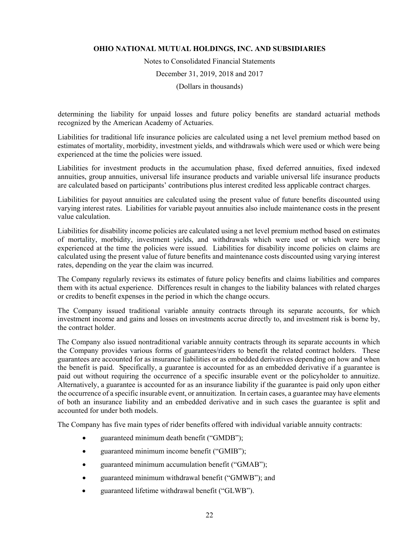Notes to Consolidated Financial Statements

December 31, 2019, 2018 and 2017

(Dollars in thousands)

determining the liability for unpaid losses and future policy benefits are standard actuarial methods recognized by the American Academy of Actuaries.

Liabilities for traditional life insurance policies are calculated using a net level premium method based on estimates of mortality, morbidity, investment yields, and withdrawals which were used or which were being experienced at the time the policies were issued.

Liabilities for investment products in the accumulation phase, fixed deferred annuities, fixed indexed annuities, group annuities, universal life insurance products and variable universal life insurance products are calculated based on participants' contributions plus interest credited less applicable contract charges.

Liabilities for payout annuities are calculated using the present value of future benefits discounted using varying interest rates. Liabilities for variable payout annuities also include maintenance costs in the present value calculation.

Liabilities for disability income policies are calculated using a net level premium method based on estimates of mortality, morbidity, investment yields, and withdrawals which were used or which were being experienced at the time the policies were issued. Liabilities for disability income policies on claims are calculated using the present value of future benefits and maintenance costs discounted using varying interest rates, depending on the year the claim was incurred.

The Company regularly reviews its estimates of future policy benefits and claims liabilities and compares them with its actual experience. Differences result in changes to the liability balances with related charges or credits to benefit expenses in the period in which the change occurs.

The Company issued traditional variable annuity contracts through its separate accounts, for which investment income and gains and losses on investments accrue directly to, and investment risk is borne by, the contract holder.

The Company also issued nontraditional variable annuity contracts through its separate accounts in which the Company provides various forms of guarantees/riders to benefit the related contract holders. These guarantees are accounted for as insurance liabilities or as embedded derivatives depending on how and when the benefit is paid. Specifically, a guarantee is accounted for as an embedded derivative if a guarantee is paid out without requiring the occurrence of a specific insurable event or the policyholder to annuitize. Alternatively, a guarantee is accounted for as an insurance liability if the guarantee is paid only upon either the occurrence of a specific insurable event, or annuitization. In certain cases, a guarantee may have elements of both an insurance liability and an embedded derivative and in such cases the guarantee is split and accounted for under both models.

The Company has five main types of rider benefits offered with individual variable annuity contracts:

- guaranteed minimum death benefit ("GMDB");
- guaranteed minimum income benefit ("GMIB");
- guaranteed minimum accumulation benefit ("GMAB");
- guaranteed minimum withdrawal benefit ("GMWB"); and
- guaranteed lifetime withdrawal benefit ("GLWB").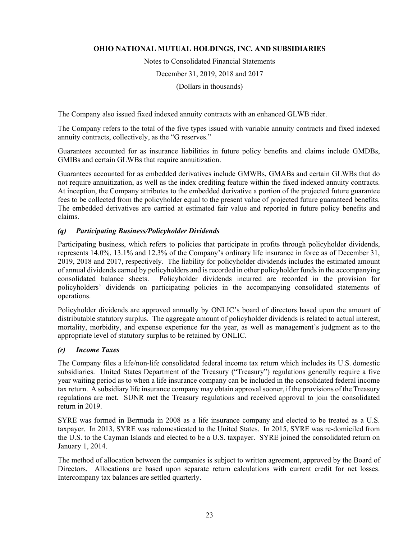Notes to Consolidated Financial Statements December 31, 2019, 2018 and 2017 (Dollars in thousands)

The Company also issued fixed indexed annuity contracts with an enhanced GLWB rider.

The Company refers to the total of the five types issued with variable annuity contracts and fixed indexed annuity contracts, collectively, as the "G reserves."

Guarantees accounted for as insurance liabilities in future policy benefits and claims include GMDBs, GMIBs and certain GLWBs that require annuitization.

Guarantees accounted for as embedded derivatives include GMWBs, GMABs and certain GLWBs that do not require annuitization, as well as the index crediting feature within the fixed indexed annuity contracts. At inception, the Company attributes to the embedded derivative a portion of the projected future guarantee fees to be collected from the policyholder equal to the present value of projected future guaranteed benefits. The embedded derivatives are carried at estimated fair value and reported in future policy benefits and claims.

### *(q) Participating Business/Policyholder Dividends*

Participating business, which refers to policies that participate in profits through policyholder dividends, represents 14.0%, 13.1% and 12.3% of the Company's ordinary life insurance in force as of December 31, 2019, 2018 and 2017, respectively. The liability for policyholder dividends includes the estimated amount of annual dividends earned by policyholders and is recorded in other policyholder funds in the accompanying consolidated balance sheets. Policyholder dividends incurred are recorded in the provision for policyholders' dividends on participating policies in the accompanying consolidated statements of operations.

Policyholder dividends are approved annually by ONLIC's board of directors based upon the amount of distributable statutory surplus. The aggregate amount of policyholder dividends is related to actual interest, mortality, morbidity, and expense experience for the year, as well as management's judgment as to the appropriate level of statutory surplus to be retained by ONLIC.

#### *(r) Income Taxes*

The Company files a life/non-life consolidated federal income tax return which includes its U.S. domestic subsidiaries. United States Department of the Treasury ("Treasury") regulations generally require a five year waiting period as to when a life insurance company can be included in the consolidated federal income tax return. A subsidiary life insurance company may obtain approval sooner, if the provisions of the Treasury regulations are met. SUNR met the Treasury regulations and received approval to join the consolidated return in 2019.

SYRE was formed in Bermuda in 2008 as a life insurance company and elected to be treated as a U.S. taxpayer. In 2013, SYRE was redomesticated to the United States. In 2015, SYRE was re-domiciled from the U.S. to the Cayman Islands and elected to be a U.S. taxpayer. SYRE joined the consolidated return on January 1, 2014.

The method of allocation between the companies is subject to written agreement, approved by the Board of Directors. Allocations are based upon separate return calculations with current credit for net losses. Intercompany tax balances are settled quarterly.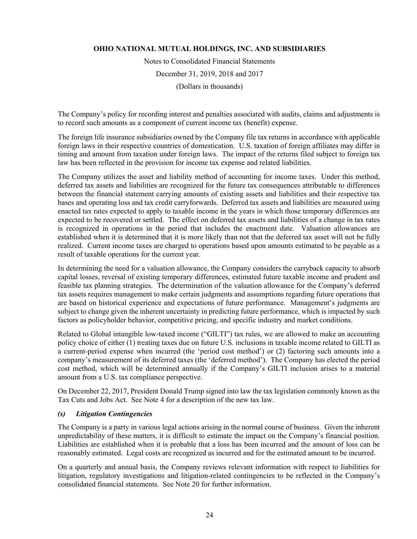Notes to Consolidated Financial Statements December 31, 2019, 2018 and 2017 (Dollars in thousands)

The Company's policy for recording interest and penalties associated with audits, claims and adjustments is to record such amounts as a component of current income tax (benefit) expense.

The foreign life insurance subsidiaries owned by the Company file tax returns in accordance with applicable foreign laws in their respective countries of domestication. U.S. taxation of foreign affiliates may differ in timing and amount from taxation under foreign laws. The impact of the returns filed subject to foreign tax law has been reflected in the provision for income tax expense and related liabilities.

The Company utilizes the asset and liability method of accounting for income taxes. Under this method, deferred tax assets and liabilities are recognized for the future tax consequences attributable to differences between the financial statement carrying amounts of existing assets and liabilities and their respective tax bases and operating loss and tax credit carryforwards. Deferred tax assets and liabilities are measured using enacted tax rates expected to apply to taxable income in the years in which those temporary differences are expected to be recovered or settled. The effect on deferred tax assets and liabilities of a change in tax rates is recognized in operations in the period that includes the enactment date. Valuation allowances are established when it is determined that it is more likely than not that the deferred tax asset will not be fully realized. Current income taxes are charged to operations based upon amounts estimated to be payable as a result of taxable operations for the current year.

In determining the need for a valuation allowance, the Company considers the carryback capacity to absorb capital losses, reversal of existing temporary differences, estimated future taxable income and prudent and feasible tax planning strategies. The determination of the valuation allowance for the Company's deferred tax assets requires management to make certain judgments and assumptions regarding future operations that are based on historical experience and expectations of future performance. Management's judgments are subject to change given the inherent uncertainty in predicting future performance, which is impacted by such factors as policyholder behavior, competitive pricing, and specific industry and market conditions.

Related to Global intangible low-taxed income ("GILTI") tax rules, we are allowed to make an accounting policy choice of either (1) treating taxes due on future U.S. inclusions in taxable income related to GILTI as a current-period expense when incurred (the 'period cost method') or (2) factoring such amounts into a company's measurement of its deferred taxes (the 'deferred method'). The Company has elected the period cost method, which will be determined annually if the Company's GILTI inclusion arises to a material amount from a U.S. tax compliance perspective.

On December 22, 2017, President Donald Trump signed into law the tax legislation commonly known as the Tax Cuts and Jobs Act. See Note 4 for a description of the new tax law.

### *(s) Litigation Contingencies*

The Company is a party in various legal actions arising in the normal course of business. Given the inherent unpredictability of these matters, it is difficult to estimate the impact on the Company's financial position. Liabilities are established when it is probable that a loss has been incurred and the amount of loss can be reasonably estimated. Legal costs are recognized as incurred and for the estimated amount to be incurred.

On a quarterly and annual basis, the Company reviews relevant information with respect to liabilities for litigation, regulatory investigations and litigation-related contingencies to be reflected in the Company's consolidated financial statements. See Note 20 for further information.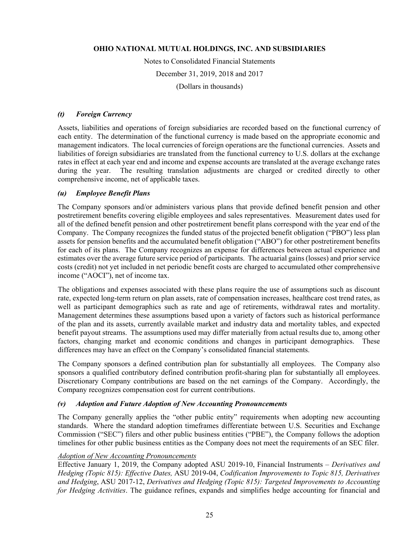Notes to Consolidated Financial Statements

December 31, 2019, 2018 and 2017

(Dollars in thousands)

### *(t) Foreign Currency*

Assets, liabilities and operations of foreign subsidiaries are recorded based on the functional currency of each entity. The determination of the functional currency is made based on the appropriate economic and management indicators. The local currencies of foreign operations are the functional currencies. Assets and liabilities of foreign subsidiaries are translated from the functional currency to U.S. dollars at the exchange rates in effect at each year end and income and expense accounts are translated at the average exchange rates during the year. The resulting translation adjustments are charged or credited directly to other comprehensive income, net of applicable taxes.

### *(u) Employee Benefit Plans*

The Company sponsors and/or administers various plans that provide defined benefit pension and other postretirement benefits covering eligible employees and sales representatives. Measurement dates used for all of the defined benefit pension and other postretirement benefit plans correspond with the year end of the Company. The Company recognizes the funded status of the projected benefit obligation ("PBO") less plan assets for pension benefits and the accumulated benefit obligation ("ABO") for other postretirement benefits for each of its plans. The Company recognizes an expense for differences between actual experience and estimates over the average future service period of participants. The actuarial gains (losses) and prior service costs (credit) not yet included in net periodic benefit costs are charged to accumulated other comprehensive income ("AOCI"), net of income tax.

The obligations and expenses associated with these plans require the use of assumptions such as discount rate, expected long-term return on plan assets, rate of compensation increases, healthcare cost trend rates, as well as participant demographics such as rate and age of retirements, withdrawal rates and mortality. Management determines these assumptions based upon a variety of factors such as historical performance of the plan and its assets, currently available market and industry data and mortality tables, and expected benefit payout streams. The assumptions used may differ materially from actual results due to, among other factors, changing market and economic conditions and changes in participant demographics. These differences may have an effect on the Company's consolidated financial statements.

The Company sponsors a defined contribution plan for substantially all employees. The Company also sponsors a qualified contributory defined contribution profit-sharing plan for substantially all employees. Discretionary Company contributions are based on the net earnings of the Company. Accordingly, the Company recognizes compensation cost for current contributions.

### *(v) Adoption and Future Adoption of New Accounting Pronouncements*

The Company generally applies the "other public entity" requirements when adopting new accounting standards. Where the standard adoption timeframes differentiate between U.S. Securities and Exchange Commission ("SEC") filers and other public business entities ("PBE"), the Company follows the adoption timelines for other public business entities as the Company does not meet the requirements of an SEC filer.

### *Adoption of New Accounting Pronouncements*

Effective January 1, 2019, the Company adopted ASU 2019-10, Financial Instruments – *Derivatives and Hedging (Topic 815): Effective Dates,* ASU 2019-04, *Codification Improvements to Topic 815, Derivatives and Hedging*, ASU 2017-12, *Derivatives and Hedging (Topic 815): Targeted Improvements to Accounting for Hedging Activities*. The guidance refines, expands and simplifies hedge accounting for financial and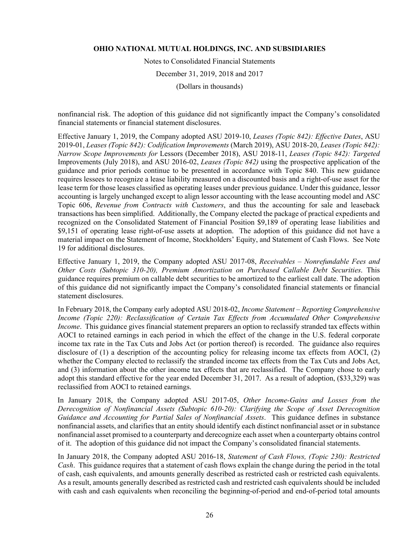Notes to Consolidated Financial Statements December 31, 2019, 2018 and 2017

(Dollars in thousands)

nonfinancial risk. The adoption of this guidance did not significantly impact the Company's consolidated financial statements or financial statement disclosures.

Effective January 1, 2019, the Company adopted ASU 2019-10, *Leases (Topic 842): Effective Dates*, ASU 2019-01, *Leases (Topic 842): Codification Improvements* (March 2019), ASU 2018-20, *Leases (Topic 842): Narrow Scope Improvements for* Lessors (December 2018), ASU 2018-11, *Leases (Topic 842): Targeted*  Improvements (July 2018), and ASU 2016-02, *Leases (Topic 842)* using the prospective application of the guidance and prior periods continue to be presented in accordance with Topic 840. This new guidance requires lessees to recognize a lease liability measured on a discounted basis and a right-of-use asset for the lease term for those leases classified as operating leases under previous guidance. Under this guidance, lessor accounting is largely unchanged except to align lessor accounting with the lease accounting model and ASC Topic 606, *Revenue from Contracts with Customers*, and thus the accounting for sale and leaseback transactions has been simplified. Additionally, the Company elected the package of practical expedients and recognized on the Consolidated Statement of Financial Position \$9,189 of operating lease liabilities and \$9,151 of operating lease right-of-use assets at adoption. The adoption of this guidance did not have a material impact on the Statement of Income, Stockholders' Equity, and Statement of Cash Flows. See Note 19 for additional disclosures.

Effective January 1, 2019, the Company adopted ASU 2017-08, *Receivables – Nonrefundable Fees and Other Costs (Subtopic 310-20), Premium Amortization on Purchased Callable Debt Securities*. This guidance requires premium on callable debt securities to be amortized to the earliest call date. The adoption of this guidance did not significantly impact the Company's consolidated financial statements or financial statement disclosures.

In February 2018, the Company early adopted ASU 2018-02, *Income Statement – Reporting Comprehensive Income (Topic 220): Reclassification of Certain Tax Effects from Accumulated Other Comprehensive Income*. This guidance gives financial statement preparers an option to reclassify stranded tax effects within AOCI to retained earnings in each period in which the effect of the change in the U.S. federal corporate income tax rate in the Tax Cuts and Jobs Act (or portion thereof) is recorded. The guidance also requires disclosure of (1) a description of the accounting policy for releasing income tax effects from AOCI, (2) whether the Company elected to reclassify the stranded income tax effects from the Tax Cuts and Jobs Act, and (3) information about the other income tax effects that are reclassified. The Company chose to early adopt this standard effective for the year ended December 31, 2017. As a result of adoption, (\$33,329) was reclassified from AOCI to retained earnings.

In January 2018, the Company adopted ASU 2017-05, *Other Income-Gains and Losses from the Derecognition of Nonfinancial Assets (Subtopic 610-20): Clarifying the Scope of Asset Derecognition Guidance and Accounting for Partial Sales of Nonfinancial Assets*. This guidance defines in substance nonfinancial assets, and clarifies that an entity should identify each distinct nonfinancial asset or in substance nonfinancial asset promised to a counterparty and derecognize each asset when a counterparty obtains control of it. The adoption of this guidance did not impact the Company's consolidated financial statements.

In January 2018, the Company adopted ASU 2016-18, *Statement of Cash Flows, (Topic 230): Restricted Cash*. This guidance requires that a statement of cash flows explain the change during the period in the total of cash, cash equivalents, and amounts generally described as restricted cash or restricted cash equivalents. As a result, amounts generally described as restricted cash and restricted cash equivalents should be included with cash and cash equivalents when reconciling the beginning-of-period and end-of-period total amounts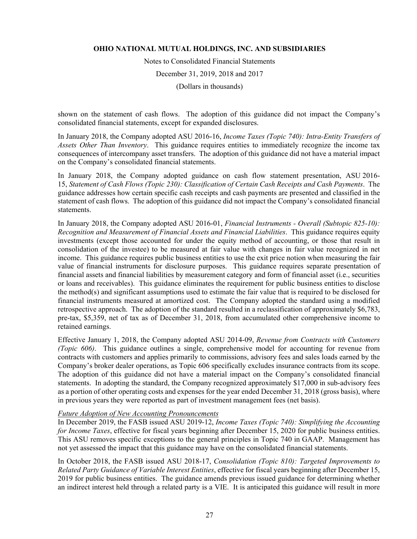Notes to Consolidated Financial Statements December 31, 2019, 2018 and 2017 (Dollars in thousands)

shown on the statement of cash flows. The adoption of this guidance did not impact the Company's consolidated financial statements, except for expanded disclosures.

In January 2018, the Company adopted ASU 2016-16, *Income Taxes (Topic 740): Intra-Entity Transfers of Assets Other Than Inventory*. This guidance requires entities to immediately recognize the income tax consequences of intercompany asset transfers. The adoption of this guidance did not have a material impact on the Company's consolidated financial statements.

In January 2018, the Company adopted guidance on cash flow statement presentation, ASU 2016- 15, *Statement of Cash Flows (Topic 230): Classification of Certain Cash Receipts and Cash Payments*. The guidance addresses how certain specific cash receipts and cash payments are presented and classified in the statement of cash flows. The adoption of this guidance did not impact the Company's consolidated financial statements.

In January 2018, the Company adopted ASU 2016-01, *Financial Instruments - Overall (Subtopic 825-10): Recognition and Measurement of Financial Assets and Financial Liabilities*. This guidance requires equity investments (except those accounted for under the equity method of accounting, or those that result in consolidation of the investee) to be measured at fair value with changes in fair value recognized in net income. This guidance requires public business entities to use the exit price notion when measuring the fair value of financial instruments for disclosure purposes. This guidance requires separate presentation of financial assets and financial liabilities by measurement category and form of financial asset (i.e., securities or loans and receivables). This guidance eliminates the requirement for public business entities to disclose the method(s) and significant assumptions used to estimate the fair value that is required to be disclosed for financial instruments measured at amortized cost. The Company adopted the standard using a modified retrospective approach. The adoption of the standard resulted in a reclassification of approximately \$6,783, pre-tax, \$5,359, net of tax as of December 31, 2018, from accumulated other comprehensive income to retained earnings.

Effective January 1, 2018, the Company adopted ASU 2014-09, *Revenue from Contracts with Customers (Topic 606)*. This guidance outlines a single, comprehensive model for accounting for revenue from contracts with customers and applies primarily to commissions, advisory fees and sales loads earned by the Company's broker dealer operations, as Topic 606 specifically excludes insurance contracts from its scope. The adoption of this guidance did not have a material impact on the Company's consolidated financial statements. In adopting the standard, the Company recognized approximately \$17,000 in sub-advisory fees as a portion of other operating costs and expenses for the year ended December 31, 2018 (gross basis), where in previous years they were reported as part of investment management fees (net basis).

#### *Future Adoption of New Accounting Pronouncements*

In December 2019, the FASB issued ASU 2019-12, *Income Taxes (Topic 740): Simplifying the Accounting for Income Taxes*, effective for fiscal years beginning after December 15, 2020 for public business entities. This ASU removes specific exceptions to the general principles in Topic 740 in GAAP. Management has not yet assessed the impact that this guidance may have on the consolidated financial statements.

In October 2018, the FASB issued ASU 2018-17, *Consolidation (Topic 810): Targeted Improvements to Related Party Guidance of Variable Interest Entities*, effective for fiscal years beginning after December 15, 2019 for public business entities. The guidance amends previous issued guidance for determining whether an indirect interest held through a related party is a VIE. It is anticipated this guidance will result in more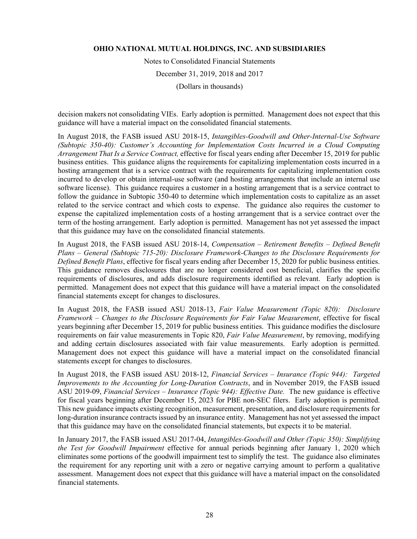Notes to Consolidated Financial Statements December 31, 2019, 2018 and 2017 (Dollars in thousands)

decision makers not consolidating VIEs. Early adoption is permitted. Management does not expect that this guidance will have a material impact on the consolidated financial statements.

In August 2018, the FASB issued ASU 2018-15, *Intangibles-Goodwill and Other-Internal-Use Software (Subtopic 350-40): Customer's Accounting for Implementation Costs Incurred in a Cloud Computing Arrangement That Is a Service Contract,* effective for fiscal years ending after December 15, 2019 for public business entities. This guidance aligns the requirements for capitalizing implementation costs incurred in a hosting arrangement that is a service contract with the requirements for capitalizing implementation costs incurred to develop or obtain internal-use software (and hosting arrangements that include an internal use software license). This guidance requires a customer in a hosting arrangement that is a service contract to follow the guidance in Subtopic 350-40 to determine which implementation costs to capitalize as an asset related to the service contract and which costs to expense. The guidance also requires the customer to expense the capitalized implementation costs of a hosting arrangement that is a service contract over the term of the hosting arrangement. Early adoption is permitted. Management has not yet assessed the impact that this guidance may have on the consolidated financial statements.

In August 2018, the FASB issued ASU 2018-14, *Compensation – Retirement Benefits – Defined Benefit Plans – General (Subtopic 715-20): Disclosure Framework-Changes to the Disclosure Requirements for Defined Benefit Plans*, effective for fiscal years ending after December 15, 2020 for public business entities. This guidance removes disclosures that are no longer considered cost beneficial, clarifies the specific requirements of disclosures, and adds disclosure requirements identified as relevant. Early adoption is permitted. Management does not expect that this guidance will have a material impact on the consolidated financial statements except for changes to disclosures.

In August 2018, the FASB issued ASU 2018-13, *Fair Value Measurement (Topic 820): Disclosure Framework – Changes to the Disclosure Requirements for Fair Value Measurement*, effective for fiscal years beginning after December 15, 2019 for public business entities. This guidance modifies the disclosure requirements on fair value measurements in Topic 820, *Fair Value Measurement*, by removing, modifying and adding certain disclosures associated with fair value measurements. Early adoption is permitted. Management does not expect this guidance will have a material impact on the consolidated financial statements except for changes to disclosures.

In August 2018, the FASB issued ASU 2018-12, *Financial Services – Insurance (Topic 944): Targeted Improvements to the Accounting for Long-Duration Contracts*, and in November 2019, the FASB issued ASU 2019-09, *Financial Services – Insurance (Topic 944): Effective Date.* The new guidance is effective for fiscal years beginning after December 15, 2023 for PBE non-SEC filers. Early adoption is permitted. This new guidance impacts existing recognition, measurement, presentation, and disclosure requirements for long-duration insurance contracts issued by an insurance entity. Management has not yet assessed the impact that this guidance may have on the consolidated financial statements, but expects it to be material.

In January 2017, the FASB issued ASU 2017-04, *Intangibles-Goodwill and Other (Topic 350): Simplifying the Test for Goodwill Impairment* effective for annual periods beginning after January 1, 2020 which eliminates some portions of the goodwill impairment test to simplify the test. The guidance also eliminates the requirement for any reporting unit with a zero or negative carrying amount to perform a qualitative assessment. Management does not expect that this guidance will have a material impact on the consolidated financial statements.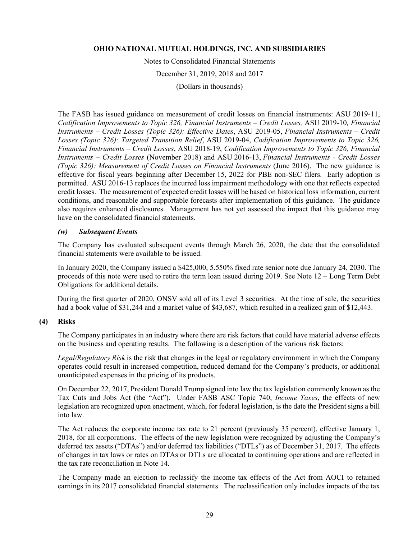Notes to Consolidated Financial Statements

December 31, 2019, 2018 and 2017

(Dollars in thousands)

The FASB has issued guidance on measurement of credit losses on financial instruments: ASU 2019-11, *Codification Improvements to Topic 326, Financial Instruments – Credit Losses,* ASU 2019-10*, Financial Instruments – Credit Losses (Topic 326): Effective Dates*, ASU 2019-05, *Financial Instruments – Credit Losses (Topic 326): Targeted Transition Relief*, ASU 2019-04, *Codification Improvements to Topic 326, Financial Instruments – Credit Losses*, ASU 2018-19, *Codification Improvements to Topic 326, Financial Instruments – Credit Losses* (November 2018) and ASU 2016-13, *Financial Instruments - Credit Losses (Topic 326): Measurement of Credit Losses on Financial Instruments (June 2016). The new guidance is* effective for fiscal years beginning after December 15, 2022 for PBE non-SEC filers. Early adoption is permitted. ASU 2016-13 replaces the incurred loss impairment methodology with one that reflects expected credit losses. The measurement of expected credit losses will be based on historical loss information, current conditions, and reasonable and supportable forecasts after implementation of this guidance. The guidance also requires enhanced disclosures. Management has not yet assessed the impact that this guidance may have on the consolidated financial statements.

### *(w) Subsequent Events*

The Company has evaluated subsequent events through March 26, 2020, the date that the consolidated financial statements were available to be issued.

In January 2020, the Company issued a \$425,000, 5.550% fixed rate senior note due January 24, 2030. The proceeds of this note were used to retire the term loan issued during 2019. See Note 12 – Long Term Debt Obligations for additional details.

During the first quarter of 2020, ONSV sold all of its Level 3 securities. At the time of sale, the securities had a book value of \$31,244 and a market value of \$43,687, which resulted in a realized gain of \$12,443.

#### **(4) Risks**

The Company participates in an industry where there are risk factors that could have material adverse effects on the business and operating results. The following is a description of the various risk factors:

*Legal/Regulatory Risk* is the risk that changes in the legal or regulatory environment in which the Company operates could result in increased competition, reduced demand for the Company's products, or additional unanticipated expenses in the pricing of its products.

On December 22, 2017, President Donald Trump signed into law the tax legislation commonly known as the Tax Cuts and Jobs Act (the "Act"). Under FASB ASC Topic 740, *Income Taxes*, the effects of new legislation are recognized upon enactment, which, for federal legislation, is the date the President signs a bill into law.

The Act reduces the corporate income tax rate to 21 percent (previously 35 percent), effective January 1, 2018, for all corporations. The effects of the new legislation were recognized by adjusting the Company's deferred tax assets ("DTAs") and/or deferred tax liabilities ("DTLs") as of December 31, 2017. The effects of changes in tax laws or rates on DTAs or DTLs are allocated to continuing operations and are reflected in the tax rate reconciliation in Note 14.

The Company made an election to reclassify the income tax effects of the Act from AOCI to retained earnings in its 2017 consolidated financial statements. The reclassification only includes impacts of the tax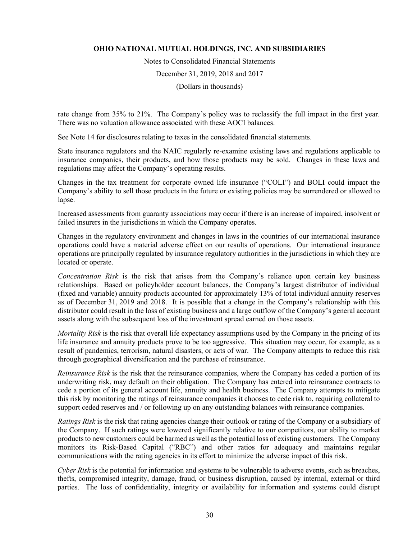Notes to Consolidated Financial Statements

December 31, 2019, 2018 and 2017

(Dollars in thousands)

rate change from 35% to 21%. The Company's policy was to reclassify the full impact in the first year. There was no valuation allowance associated with these AOCI balances.

See Note 14 for disclosures relating to taxes in the consolidated financial statements.

State insurance regulators and the NAIC regularly re-examine existing laws and regulations applicable to insurance companies, their products, and how those products may be sold. Changes in these laws and regulations may affect the Company's operating results.

Changes in the tax treatment for corporate owned life insurance ("COLI") and BOLI could impact the Company's ability to sell those products in the future or existing policies may be surrendered or allowed to lapse.

Increased assessments from guaranty associations may occur if there is an increase of impaired, insolvent or failed insurers in the jurisdictions in which the Company operates.

Changes in the regulatory environment and changes in laws in the countries of our international insurance operations could have a material adverse effect on our results of operations. Our international insurance operations are principally regulated by insurance regulatory authorities in the jurisdictions in which they are located or operate.

*Concentration Risk* is the risk that arises from the Company's reliance upon certain key business relationships. Based on policyholder account balances, the Company's largest distributor of individual (fixed and variable) annuity products accounted for approximately 13% of total individual annuity reserves as of December 31, 2019 and 2018. It is possible that a change in the Company's relationship with this distributor could result in the loss of existing business and a large outflow of the Company's general account assets along with the subsequent loss of the investment spread earned on those assets.

*Mortality Risk* is the risk that overall life expectancy assumptions used by the Company in the pricing of its life insurance and annuity products prove to be too aggressive. This situation may occur, for example, as a result of pandemics, terrorism, natural disasters, or acts of war. The Company attempts to reduce this risk through geographical diversification and the purchase of reinsurance.

*Reinsurance Risk* is the risk that the reinsurance companies, where the Company has ceded a portion of its underwriting risk, may default on their obligation. The Company has entered into reinsurance contracts to cede a portion of its general account life, annuity and health business. The Company attempts to mitigate this risk by monitoring the ratings of reinsurance companies it chooses to cede risk to, requiring collateral to support ceded reserves and / or following up on any outstanding balances with reinsurance companies.

*Ratings Risk* is the risk that rating agencies change their outlook or rating of the Company or a subsidiary of the Company. If such ratings were lowered significantly relative to our competitors, our ability to market products to new customers could be harmed as well as the potential loss of existing customers. The Company monitors its Risk-Based Capital ("RBC") and other ratios for adequacy and maintains regular communications with the rating agencies in its effort to minimize the adverse impact of this risk.

*Cyber Risk* is the potential for information and systems to be vulnerable to adverse events, such as breaches, thefts, compromised integrity, damage, fraud, or business disruption, caused by internal, external or third parties. The loss of confidentiality, integrity or availability for information and systems could disrupt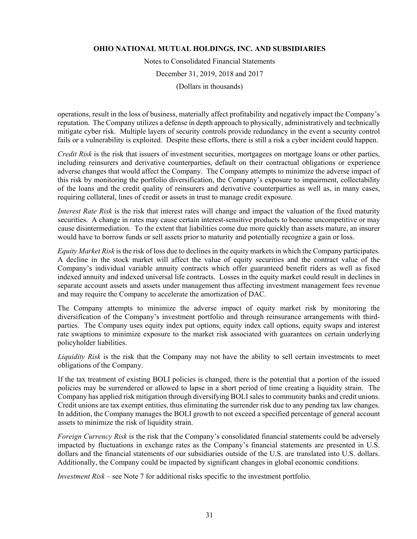Notes to Consolidated Financial Statements

December 31, 2019, 2018 and 2017

(Dollars in thousands)

operations, result in the loss of business, materially affect profitability and negatively impact the Company's reputation. The Company utilizes a defense in depth approach to physically, administratively and technically mitigate cyber risk. Multiple layers of security controls provide redundancy in the event a security control fails or a vulnerability is exploited. Despite these efforts, there is still a risk a cyber incident could happen.

*Credit Risk* is the risk that issuers of investment securities, mortgagees on mortgage loans or other parties, including reinsurers and derivative counterparties, default on their contractual obligations or experience adverse changes that would affect the Company. The Company attempts to minimize the adverse impact of this risk by monitoring the portfolio diversification, the Company's exposure to impairment, collectability of the loans and the credit quality of reinsurers and derivative counterparties as well as, in many cases, requiring collateral, lines of credit or assets in trust to manage credit exposure.

*Interest Rate Risk* is the risk that interest rates will change and impact the valuation of the fixed maturity securities. A change in rates may cause certain interest-sensitive products to become uncompetitive or may cause disintermediation. To the extent that liabilities come due more quickly than assets mature, an insurer would have to borrow funds or sell assets prior to maturity and potentially recognize a gain or loss.

*Equity Market Risk* is the risk of loss due to declines in the equity markets in which the Company participates. A decline in the stock market will affect the value of equity securities and the contract value of the Company's individual variable annuity contracts which offer guaranteed benefit riders as well as fixed indexed annuity and indexed universal life contracts. Losses in the equity market could result in declines in separate account assets and assets under management thus affecting investment management fees revenue and may require the Company to accelerate the amortization of DAC.

The Company attempts to minimize the adverse impact of equity market risk by monitoring the diversification of the Company's investment portfolio and through reinsurance arrangements with thirdparties. The Company uses equity index put options, equity index call options, equity swaps and interest rate swaptions to minimize exposure to the market risk associated with guarantees on certain underlying policyholder liabilities.

*Liquidity Risk* is the risk that the Company may not have the ability to sell certain investments to meet obligations of the Company.

If the tax treatment of existing BOLI policies is changed, there is the potential that a portion of the issued policies may be surrendered or allowed to lapse in a short period of time creating a liquidity strain. The Company has applied risk mitigation through diversifying BOLI sales to community banks and credit unions. Credit unions are tax exempt entities, thus eliminating the surrender risk due to any pending tax law changes. In addition, the Company manages the BOLI growth to not exceed a specified percentage of general account assets to minimize the risk of liquidity strain.

*Foreign Currency Risk* is the risk that the Company's consolidated financial statements could be adversely impacted by fluctuations in exchange rates as the Company's financial statements are presented in U.S. dollars and the financial statements of our subsidiaries outside of the U.S. are translated into U.S. dollars. Additionally, the Company could be impacted by significant changes in global economic conditions.

*Investment Risk* – see Note 7 for additional risks specific to the investment portfolio.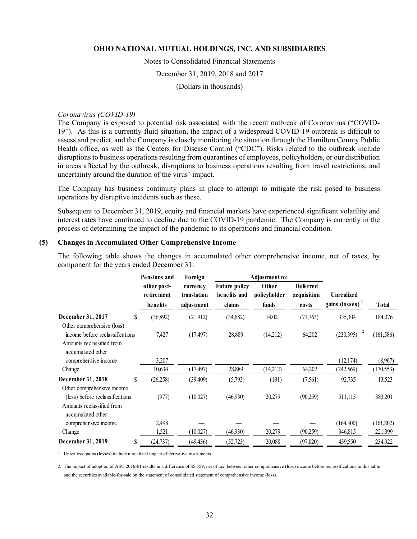#### Notes to Consolidated Financial Statements

December 31, 2019, 2018 and 2017

(Dollars in thousands)

#### *Coronavirus (COVID-19)*

The Company is exposed to potential risk associated with the recent outbreak of Coronavirus ("COVID-19"). As this is a currently fluid situation, the impact of a widespread COVID-19 outbreak is difficult to assess and predict, and the Company is closely monitoring the situation through the Hamilton County Public Health office, as well as the Centers for Disease Control ("CDC"). Risks related to the outbreak include disruptions to business operations resulting from quarantines of employees, policyholders, or our distribution in areas affected by the outbreak, disruptions to business operations resulting from travel restrictions, and uncertainty around the duration of the virus' impact.

The Company has business continuity plans in place to attempt to mitigate the risk posed to business operations by disruptive incidents such as these.

Subsequent to December 31, 2019, equity and financial markets have experienced significant volatility and interest rates have continued to decline due to the COVID-19 pandemic. The Company is currently in the process of determining the impact of the pandemic to its operations and financial condition.

#### **(5) Changes in Accumulated Other Comprehensive Income**

The following table shows the changes in accumulated other comprehensive income, net of taxes, by component for the years ended December 31:

|                                                                                                                 | Pensions and                                      | Foreign                               |                                                | Adjustment to:                 |                                         |                                     |            |
|-----------------------------------------------------------------------------------------------------------------|---------------------------------------------------|---------------------------------------|------------------------------------------------|--------------------------------|-----------------------------------------|-------------------------------------|------------|
|                                                                                                                 | other post-<br>re tire me nt<br><b>be</b> ne fits | currency<br>translation<br>adjustment | <b>Future policy</b><br>benefits and<br>claims | Other<br>policyholder<br>funds | <b>Deferred</b><br>acquisition<br>costs | <b>Unrealized</b><br>gains (losses) | Total      |
| December 31, 2017<br>\$                                                                                         | (36,892)                                          | (21,912)                              | (34,682)                                       | 14,021                         | (71,763)                                | 335,304                             | 184,076    |
| Other comprehensive (loss)<br>income before reclassifications<br>Amounts reclassified from<br>accumulated other | 7,427                                             | (17, 497)                             | 28,889                                         | (14,212)                       | 64,202                                  | (230,395)                           | (161, 586) |
| comprehensive income                                                                                            | 3,207                                             |                                       |                                                |                                |                                         | (12, 174)                           | (8,967)    |
| Change                                                                                                          | 10,634                                            | (17, 497)                             | 28,889                                         | (14,212)                       | 64,202                                  | (242, 569)                          | (170, 553) |
| December 31, 2018<br>S                                                                                          | (26,258)                                          | (39, 409)                             | (5,793)                                        | (191)                          | (7,561)                                 | 92,735                              | 13,523     |
| Other comprehensive income<br>(loss) before reclassifications<br>Amounts reclassified from<br>accumulated other | (977)                                             | (10,027)                              | (46,930)                                       | 20,279                         | (90,259)                                | 511,115                             | 383,201    |
| comprehensive income                                                                                            | 2,498                                             |                                       |                                                |                                |                                         | (164,300)                           | (161,802)  |
| Change                                                                                                          | 1,521                                             | (10,027)                              | (46,930)                                       | 20,279                         | (90,259)                                | 346,815                             | 221,399    |
| December 31, 2019<br>S                                                                                          | (24, 737)                                         | (49, 436)                             | (52, 723)                                      | 20,088                         | (97, 820)                               | 439,550                             | 234,922    |

1. Unrealized gains (losses) include unrealized impact of derivative instruments

2. The impact of adoption of ASU 2016-01 results in a difference of \$5,359, net of tax, between other comprehensive (loss) income before reclassifications in this table and the securities available-for-sale on the statement of consolidated statement of comprehensive income (loss).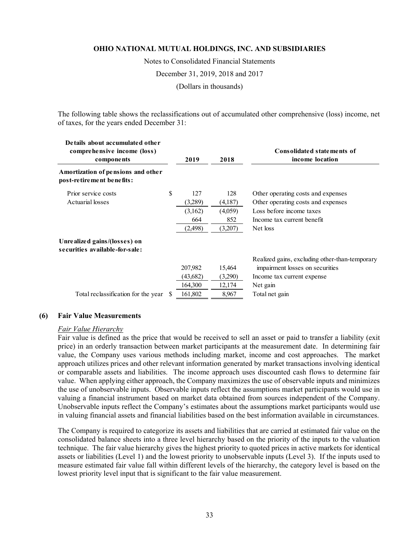Notes to Consolidated Financial Statements

December 31, 2019, 2018 and 2017

(Dollars in thousands)

The following table shows the reclassifications out of accumulated other comprehensive (loss) income, net of taxes, for the years ended December 31:

| Details about accumulated other<br>comprehensive income (loss)<br>components |    | 2019     | 2018    | Consolidated statements of<br>income location  |
|------------------------------------------------------------------------------|----|----------|---------|------------------------------------------------|
| Amortization of pensions and other<br>post-retirement benefits:              |    |          |         |                                                |
| Prior service costs                                                          | \$ | 127      | 128     | Other operating costs and expenses             |
| Actuarial losses                                                             |    | (3,289)  | (4,187) | Other operating costs and expenses             |
|                                                                              |    | (3,162)  | (4,059) | Loss before income taxes                       |
|                                                                              |    | 664      | 852     | Income tax current benefit                     |
|                                                                              |    | (2, 498) | (3,207) | Net loss                                       |
| Unrealized gains/(losses) on<br>securities available-for-sale:               |    |          |         |                                                |
|                                                                              |    |          |         | Realized gains, excluding other-than-temporary |
|                                                                              |    | 207,982  | 15,464  | impairment losses on securities                |
|                                                                              |    | (43,682) | (3,290) | Income tax current expense                     |
|                                                                              |    | 164,300  | 12,174  | Net gain                                       |
| Total reclassification for the year                                          | S. | 161,802  | 8,967   | Total net gain                                 |

#### **(6) Fair Value Measurements**

#### *Fair Value Hierarchy*

Fair value is defined as the price that would be received to sell an asset or paid to transfer a liability (exit price) in an orderly transaction between market participants at the measurement date. In determining fair value, the Company uses various methods including market, income and cost approaches. The market approach utilizes prices and other relevant information generated by market transactions involving identical or comparable assets and liabilities. The income approach uses discounted cash flows to determine fair value. When applying either approach, the Company maximizes the use of observable inputs and minimizes the use of unobservable inputs. Observable inputs reflect the assumptions market participants would use in valuing a financial instrument based on market data obtained from sources independent of the Company. Unobservable inputs reflect the Company's estimates about the assumptions market participants would use in valuing financial assets and financial liabilities based on the best information available in circumstances.

The Company is required to categorize its assets and liabilities that are carried at estimated fair value on the consolidated balance sheets into a three level hierarchy based on the priority of the inputs to the valuation technique. The fair value hierarchy gives the highest priority to quoted prices in active markets for identical assets or liabilities (Level 1) and the lowest priority to unobservable inputs (Level 3). If the inputs used to measure estimated fair value fall within different levels of the hierarchy, the category level is based on the lowest priority level input that is significant to the fair value measurement.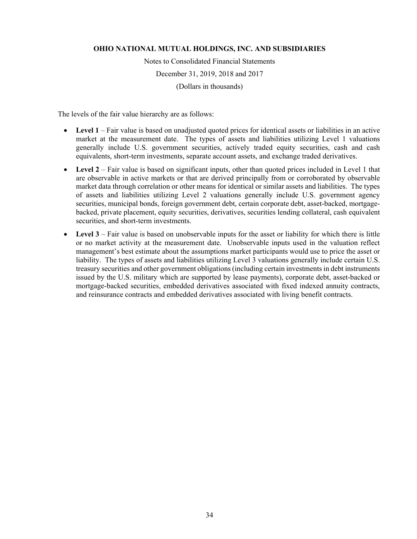Notes to Consolidated Financial Statements December 31, 2019, 2018 and 2017 (Dollars in thousands)

The levels of the fair value hierarchy are as follows:

- Level 1 Fair value is based on unadjusted quoted prices for identical assets or liabilities in an active market at the measurement date. The types of assets and liabilities utilizing Level 1 valuations generally include U.S. government securities, actively traded equity securities, cash and cash equivalents, short-term investments, separate account assets, and exchange traded derivatives.
- **Level 2** Fair value is based on significant inputs, other than quoted prices included in Level 1 that are observable in active markets or that are derived principally from or corroborated by observable market data through correlation or other means for identical or similar assets and liabilities. The types of assets and liabilities utilizing Level 2 valuations generally include U.S. government agency securities, municipal bonds, foreign government debt, certain corporate debt, asset-backed, mortgagebacked, private placement, equity securities, derivatives, securities lending collateral, cash equivalent securities, and short-term investments.
- **Level 3** Fair value is based on unobservable inputs for the asset or liability for which there is little or no market activity at the measurement date. Unobservable inputs used in the valuation reflect management's best estimate about the assumptions market participants would use to price the asset or liability. The types of assets and liabilities utilizing Level 3 valuations generally include certain U.S. treasury securities and other government obligations (including certain investments in debt instruments issued by the U.S. military which are supported by lease payments), corporate debt, asset-backed or mortgage-backed securities, embedded derivatives associated with fixed indexed annuity contracts, and reinsurance contracts and embedded derivatives associated with living benefit contracts.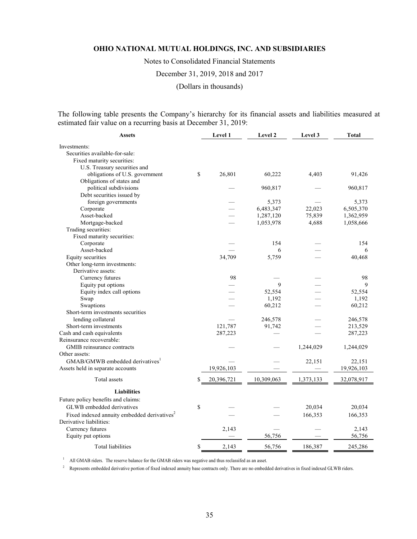Notes to Consolidated Financial Statements

December 31, 2019, 2018 and 2017

(Dollars in thousands)

The following table presents the Company's hierarchy for its financial assets and liabilities measured at estimated fair value on a recurring basis at December 31, 2019:

| <b>Assets</b>                                           | Level 1          | Level 2    | Level 3   | <b>Total</b> |
|---------------------------------------------------------|------------------|------------|-----------|--------------|
| Investments:                                            |                  |            |           |              |
| Securities available-for-sale:                          |                  |            |           |              |
| Fixed maturity securities:                              |                  |            |           |              |
| U.S. Treasury securities and                            |                  |            |           |              |
| obligations of U.S. government                          | \$<br>26,801     | 60,222     | 4,403     | 91,426       |
| Obligations of states and                               |                  |            |           |              |
| political subdivisions                                  |                  | 960,817    |           | 960,817      |
| Debt securities issued by                               |                  |            |           |              |
| foreign governments                                     |                  | 5,373      |           | 5,373        |
| Corporate                                               |                  | 6,483,347  | 22,023    | 6,505,370    |
| Asset-backed                                            |                  | 1,287,120  | 75,839    | 1,362,959    |
| Mortgage-backed                                         |                  | 1,053,978  | 4,688     | 1,058,666    |
| Trading securities:                                     |                  |            |           |              |
| Fixed maturity securities:                              |                  |            |           |              |
| Corporate                                               |                  | 154        |           | 154          |
| Asset-backed                                            |                  | 6          |           | 6            |
| Equity securities                                       | 34,709           | 5,759      |           | 40,468       |
| Other long-term investments:                            |                  |            |           |              |
| Derivative assets:                                      |                  |            |           |              |
| Currency futures                                        | 98               |            |           | 98           |
| Equity put options                                      |                  | 9          |           | 9            |
| Equity index call options                               |                  | 52,554     |           | 52,554       |
| Swap                                                    |                  | 1,192      |           | 1,192        |
| Swaptions                                               |                  | 60,212     |           | 60,212       |
| Short-term investments securities                       |                  |            |           |              |
| lending collateral                                      |                  | 246,578    |           | 246,578      |
| Short-term investments                                  | 121,787          | 91,742     |           | 213,529      |
| Cash and cash equivalents                               | 287,223          |            |           | 287,223      |
| Reinsurance recoverable:                                |                  |            |           |              |
| GMIB reinsurance contracts                              |                  |            | 1,244,029 | 1,244,029    |
| Other assets:                                           |                  |            |           |              |
| GMAB/GMWB embedded derivatives <sup>1</sup>             |                  |            | 22,151    | 22,151       |
| Assets held in separate accounts                        | 19,926,103       |            |           | 19,926,103   |
| Total assets                                            | \$<br>20,396,721 | 10,309,063 | 1,373,133 | 32,078,917   |
| <b>Liabilities</b>                                      |                  |            |           |              |
| Future policy benefits and claims:                      |                  |            |           |              |
| GLWB embedded derivatives                               | \$               |            | 20,034    | 20,034       |
| Fixed indexed annuity embedded derivatives <sup>2</sup> |                  |            | 166,353   | 166,353      |
| Derivative liabilities:                                 |                  |            |           |              |
| Currency futures                                        | 2,143            |            |           | 2,143        |
| Equity put options                                      |                  | 56,756     |           | 56,756       |
|                                                         |                  |            |           |              |
| Total liabilities                                       | \$<br>2,143      | 56,756     | 186,387   | 245,286      |

<sup>1</sup> All GMAB riders. The reserve balance for the GMAB riders was negative and thus reclassifed as an asset.

<sup>2</sup> Represents embedded derivative portion of fixed indexed annuity base contracts only. There are no embedded derivatives in fixed indexed GLWB riders.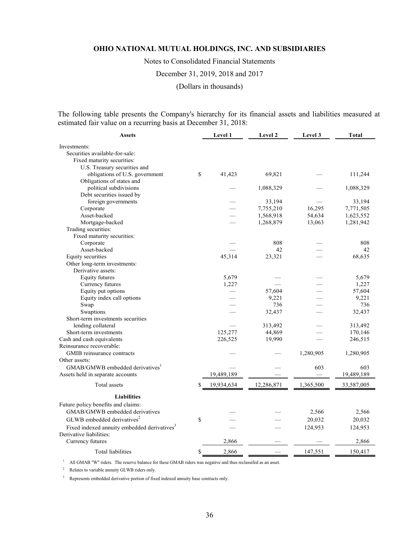Notes to Consolidated Financial Statements

December 31, 2019, 2018 and 2017

(Dollars in thousands)

The following table presents the Company's hierarchy for its financial assets and liabilities measured at estimated fair value on a recurring basis at December 31, 2018:

| <b>Assets</b>                                           | Level 1          | Level 2    | Level 3   | <b>Total</b> |
|---------------------------------------------------------|------------------|------------|-----------|--------------|
| Investments:                                            |                  |            |           |              |
| Securities available-for-sale:                          |                  |            |           |              |
| Fixed maturity securities:                              |                  |            |           |              |
| U.S. Treasury securities and                            |                  |            |           |              |
| obligations of U.S. government                          | \$<br>41,423     | 69,821     |           | 111,244      |
| Obligations of states and                               |                  |            |           |              |
| political subdivisions                                  |                  | 1,088,329  |           | 1,088,329    |
| Debt securities issued by                               |                  |            |           |              |
| foreign governments                                     |                  | 33,194     |           | 33,194       |
| Corporate                                               |                  | 7,755,210  | 16,295    | 7,771,505    |
| Asset-backed                                            |                  | 1,568,918  | 54,634    | 1,623,552    |
| Mortgage-backed                                         |                  | 1,268,879  | 13,063    | 1,281,942    |
| Trading securities:                                     |                  |            |           |              |
| Fixed maturity securities:                              |                  |            |           |              |
| Corporate                                               |                  | 808        |           | 808          |
| Asset-backed                                            |                  | 42         |           | 42           |
| Equity securities                                       | 45,314           | 23,321     |           | 68,635       |
| Other long-term investments:                            |                  |            |           |              |
| Derivative assets:                                      |                  |            |           |              |
| <b>Equity futures</b>                                   | 5,679            |            |           | 5,679        |
| Currency futures                                        | 1,227            |            |           | 1,227        |
| Equity put options                                      |                  | 57,604     |           | 57,604       |
| Equity index call options                               |                  | 9,221      |           | 9,221        |
| Swap                                                    |                  | 736        |           | 736          |
| Swaptions                                               |                  | 32,437     |           | 32,437       |
| Short-term investments securities                       |                  |            |           |              |
| lending collateral                                      |                  | 313,492    |           | 313,492      |
| Short-term investments                                  | 125,277          | 44,869     |           | 170,146      |
| Cash and cash equivalents                               | 226,525          | 19,990     |           | 246,515      |
| Reinsurance recoverable:                                |                  |            |           |              |
| GMIB reinsurance contracts                              |                  |            | 1,280,905 | 1,280,905    |
| Other assets:                                           |                  |            |           |              |
| GMAB/GMWB embedded derivatives                          |                  |            | 603       | 603          |
| Assets held in separate accounts                        | 19,489,189       |            |           | 19,489,189   |
|                                                         |                  |            |           |              |
| Total assets                                            | \$<br>19,934,634 | 12,286,871 | 1,365,500 | 33,587,005   |
| <b>Liabilities</b>                                      |                  |            |           |              |
| Future policy benefits and claims:                      |                  |            |           |              |
| GMAB/GMWB embedded derivatives                          |                  |            | 2,566     | 2,566        |
| GLWB embedded derivatives <sup>2</sup>                  | \$               |            | 20,032    | 20,032       |
| Fixed indexed annuity embedded derivatives <sup>3</sup> |                  |            | 124,953   | 124,953      |
| Derivative liabilities:                                 |                  |            |           |              |
| Currency futures                                        | 2,866            |            |           | 2,866        |
| Total liabilities                                       | \$<br>2,866      |            | 147,551   | 150,417      |

<sup>1</sup> All GMAB "W" riders. The reserve balance for these GMAB riders was negative and thus reclassifed as an asset.

<sup>2</sup> Relates to variable annuity GLWB riders only.

<sup>3</sup> Represents embedded derivative portion of fixed indexed annuity base contracts only.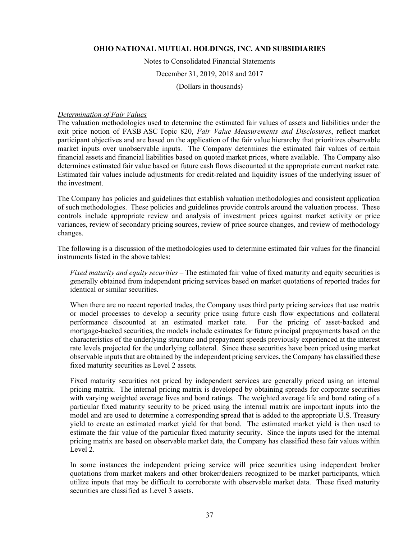#### Notes to Consolidated Financial Statements

December 31, 2019, 2018 and 2017

(Dollars in thousands)

#### *Determination of Fair Values*

The valuation methodologies used to determine the estimated fair values of assets and liabilities under the exit price notion of FASB ASC Topic 820, *Fair Value Measurements and Disclosures*, reflect market participant objectives and are based on the application of the fair value hierarchy that prioritizes observable market inputs over unobservable inputs. The Company determines the estimated fair values of certain financial assets and financial liabilities based on quoted market prices, where available. The Company also determines estimated fair value based on future cash flows discounted at the appropriate current market rate. Estimated fair values include adjustments for credit-related and liquidity issues of the underlying issuer of the investment.

The Company has policies and guidelines that establish valuation methodologies and consistent application of such methodologies. These policies and guidelines provide controls around the valuation process. These controls include appropriate review and analysis of investment prices against market activity or price variances, review of secondary pricing sources, review of price source changes, and review of methodology changes.

The following is a discussion of the methodologies used to determine estimated fair values for the financial instruments listed in the above tables:

*Fixed maturity and equity securities –* The estimated fair value of fixed maturity and equity securities is generally obtained from independent pricing services based on market quotations of reported trades for identical or similar securities.

When there are no recent reported trades, the Company uses third party pricing services that use matrix or model processes to develop a security price using future cash flow expectations and collateral performance discounted at an estimated market rate. For the pricing of asset-backed and mortgage-backed securities, the models include estimates for future principal prepayments based on the characteristics of the underlying structure and prepayment speeds previously experienced at the interest rate levels projected for the underlying collateral. Since these securities have been priced using market observable inputs that are obtained by the independent pricing services, the Company has classified these fixed maturity securities as Level 2 assets.

Fixed maturity securities not priced by independent services are generally priced using an internal pricing matrix. The internal pricing matrix is developed by obtaining spreads for corporate securities with varying weighted average lives and bond ratings. The weighted average life and bond rating of a particular fixed maturity security to be priced using the internal matrix are important inputs into the model and are used to determine a corresponding spread that is added to the appropriate U.S. Treasury yield to create an estimated market yield for that bond. The estimated market yield is then used to estimate the fair value of the particular fixed maturity security. Since the inputs used for the internal pricing matrix are based on observable market data, the Company has classified these fair values within Level 2.

In some instances the independent pricing service will price securities using independent broker quotations from market makers and other broker/dealers recognized to be market participants, which utilize inputs that may be difficult to corroborate with observable market data. These fixed maturity securities are classified as Level 3 assets.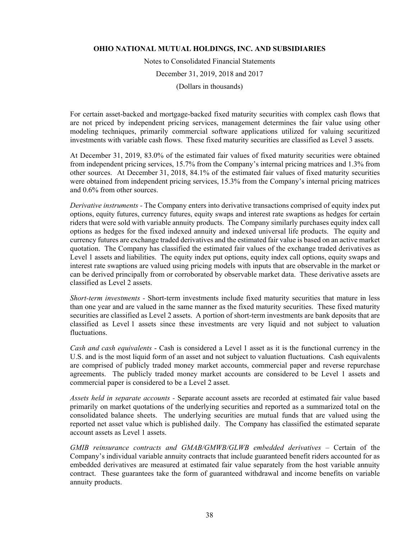Notes to Consolidated Financial Statements

December 31, 2019, 2018 and 2017

(Dollars in thousands)

For certain asset-backed and mortgage-backed fixed maturity securities with complex cash flows that are not priced by independent pricing services, management determines the fair value using other modeling techniques, primarily commercial software applications utilized for valuing securitized investments with variable cash flows. These fixed maturity securities are classified as Level 3 assets.

At December 31, 2019, 83.0% of the estimated fair values of fixed maturity securities were obtained from independent pricing services, 15.7% from the Company's internal pricing matrices and 1.3% from other sources. At December 31, 2018, 84.1% of the estimated fair values of fixed maturity securities were obtained from independent pricing services, 15.3% from the Company's internal pricing matrices and 0.6% from other sources.

*Derivative instruments -* The Company enters into derivative transactions comprised of equity index put options, equity futures, currency futures, equity swaps and interest rate swaptions as hedges for certain riders that were sold with variable annuity products. The Company similarly purchases equity index call options as hedges for the fixed indexed annuity and indexed universal life products. The equity and currency futures are exchange traded derivatives and the estimated fair value is based on an active market quotation. The Company has classified the estimated fair values of the exchange traded derivatives as Level 1 assets and liabilities. The equity index put options, equity index call options, equity swaps and interest rate swaptions are valued using pricing models with inputs that are observable in the market or can be derived principally from or corroborated by observable market data. These derivative assets are classified as Level 2 assets.

*Short-term investments -* Short-term investments include fixed maturity securities that mature in less than one year and are valued in the same manner as the fixed maturity securities. These fixed maturity securities are classified as Level 2 assets. A portion of short-term investments are bank deposits that are classified as Level 1 assets since these investments are very liquid and not subject to valuation fluctuations.

*Cash and cash equivalents* - Cash is considered a Level 1 asset as it is the functional currency in the U.S. and is the most liquid form of an asset and not subject to valuation fluctuations. Cash equivalents are comprised of publicly traded money market accounts, commercial paper and reverse repurchase agreements. The publicly traded money market accounts are considered to be Level 1 assets and commercial paper is considered to be a Level 2 asset.

*Assets held in separate accounts -* Separate account assets are recorded at estimated fair value based primarily on market quotations of the underlying securities and reported as a summarized total on the consolidated balance sheets. The underlying securities are mutual funds that are valued using the reported net asset value which is published daily. The Company has classified the estimated separate account assets as Level 1 assets.

GMIB reinsurance contracts and GMAB/GMWB/GLWB embedded derivatives – Certain of the Company's individual variable annuity contracts that include guaranteed benefit riders accounted for as embedded derivatives are measured at estimated fair value separately from the host variable annuity contract. These guarantees take the form of guaranteed withdrawal and income benefits on variable annuity products.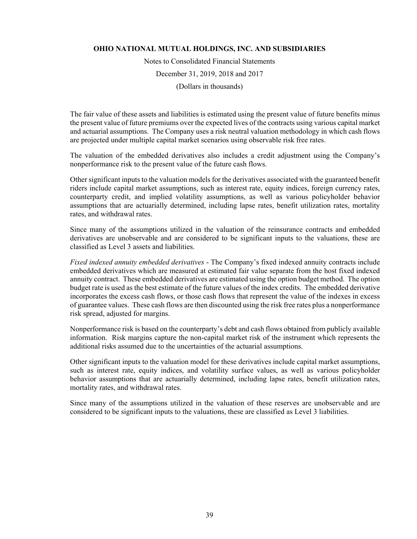Notes to Consolidated Financial Statements

December 31, 2019, 2018 and 2017

(Dollars in thousands)

The fair value of these assets and liabilities is estimated using the present value of future benefits minus the present value of future premiums over the expected lives of the contracts using various capital market and actuarial assumptions. The Company uses a risk neutral valuation methodology in which cash flows are projected under multiple capital market scenarios using observable risk free rates.

The valuation of the embedded derivatives also includes a credit adjustment using the Company's nonperformance risk to the present value of the future cash flows.

Other significant inputs to the valuation models for the derivatives associated with the guaranteed benefit riders include capital market assumptions, such as interest rate, equity indices, foreign currency rates, counterparty credit, and implied volatility assumptions, as well as various policyholder behavior assumptions that are actuarially determined, including lapse rates, benefit utilization rates, mortality rates, and withdrawal rates.

Since many of the assumptions utilized in the valuation of the reinsurance contracts and embedded derivatives are unobservable and are considered to be significant inputs to the valuations, these are classified as Level 3 assets and liabilities.

*Fixed indexed annuity embedded derivatives* - The Company's fixed indexed annuity contracts include embedded derivatives which are measured at estimated fair value separate from the host fixed indexed annuity contract. These embedded derivatives are estimated using the option budget method. The option budget rate is used as the best estimate of the future values of the index credits. The embedded derivative incorporates the excess cash flows, or those cash flows that represent the value of the indexes in excess of guarantee values. These cash flows are then discounted using the risk free rates plus a nonperformance risk spread, adjusted for margins.

Nonperformance risk is based on the counterparty's debt and cash flows obtained from publicly available information. Risk margins capture the non-capital market risk of the instrument which represents the additional risks assumed due to the uncertainties of the actuarial assumptions.

Other significant inputs to the valuation model for these derivatives include capital market assumptions, such as interest rate, equity indices, and volatility surface values, as well as various policyholder behavior assumptions that are actuarially determined, including lapse rates, benefit utilization rates, mortality rates, and withdrawal rates.

Since many of the assumptions utilized in the valuation of these reserves are unobservable and are considered to be significant inputs to the valuations, these are classified as Level 3 liabilities.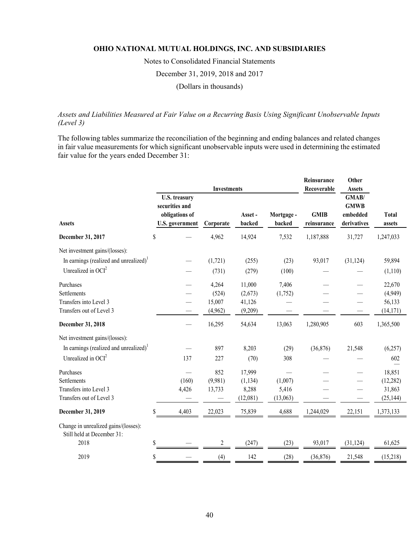Notes to Consolidated Financial Statements

December 31, 2019, 2018 and 2017

(Dollars in thousands)

## *Assets and Liabilities Measured at Fair Value on a Recurring Basis Using Significant Unobservable Inputs (Level 3)*

The following tables summarize the reconciliation of the beginning and ending balances and related changes in fair value measurements for which significant unobservable inputs were used in determining the estimated fair value for the years ended December 31:

|                                                                                                              |                                                                             | <b>Investments</b>                  |                                         |                              | Reinsurance<br>Recoverable | Other<br><b>Assets</b>                          |                                            |
|--------------------------------------------------------------------------------------------------------------|-----------------------------------------------------------------------------|-------------------------------------|-----------------------------------------|------------------------------|----------------------------|-------------------------------------------------|--------------------------------------------|
| <b>Assets</b>                                                                                                | <b>U.S. treasury</b><br>securities and<br>obligations of<br>U.S. government | Corporate                           | Asset-<br>backed                        | Mortgage -<br>backed         | <b>GMIB</b><br>reinsurance | GMAB/<br><b>GMWB</b><br>embedded<br>derivatives | <b>Total</b><br>assets                     |
| December 31, 2017                                                                                            | \$                                                                          | 4,962                               | 14,924                                  | 7,532                        | 1,187,888                  | 31,727                                          | 1,247,033                                  |
| Net investment gains/(losses):<br>In earnings (realized and unrealized) <sup>1</sup><br>Unrealized in $OCI2$ |                                                                             | (1, 721)<br>(731)                   | (255)<br>(279)                          | (23)<br>(100)                | 93,017                     | (31, 124)                                       | 59,894<br>(1,110)                          |
| Purchases<br>Settlements<br>Transfers into Level 3<br>Transfers out of Level 3                               |                                                                             | 4,264<br>(524)<br>15,007<br>(4,962) | 11,000<br>(2,673)<br>41,126<br>(9,209)  | 7,406<br>(1,752)             |                            |                                                 | 22,670<br>(4,949)<br>56,133<br>(14, 171)   |
| December 31, 2018                                                                                            |                                                                             | 16,295                              | 54,634                                  | 13,063                       | 1,280,905                  | 603                                             | 1,365,500                                  |
| Net investment gains/(losses):<br>In earnings (realized and unrealized) <sup>1</sup><br>Unrealized in $OCI2$ | 137                                                                         | 897<br>227                          | 8,203<br>(70)                           | (29)<br>308                  | (36,876)                   | 21,548                                          | (6,257)<br>602                             |
| Purchases<br><b>Settlements</b><br>Transfers into Level 3<br>Transfers out of Level 3                        | (160)<br>4,426                                                              | 852<br>(9,981)<br>13,733            | 17,999<br>(1, 134)<br>8,288<br>(12,081) | (1,007)<br>5,416<br>(13,063) |                            |                                                 | 18,851<br>(12, 282)<br>31,863<br>(25, 144) |
| December 31, 2019                                                                                            | \$<br>4,403                                                                 | 22,023                              | 75,839                                  | 4,688                        | 1,244,029                  | 22,151                                          | 1,373,133                                  |
| Change in unrealized gains/(losses):<br>Still held at December 31:<br>2018                                   | \$                                                                          | 2                                   | (247)                                   | (23)                         | 93,017                     | (31, 124)                                       | 61,625                                     |
| 2019                                                                                                         | \$                                                                          | (4)                                 | 142                                     | (28)                         | (36,876)                   | 21,548                                          | (15,218)                                   |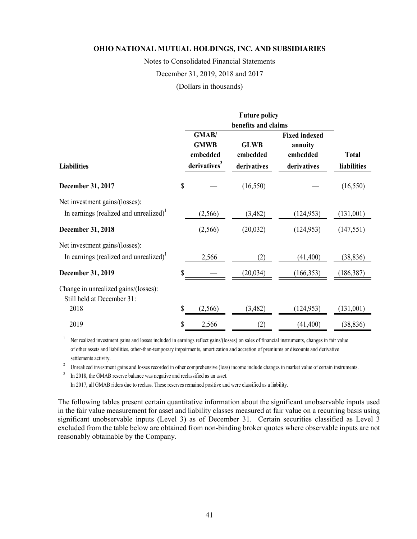Notes to Consolidated Financial Statements

December 31, 2019, 2018 and 2017

(Dollars in thousands)

|                                                                    |                          | <b>Future policy</b> |                                 |              |
|--------------------------------------------------------------------|--------------------------|----------------------|---------------------------------|--------------|
|                                                                    |                          | benefits and claims  |                                 |              |
|                                                                    | GMAB/<br><b>GMWB</b>     | <b>GLWB</b>          | <b>Fixed indexed</b><br>annuity |              |
|                                                                    | embedded                 | embedded             | embedded                        | <b>Total</b> |
| <b>Liabilities</b>                                                 | derivatives <sup>3</sup> | derivatives          | derivatives                     | liabilities  |
| December 31, 2017                                                  | \$                       | (16, 550)            |                                 | (16, 550)    |
| Net investment gains/(losses):                                     |                          |                      |                                 |              |
| In earnings (realized and unrealized) <sup>1</sup>                 | (2,566)                  | (3,482)              | (124, 953)                      | (131,001)    |
| December 31, 2018                                                  | (2,566)                  | (20, 032)            | (124, 953)                      | (147, 551)   |
| Net investment gains/(losses):                                     |                          |                      |                                 |              |
| In earnings (realized and unrealized) <sup>1</sup>                 | 2,566                    | (2)                  | (41, 400)                       | (38, 836)    |
| <b>December 31, 2019</b>                                           | \$                       | (20, 034)            | (166, 353)                      | (186, 387)   |
| Change in unrealized gains/(losses):<br>Still held at December 31: |                          |                      |                                 |              |
| 2018                                                               | \$<br>(2, 566)           | (3, 482)             | (124, 953)                      | (131,001)    |
| 2019                                                               | \$<br>2,566              | (2)                  | (41, 400)                       | (38, 836)    |

<sup>1</sup> Net realized investment gains and losses included in earnings reflect gains/(losses) on sales of financial instruments, changes in fair value of other assets and liabilities, other-than-temporary impairments, amortization and accretion of premiums or discounts and derivative settlements activity. 2 Unrealized investment gains and losses recorded in other comprehensive (loss) income include changes in market value of certain instruments.

<sup>3</sup> In 2018, the GMAB reserve balance was negative and reclassified as an asset.

In 2017, all GMAB riders due to reclass. These reserves remained positive and were classified as a liability.

The following tables present certain quantitative information about the significant unobservable inputs used in the fair value measurement for asset and liability classes measured at fair value on a recurring basis using significant unobservable inputs (Level 3) as of December 31. Certain securities classified as Level 3 excluded from the table below are obtained from non-binding broker quotes where observable inputs are not reasonably obtainable by the Company.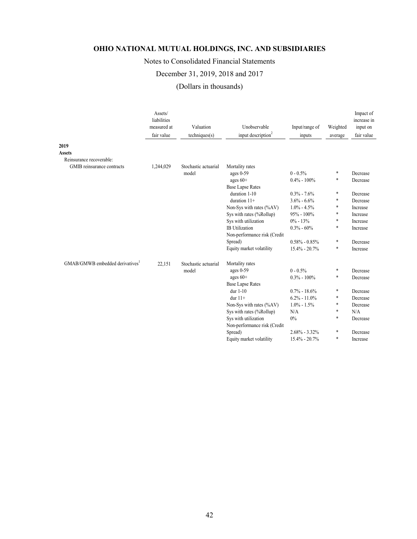# Notes to Consolidated Financial Statements

# December 31, 2019, 2018 and 2017

# (Dollars in thousands)

|                                             | Assets/<br>liabilities<br>measured at<br>fair value | Valuation<br>techniques(s) | Unobservable<br>input description <sup>2</sup> | Input/range of<br>inputs | Weighted<br>average | Impact of<br>increase in<br>input on<br>fair value |
|---------------------------------------------|-----------------------------------------------------|----------------------------|------------------------------------------------|--------------------------|---------------------|----------------------------------------------------|
| 2019                                        |                                                     |                            |                                                |                          |                     |                                                    |
| <b>Assets</b>                               |                                                     |                            |                                                |                          |                     |                                                    |
| Reinsurance recoverable:                    |                                                     |                            |                                                |                          |                     |                                                    |
| GMIB reinsurance contracts                  | 1,244,029                                           | Stochastic actuarial       | Mortality rates                                |                          |                     |                                                    |
|                                             |                                                     | model                      | ages $0-59$                                    | $0 - 0.5\%$              | $\ast$              | Decrease                                           |
|                                             |                                                     |                            | ages $60+$                                     | $0.4\% - 100\%$          | *                   | Decrease                                           |
|                                             |                                                     |                            | <b>Base Lapse Rates</b>                        |                          |                     |                                                    |
|                                             |                                                     |                            | duration 1-10                                  | $0.3\% - 7.6\%$          | *                   | Decrease                                           |
|                                             |                                                     |                            | duration $11+$                                 | $3.6\% - 6.6\%$          | *                   | Decrease                                           |
|                                             |                                                     |                            | Non-Sys with rates (%AV)                       | $1.0\% - 4.5\%$          | *                   | Increase                                           |
|                                             |                                                     |                            | Sys with rates (%Rollup)                       | $95\% - 100\%$           | $\ast$              | Increase                                           |
|                                             |                                                     |                            | Sys with utilization                           | $0\% - 13\%$             | $\ast$              | Increase                                           |
|                                             |                                                     |                            | <b>IB</b> Utilization                          | $0.3\% - 60\%$           | *                   | Increase                                           |
|                                             |                                                     |                            | Non-performance risk (Credit                   |                          |                     |                                                    |
|                                             |                                                     |                            | Spread)                                        | $0.58\% - 0.85\%$        | $\ast$              | Decrease                                           |
|                                             |                                                     |                            | Equity market volatility                       | $15.4\% - 20.7\%$        | *                   | Increase                                           |
| GMAB/GMWB embedded derivatives <sup>1</sup> | 22,151                                              | Stochastic actuarial       | Mortality rates                                |                          |                     |                                                    |
|                                             |                                                     | model                      | ages 0-59                                      | $0 - 0.5%$               | *                   | Decrease                                           |
|                                             |                                                     |                            | ages $60+$                                     | $0.3\% - 100\%$          | *                   | Decrease                                           |
|                                             |                                                     |                            | <b>Base Lapse Rates</b>                        |                          |                     |                                                    |
|                                             |                                                     |                            | dur $1-10$                                     | $0.7\% - 18.6\%$         | *                   | Decrease                                           |
|                                             |                                                     |                            | dur $11+$                                      | $6.2\% - 11.0\%$         | *                   | Decrease                                           |
|                                             |                                                     |                            | Non-Sys with rates (%AV)                       | $1.0\% - 1.5\%$          | *                   | Decrease                                           |
|                                             |                                                     |                            | Sys with rates (%Rollup)                       | N/A                      | $\ast$              | N/A                                                |
|                                             |                                                     |                            | Sys with utilization                           | 0%                       | *                   | Decrease                                           |
|                                             |                                                     |                            | Non-performance risk (Credit                   |                          |                     |                                                    |
|                                             |                                                     |                            | Spread)                                        | $2.68\% - 3.32\%$        | *                   | Decrease                                           |
|                                             |                                                     |                            | Equity market volatility                       | $15.4\% - 20.7\%$        | $\ast$              | Increase                                           |
|                                             |                                                     |                            |                                                |                          |                     |                                                    |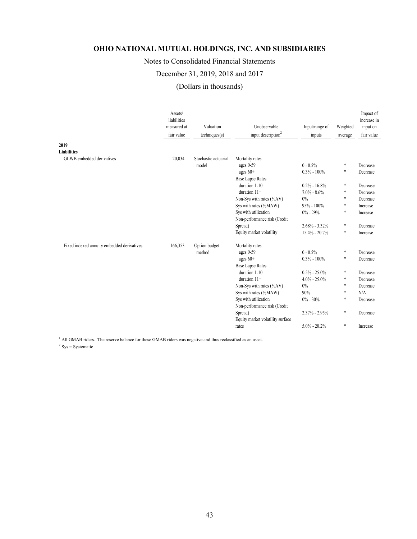# Notes to Consolidated Financial Statements

# December 31, 2019, 2018 and 2017

# (Dollars in thousands)

|                                            | Assets/<br>liabilities<br>measured at<br>fair value | Valuation<br>techniques(s) | Unobservable<br>input description <sup>2</sup> | Input/range of<br>inputs | Weighted<br>average | Impact of<br>increase in<br>input on<br>fair value |
|--------------------------------------------|-----------------------------------------------------|----------------------------|------------------------------------------------|--------------------------|---------------------|----------------------------------------------------|
| 2019                                       |                                                     |                            |                                                |                          |                     |                                                    |
| <b>Liabilities</b>                         |                                                     |                            |                                                |                          |                     |                                                    |
| GLWB embedded derivatives                  | 20,034                                              | Stochastic actuarial       | Mortality rates                                |                          |                     |                                                    |
|                                            |                                                     | model                      | ages 0-59                                      | $0 - 0.5\%$              | *                   | Decrease                                           |
|                                            |                                                     |                            | ages 60+                                       | $0.3\% - 100\%$          | *                   | Decrease                                           |
|                                            |                                                     |                            | <b>Base Lapse Rates</b>                        |                          |                     |                                                    |
|                                            |                                                     |                            | duration 1-10                                  | $0.2\% - 16.8\%$         | *                   | Decrease                                           |
|                                            |                                                     |                            | duration $11+$                                 | $7.0\% - 8.6\%$          | *                   | Decrease                                           |
|                                            |                                                     |                            | Non-Sys with rates (%AV)                       | 0%                       | $\ast$              | Decrease                                           |
|                                            |                                                     |                            | Sys with rates (%MAW)                          | $95\% - 100\%$           | *                   | Increase                                           |
|                                            |                                                     |                            | Sys with utilization                           | $0\% - 29\%$             | *                   | Increase                                           |
|                                            |                                                     |                            | Non-performance risk (Credit                   |                          |                     |                                                    |
|                                            |                                                     |                            | Spread)                                        | $2.68\% - 3.32\%$        | *                   | Decrease                                           |
|                                            |                                                     |                            | Equity market volatility                       | $15.4\% - 20.7\%$        | $\ast$              | Increase                                           |
| Fixed indexed annuity embedded derivatives | 166,353                                             | Option budget              | Mortality rates                                |                          |                     |                                                    |
|                                            |                                                     | method                     | ages 0-59                                      | $0 - 0.5\%$              | *                   | Decrease                                           |
|                                            |                                                     |                            | ages $60+$                                     | $0.3\% - 100\%$          | *                   | Decrease                                           |
|                                            |                                                     |                            | <b>Base Lapse Rates</b>                        |                          |                     |                                                    |
|                                            |                                                     |                            | duration 1-10                                  | $0.5\% - 25.0\%$         | *                   | Decrease                                           |
|                                            |                                                     |                            | duration 11+                                   | $4.0\% - 25.0\%$         | *                   | Decrease                                           |
|                                            |                                                     |                            | Non-Sys with rates (%AV)                       | 0%                       | $\ast$              | Decrease                                           |
|                                            |                                                     |                            | Sys with rates (%MAW)                          | 90%                      | $\ast$              | N/A                                                |
|                                            |                                                     |                            | Sys with utilization                           | $0\% - 30\%$             | *                   | Decrease                                           |
|                                            |                                                     |                            | Non-performance risk (Credit                   |                          |                     |                                                    |
|                                            |                                                     |                            | Spread)                                        | $2.37\% - 2.95\%$        | *                   | Decrease                                           |
|                                            |                                                     |                            | Equity market volatility surface               |                          |                     |                                                    |
|                                            |                                                     |                            | rates                                          | $5.0\% - 20.2\%$         | *                   | Increase                                           |

<sup>1</sup> All GMAB riders. The reserve balance for these GMAB riders was negative and thus reclassified as an asset.

 $2$  Sys = Systematic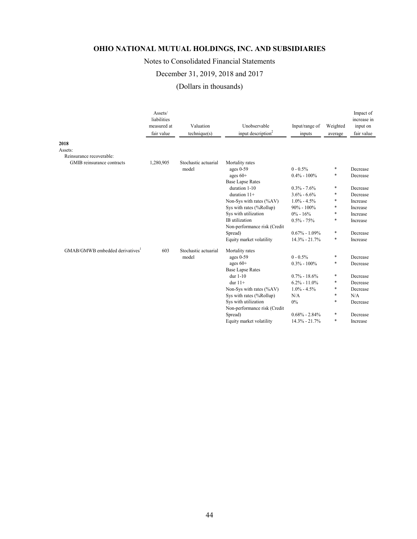# Notes to Consolidated Financial Statements

# December 31, 2019, 2018 and 2017

# (Dollars in thousands)

|                                             | Assets/<br>liabilities<br>measured at<br>fair value | Valuation<br>technique(s) | Unobservable<br>input description <sup>2</sup> | Input/range of<br>inputs | Weighted<br>average | Impact of<br>increase in<br>input on<br>fair value |
|---------------------------------------------|-----------------------------------------------------|---------------------------|------------------------------------------------|--------------------------|---------------------|----------------------------------------------------|
| 2018                                        |                                                     |                           |                                                |                          |                     |                                                    |
| Assets:                                     |                                                     |                           |                                                |                          |                     |                                                    |
| Reinsurance recoverable:                    |                                                     |                           |                                                |                          |                     |                                                    |
| GMIB reinsurance contracts                  | 1,280,905                                           | Stochastic actuarial      | Mortality rates                                |                          |                     |                                                    |
|                                             |                                                     | model                     | ages $0-59$                                    | $0 - 0.5\%$              | $\ast$              | Decrease                                           |
|                                             |                                                     |                           | ages $60+$                                     | $0.4\% - 100\%$          | $\ast$              | Decrease                                           |
|                                             |                                                     |                           | <b>Base Lapse Rates</b>                        |                          |                     |                                                    |
|                                             |                                                     |                           | duration 1-10                                  | $0.3\% - 7.6\%$          | *                   | Decrease                                           |
|                                             |                                                     |                           | duration $11+$                                 | $3.6\% - 6.6\%$          | *                   | Decrease                                           |
|                                             |                                                     |                           | Non-Sys with rates (%AV)                       | $1.0\% - 4.5\%$          | *                   | Increase                                           |
|                                             |                                                     |                           | Sys with rates (%Rollup)                       | $90\% - 100\%$           | *                   | Increase                                           |
|                                             |                                                     |                           | Sys with utilization                           | $0\% - 16\%$             | *                   | Increase                                           |
|                                             |                                                     |                           | IB utilization                                 | $0.5\% - 75\%$           | $\ast$              | Increase                                           |
|                                             |                                                     |                           | Non-performance risk (Credit                   |                          |                     |                                                    |
|                                             |                                                     |                           | Spread)                                        | $0.67\% - 1.09\%$        | $\ast$              | Decrease                                           |
|                                             |                                                     |                           | Equity market volatility                       | $14.3\% - 21.7\%$        | *                   | Increase                                           |
| GMAB/GMWB embedded derivatives <sup>1</sup> | 603                                                 | Stochastic actuarial      | Mortality rates                                |                          |                     |                                                    |
|                                             |                                                     | model                     | ages 0-59                                      | $0 - 0.5\%$              | *                   | Decrease                                           |
|                                             |                                                     |                           | ages $60+$                                     | $0.3\% - 100\%$          | *                   | Decrease                                           |
|                                             |                                                     |                           | <b>Base Lapse Rates</b>                        |                          |                     |                                                    |
|                                             |                                                     |                           | dur $1-10$                                     | $0.7\% - 18.6\%$         | *                   | Decrease                                           |
|                                             |                                                     |                           | dur $11+$                                      | $6.2\% - 11.0\%$         | *                   | Decrease                                           |
|                                             |                                                     |                           | Non-Sys with rates (%AV)                       | $1.0\% - 4.5\%$          | *                   | Decrease                                           |
|                                             |                                                     |                           | Sys with rates (%Rollup)                       | N/A                      | *                   | N/A                                                |
|                                             |                                                     |                           | Sys with utilization                           | $0\%$                    | $\ast$              | Decrease                                           |
|                                             |                                                     |                           | Non-performance risk (Credit                   |                          |                     |                                                    |
|                                             |                                                     |                           | Spread)                                        | $0.68\% - 2.84\%$        | $\ast$              | Decrease                                           |
|                                             |                                                     |                           | Equity market volatility                       | 14.3% - 21.7%            | *                   | Increase                                           |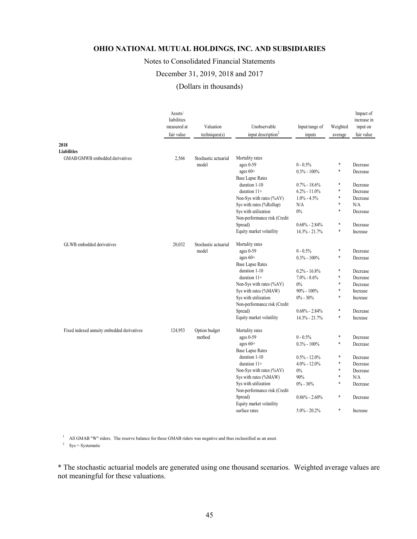# Notes to Consolidated Financial Statements

## December 31, 2019, 2018 and 2017

# (Dollars in thousands)

| <b>Liabilities</b><br>GMAB/GMWB embedded derivatives<br>Stochastic actuarial<br>Mortality rates<br>2,566<br>$\ast$<br>ages 0-59<br>$0 - 0.5%$<br>model<br>Decrease<br>$\ast$<br>ages $60+$<br>$0.3\% - 100\%$<br>Decrease<br><b>Base Lapse Rates</b><br>$\ast$<br>duration 1-10<br>$0.7\% - 18.6\%$<br>Decrease<br>$\ast$<br>$6.2\% - 11.0\%$<br>duration $11+$<br>Decrease<br>Non-Sys with rates (%AV)<br>$\ast$<br>$1.0\% - 4.5\%$<br>Decrease<br>$\ast$<br>Sys with rates (%Rollup)<br>N/A<br>N/A<br>$\ast$<br>Sys with utilization<br>$0\%$<br>Decrease<br>Non-performance risk (Credit<br>$\ast$<br>Spread)<br>$0.68\% - 2.84\%$<br>Decrease<br>Equity market volatility<br>*<br>14.3% - 21.7%<br>Increase<br>Mortality rates<br>GLWB embedded derivatives<br>20,032<br>Stochastic actuarial<br>ages 0-59<br>$\ast$<br>model<br>$0 - 0.5%$<br>Decrease<br>ages $60+$<br>$\ast$<br>$0.3\% - 100\%$<br>Decrease<br><b>Base Lapse Rates</b><br>$\ast$<br>duration 1-10<br>$0.2\% - 16.8\%$<br>Decrease<br>$\ast$<br>$7.0\% - 8.6\%$<br>Decrease<br>duration $11+$<br>$\ast$<br>$0\%$<br>Non-Sys with rates (%AV)<br>Decrease<br>$\ast$<br>Sys with rates (%MAW)<br>90% - 100%<br>Increase<br>Sys with utilization<br>*<br>$0\% - 30\%$<br>Increase<br>Non-performance risk (Credit<br>$\ast$<br>Spread)<br>$0.68\% - 2.84\%$<br>Decrease<br>Equity market volatility<br>$\ast$<br>14.3% - 21.7%<br>Increase<br>124,953<br>Option budget<br>Mortality rates<br>Fixed indexed annuity embedded derivatives<br>$0 - 0.5%$<br>$\ast$<br>method<br>ages 0-59<br>Decrease<br>ages $60+$<br>*<br>$0.3\% - 100\%$<br>Decrease<br><b>Base Lapse Rates</b><br>duration 1-10<br>$\ast$<br>$0.5\% - 12.0\%$<br>Decrease<br>duration 11+<br>$\ast$<br>$4.0\% - 12.0\%$<br>Decrease<br>$\ast$<br>Non-Sys with rates (%AV)<br>$0\%$<br>Decrease<br>90%<br>$\ast$<br>Sys with rates (%MAW)<br>N/A<br>$\ast$<br>Sys with utilization<br>$0\% - 30\%$<br>Decrease<br>Non-performance risk (Credit<br>$\ast$<br>Spread)<br>$0.86\% - 2.60\%$<br>Decrease<br>Equity market volatility<br>$\ast$<br>surface rates<br>$5.0\% - 20.2\%$<br>Increase |      | Assets/<br>liabilities<br>measured at<br>fair value | Valuation<br>techniques(s) | Unobservable<br>input description <sup>2</sup> | Input/range of<br>inputs | Weighted<br>average | Impact of<br>increase in<br>input on<br>fair value |
|--------------------------------------------------------------------------------------------------------------------------------------------------------------------------------------------------------------------------------------------------------------------------------------------------------------------------------------------------------------------------------------------------------------------------------------------------------------------------------------------------------------------------------------------------------------------------------------------------------------------------------------------------------------------------------------------------------------------------------------------------------------------------------------------------------------------------------------------------------------------------------------------------------------------------------------------------------------------------------------------------------------------------------------------------------------------------------------------------------------------------------------------------------------------------------------------------------------------------------------------------------------------------------------------------------------------------------------------------------------------------------------------------------------------------------------------------------------------------------------------------------------------------------------------------------------------------------------------------------------------------------------------------------------------------------------------------------------------------------------------------------------------------------------------------------------------------------------------------------------------------------------------------------------------------------------------------------------------------------------------------------------------------------------------------------------------------------------------------------------------------------|------|-----------------------------------------------------|----------------------------|------------------------------------------------|--------------------------|---------------------|----------------------------------------------------|
|                                                                                                                                                                                                                                                                                                                                                                                                                                                                                                                                                                                                                                                                                                                                                                                                                                                                                                                                                                                                                                                                                                                                                                                                                                                                                                                                                                                                                                                                                                                                                                                                                                                                                                                                                                                                                                                                                                                                                                                                                                                                                                                                | 2018 |                                                     |                            |                                                |                          |                     |                                                    |
|                                                                                                                                                                                                                                                                                                                                                                                                                                                                                                                                                                                                                                                                                                                                                                                                                                                                                                                                                                                                                                                                                                                                                                                                                                                                                                                                                                                                                                                                                                                                                                                                                                                                                                                                                                                                                                                                                                                                                                                                                                                                                                                                |      |                                                     |                            |                                                |                          |                     |                                                    |
|                                                                                                                                                                                                                                                                                                                                                                                                                                                                                                                                                                                                                                                                                                                                                                                                                                                                                                                                                                                                                                                                                                                                                                                                                                                                                                                                                                                                                                                                                                                                                                                                                                                                                                                                                                                                                                                                                                                                                                                                                                                                                                                                |      |                                                     |                            |                                                |                          |                     |                                                    |
|                                                                                                                                                                                                                                                                                                                                                                                                                                                                                                                                                                                                                                                                                                                                                                                                                                                                                                                                                                                                                                                                                                                                                                                                                                                                                                                                                                                                                                                                                                                                                                                                                                                                                                                                                                                                                                                                                                                                                                                                                                                                                                                                |      |                                                     |                            |                                                |                          |                     |                                                    |
|                                                                                                                                                                                                                                                                                                                                                                                                                                                                                                                                                                                                                                                                                                                                                                                                                                                                                                                                                                                                                                                                                                                                                                                                                                                                                                                                                                                                                                                                                                                                                                                                                                                                                                                                                                                                                                                                                                                                                                                                                                                                                                                                |      |                                                     |                            |                                                |                          |                     |                                                    |
|                                                                                                                                                                                                                                                                                                                                                                                                                                                                                                                                                                                                                                                                                                                                                                                                                                                                                                                                                                                                                                                                                                                                                                                                                                                                                                                                                                                                                                                                                                                                                                                                                                                                                                                                                                                                                                                                                                                                                                                                                                                                                                                                |      |                                                     |                            |                                                |                          |                     |                                                    |
|                                                                                                                                                                                                                                                                                                                                                                                                                                                                                                                                                                                                                                                                                                                                                                                                                                                                                                                                                                                                                                                                                                                                                                                                                                                                                                                                                                                                                                                                                                                                                                                                                                                                                                                                                                                                                                                                                                                                                                                                                                                                                                                                |      |                                                     |                            |                                                |                          |                     |                                                    |
|                                                                                                                                                                                                                                                                                                                                                                                                                                                                                                                                                                                                                                                                                                                                                                                                                                                                                                                                                                                                                                                                                                                                                                                                                                                                                                                                                                                                                                                                                                                                                                                                                                                                                                                                                                                                                                                                                                                                                                                                                                                                                                                                |      |                                                     |                            |                                                |                          |                     |                                                    |
|                                                                                                                                                                                                                                                                                                                                                                                                                                                                                                                                                                                                                                                                                                                                                                                                                                                                                                                                                                                                                                                                                                                                                                                                                                                                                                                                                                                                                                                                                                                                                                                                                                                                                                                                                                                                                                                                                                                                                                                                                                                                                                                                |      |                                                     |                            |                                                |                          |                     |                                                    |
|                                                                                                                                                                                                                                                                                                                                                                                                                                                                                                                                                                                                                                                                                                                                                                                                                                                                                                                                                                                                                                                                                                                                                                                                                                                                                                                                                                                                                                                                                                                                                                                                                                                                                                                                                                                                                                                                                                                                                                                                                                                                                                                                |      |                                                     |                            |                                                |                          |                     |                                                    |
|                                                                                                                                                                                                                                                                                                                                                                                                                                                                                                                                                                                                                                                                                                                                                                                                                                                                                                                                                                                                                                                                                                                                                                                                                                                                                                                                                                                                                                                                                                                                                                                                                                                                                                                                                                                                                                                                                                                                                                                                                                                                                                                                |      |                                                     |                            |                                                |                          |                     |                                                    |
|                                                                                                                                                                                                                                                                                                                                                                                                                                                                                                                                                                                                                                                                                                                                                                                                                                                                                                                                                                                                                                                                                                                                                                                                                                                                                                                                                                                                                                                                                                                                                                                                                                                                                                                                                                                                                                                                                                                                                                                                                                                                                                                                |      |                                                     |                            |                                                |                          |                     |                                                    |
|                                                                                                                                                                                                                                                                                                                                                                                                                                                                                                                                                                                                                                                                                                                                                                                                                                                                                                                                                                                                                                                                                                                                                                                                                                                                                                                                                                                                                                                                                                                                                                                                                                                                                                                                                                                                                                                                                                                                                                                                                                                                                                                                |      |                                                     |                            |                                                |                          |                     |                                                    |
|                                                                                                                                                                                                                                                                                                                                                                                                                                                                                                                                                                                                                                                                                                                                                                                                                                                                                                                                                                                                                                                                                                                                                                                                                                                                                                                                                                                                                                                                                                                                                                                                                                                                                                                                                                                                                                                                                                                                                                                                                                                                                                                                |      |                                                     |                            |                                                |                          |                     |                                                    |
|                                                                                                                                                                                                                                                                                                                                                                                                                                                                                                                                                                                                                                                                                                                                                                                                                                                                                                                                                                                                                                                                                                                                                                                                                                                                                                                                                                                                                                                                                                                                                                                                                                                                                                                                                                                                                                                                                                                                                                                                                                                                                                                                |      |                                                     |                            |                                                |                          |                     |                                                    |
|                                                                                                                                                                                                                                                                                                                                                                                                                                                                                                                                                                                                                                                                                                                                                                                                                                                                                                                                                                                                                                                                                                                                                                                                                                                                                                                                                                                                                                                                                                                                                                                                                                                                                                                                                                                                                                                                                                                                                                                                                                                                                                                                |      |                                                     |                            |                                                |                          |                     |                                                    |
|                                                                                                                                                                                                                                                                                                                                                                                                                                                                                                                                                                                                                                                                                                                                                                                                                                                                                                                                                                                                                                                                                                                                                                                                                                                                                                                                                                                                                                                                                                                                                                                                                                                                                                                                                                                                                                                                                                                                                                                                                                                                                                                                |      |                                                     |                            |                                                |                          |                     |                                                    |
|                                                                                                                                                                                                                                                                                                                                                                                                                                                                                                                                                                                                                                                                                                                                                                                                                                                                                                                                                                                                                                                                                                                                                                                                                                                                                                                                                                                                                                                                                                                                                                                                                                                                                                                                                                                                                                                                                                                                                                                                                                                                                                                                |      |                                                     |                            |                                                |                          |                     |                                                    |
|                                                                                                                                                                                                                                                                                                                                                                                                                                                                                                                                                                                                                                                                                                                                                                                                                                                                                                                                                                                                                                                                                                                                                                                                                                                                                                                                                                                                                                                                                                                                                                                                                                                                                                                                                                                                                                                                                                                                                                                                                                                                                                                                |      |                                                     |                            |                                                |                          |                     |                                                    |
|                                                                                                                                                                                                                                                                                                                                                                                                                                                                                                                                                                                                                                                                                                                                                                                                                                                                                                                                                                                                                                                                                                                                                                                                                                                                                                                                                                                                                                                                                                                                                                                                                                                                                                                                                                                                                                                                                                                                                                                                                                                                                                                                |      |                                                     |                            |                                                |                          |                     |                                                    |
|                                                                                                                                                                                                                                                                                                                                                                                                                                                                                                                                                                                                                                                                                                                                                                                                                                                                                                                                                                                                                                                                                                                                                                                                                                                                                                                                                                                                                                                                                                                                                                                                                                                                                                                                                                                                                                                                                                                                                                                                                                                                                                                                |      |                                                     |                            |                                                |                          |                     |                                                    |
|                                                                                                                                                                                                                                                                                                                                                                                                                                                                                                                                                                                                                                                                                                                                                                                                                                                                                                                                                                                                                                                                                                                                                                                                                                                                                                                                                                                                                                                                                                                                                                                                                                                                                                                                                                                                                                                                                                                                                                                                                                                                                                                                |      |                                                     |                            |                                                |                          |                     |                                                    |
|                                                                                                                                                                                                                                                                                                                                                                                                                                                                                                                                                                                                                                                                                                                                                                                                                                                                                                                                                                                                                                                                                                                                                                                                                                                                                                                                                                                                                                                                                                                                                                                                                                                                                                                                                                                                                                                                                                                                                                                                                                                                                                                                |      |                                                     |                            |                                                |                          |                     |                                                    |
|                                                                                                                                                                                                                                                                                                                                                                                                                                                                                                                                                                                                                                                                                                                                                                                                                                                                                                                                                                                                                                                                                                                                                                                                                                                                                                                                                                                                                                                                                                                                                                                                                                                                                                                                                                                                                                                                                                                                                                                                                                                                                                                                |      |                                                     |                            |                                                |                          |                     |                                                    |
|                                                                                                                                                                                                                                                                                                                                                                                                                                                                                                                                                                                                                                                                                                                                                                                                                                                                                                                                                                                                                                                                                                                                                                                                                                                                                                                                                                                                                                                                                                                                                                                                                                                                                                                                                                                                                                                                                                                                                                                                                                                                                                                                |      |                                                     |                            |                                                |                          |                     |                                                    |
|                                                                                                                                                                                                                                                                                                                                                                                                                                                                                                                                                                                                                                                                                                                                                                                                                                                                                                                                                                                                                                                                                                                                                                                                                                                                                                                                                                                                                                                                                                                                                                                                                                                                                                                                                                                                                                                                                                                                                                                                                                                                                                                                |      |                                                     |                            |                                                |                          |                     |                                                    |
|                                                                                                                                                                                                                                                                                                                                                                                                                                                                                                                                                                                                                                                                                                                                                                                                                                                                                                                                                                                                                                                                                                                                                                                                                                                                                                                                                                                                                                                                                                                                                                                                                                                                                                                                                                                                                                                                                                                                                                                                                                                                                                                                |      |                                                     |                            |                                                |                          |                     |                                                    |
|                                                                                                                                                                                                                                                                                                                                                                                                                                                                                                                                                                                                                                                                                                                                                                                                                                                                                                                                                                                                                                                                                                                                                                                                                                                                                                                                                                                                                                                                                                                                                                                                                                                                                                                                                                                                                                                                                                                                                                                                                                                                                                                                |      |                                                     |                            |                                                |                          |                     |                                                    |
|                                                                                                                                                                                                                                                                                                                                                                                                                                                                                                                                                                                                                                                                                                                                                                                                                                                                                                                                                                                                                                                                                                                                                                                                                                                                                                                                                                                                                                                                                                                                                                                                                                                                                                                                                                                                                                                                                                                                                                                                                                                                                                                                |      |                                                     |                            |                                                |                          |                     |                                                    |
|                                                                                                                                                                                                                                                                                                                                                                                                                                                                                                                                                                                                                                                                                                                                                                                                                                                                                                                                                                                                                                                                                                                                                                                                                                                                                                                                                                                                                                                                                                                                                                                                                                                                                                                                                                                                                                                                                                                                                                                                                                                                                                                                |      |                                                     |                            |                                                |                          |                     |                                                    |
|                                                                                                                                                                                                                                                                                                                                                                                                                                                                                                                                                                                                                                                                                                                                                                                                                                                                                                                                                                                                                                                                                                                                                                                                                                                                                                                                                                                                                                                                                                                                                                                                                                                                                                                                                                                                                                                                                                                                                                                                                                                                                                                                |      |                                                     |                            |                                                |                          |                     |                                                    |
|                                                                                                                                                                                                                                                                                                                                                                                                                                                                                                                                                                                                                                                                                                                                                                                                                                                                                                                                                                                                                                                                                                                                                                                                                                                                                                                                                                                                                                                                                                                                                                                                                                                                                                                                                                                                                                                                                                                                                                                                                                                                                                                                |      |                                                     |                            |                                                |                          |                     |                                                    |
|                                                                                                                                                                                                                                                                                                                                                                                                                                                                                                                                                                                                                                                                                                                                                                                                                                                                                                                                                                                                                                                                                                                                                                                                                                                                                                                                                                                                                                                                                                                                                                                                                                                                                                                                                                                                                                                                                                                                                                                                                                                                                                                                |      |                                                     |                            |                                                |                          |                     |                                                    |
|                                                                                                                                                                                                                                                                                                                                                                                                                                                                                                                                                                                                                                                                                                                                                                                                                                                                                                                                                                                                                                                                                                                                                                                                                                                                                                                                                                                                                                                                                                                                                                                                                                                                                                                                                                                                                                                                                                                                                                                                                                                                                                                                |      |                                                     |                            |                                                |                          |                     |                                                    |
|                                                                                                                                                                                                                                                                                                                                                                                                                                                                                                                                                                                                                                                                                                                                                                                                                                                                                                                                                                                                                                                                                                                                                                                                                                                                                                                                                                                                                                                                                                                                                                                                                                                                                                                                                                                                                                                                                                                                                                                                                                                                                                                                |      |                                                     |                            |                                                |                          |                     |                                                    |
|                                                                                                                                                                                                                                                                                                                                                                                                                                                                                                                                                                                                                                                                                                                                                                                                                                                                                                                                                                                                                                                                                                                                                                                                                                                                                                                                                                                                                                                                                                                                                                                                                                                                                                                                                                                                                                                                                                                                                                                                                                                                                                                                |      |                                                     |                            |                                                |                          |                     |                                                    |
|                                                                                                                                                                                                                                                                                                                                                                                                                                                                                                                                                                                                                                                                                                                                                                                                                                                                                                                                                                                                                                                                                                                                                                                                                                                                                                                                                                                                                                                                                                                                                                                                                                                                                                                                                                                                                                                                                                                                                                                                                                                                                                                                |      |                                                     |                            |                                                |                          |                     |                                                    |
|                                                                                                                                                                                                                                                                                                                                                                                                                                                                                                                                                                                                                                                                                                                                                                                                                                                                                                                                                                                                                                                                                                                                                                                                                                                                                                                                                                                                                                                                                                                                                                                                                                                                                                                                                                                                                                                                                                                                                                                                                                                                                                                                |      |                                                     |                            |                                                |                          |                     |                                                    |
|                                                                                                                                                                                                                                                                                                                                                                                                                                                                                                                                                                                                                                                                                                                                                                                                                                                                                                                                                                                                                                                                                                                                                                                                                                                                                                                                                                                                                                                                                                                                                                                                                                                                                                                                                                                                                                                                                                                                                                                                                                                                                                                                |      |                                                     |                            |                                                |                          |                     |                                                    |
|                                                                                                                                                                                                                                                                                                                                                                                                                                                                                                                                                                                                                                                                                                                                                                                                                                                                                                                                                                                                                                                                                                                                                                                                                                                                                                                                                                                                                                                                                                                                                                                                                                                                                                                                                                                                                                                                                                                                                                                                                                                                                                                                |      |                                                     |                            |                                                |                          |                     |                                                    |

<sup>1</sup> All GMAB "W" riders. The reserve balance for these GMAB riders was negative and thus reclassified as an asset.

<sup>2</sup> Sys = Systematic

\* The stochastic actuarial models are generated using one thousand scenarios. Weighted average values are not meaningful for these valuations.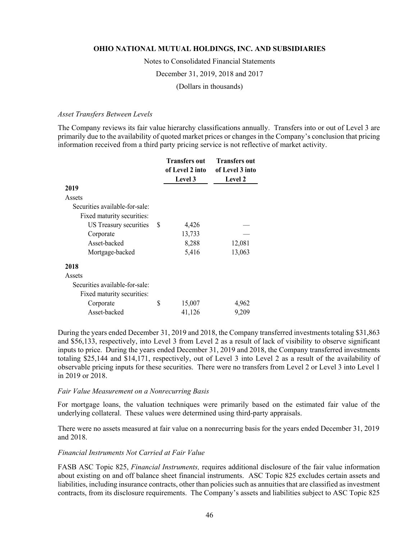Notes to Consolidated Financial Statements

December 31, 2019, 2018 and 2017

(Dollars in thousands)

#### *Asset Transfers Between Levels*

The Company reviews its fair value hierarchy classifications annually. Transfers into or out of Level 3 are primarily due to the availability of quoted market prices or changes in the Company's conclusion that pricing information received from a third party pricing service is not reflective of market activity.

|                                |   | <b>Transfers out</b><br>of Level 2 into | <b>Transfers out</b><br>of Level 3 into |
|--------------------------------|---|-----------------------------------------|-----------------------------------------|
|                                |   | Level 3                                 | Level 2                                 |
| 2019                           |   |                                         |                                         |
| Assets                         |   |                                         |                                         |
| Securities available-for-sale: |   |                                         |                                         |
| Fixed maturity securities:     |   |                                         |                                         |
| US Treasury securities         | S | 4,426                                   |                                         |
| Corporate                      |   | 13,733                                  |                                         |
| Asset-backed                   |   | 8,288                                   | 12,081                                  |
| Mortgage-backed                |   | 5,416                                   | 13,063                                  |
| 2018                           |   |                                         |                                         |
| Assets                         |   |                                         |                                         |
| Securities available-for-sale: |   |                                         |                                         |
| Fixed maturity securities:     |   |                                         |                                         |
| Corporate                      | S | 15,007                                  | 4,962                                   |
| Asset-backed                   |   | 41,126                                  | 9,209                                   |

During the years ended December 31, 2019 and 2018, the Company transferred investments totaling \$31,863 and \$56,133, respectively, into Level 3 from Level 2 as a result of lack of visibility to observe significant inputs to price. During the years ended December 31, 2019 and 2018, the Company transferred investments totaling \$25,144 and \$14,171, respectively, out of Level 3 into Level 2 as a result of the availability of observable pricing inputs for these securities. There were no transfers from Level 2 or Level 3 into Level 1 in 2019 or 2018.

#### *Fair Value Measurement on a Nonrecurring Basis*

For mortgage loans, the valuation techniques were primarily based on the estimated fair value of the underlying collateral. These values were determined using third-party appraisals.

There were no assets measured at fair value on a nonrecurring basis for the years ended December 31, 2019 and 2018.

#### *Financial Instruments Not Carried at Fair Value*

FASB ASC Topic 825, *Financial Instruments,* requires additional disclosure of the fair value information about existing on and off balance sheet financial instruments. ASC Topic 825 excludes certain assets and liabilities, including insurance contracts, other than policies such as annuities that are classified as investment contracts, from its disclosure requirements. The Company's assets and liabilities subject to ASC Topic 825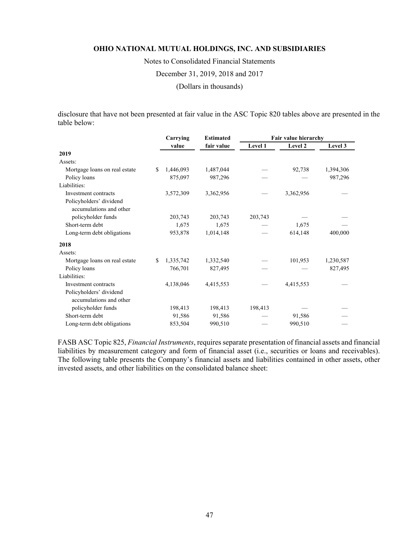Notes to Consolidated Financial Statements

December 31, 2019, 2018 and 2017

(Dollars in thousands)

disclosure that have not been presented at fair value in the ASC Topic 820 tables above are presented in the table below:

|                               |     | Carrying<br><b>Estimated</b> |            | Fair value hierarchy |           |           |  |
|-------------------------------|-----|------------------------------|------------|----------------------|-----------|-----------|--|
|                               |     | value                        | fair value | Level 1              | Level 2   | Level 3   |  |
| 2019                          |     |                              |            |                      |           |           |  |
| Assets:                       |     |                              |            |                      |           |           |  |
| Mortgage loans on real estate | \$. | 1,446,093                    | 1,487,044  |                      | 92,738    | 1,394,306 |  |
| Policy loans                  |     | 875,097                      | 987,296    |                      |           | 987,296   |  |
| Liabilities:                  |     |                              |            |                      |           |           |  |
| Investment contracts          |     | 3,572,309                    | 3,362,956  |                      | 3,362,956 |           |  |
| Policyholders' dividend       |     |                              |            |                      |           |           |  |
| accumulations and other       |     |                              |            |                      |           |           |  |
| policyholder funds            |     | 203,743                      | 203,743    | 203,743              |           |           |  |
| Short-term debt               |     | 1,675                        | 1,675      |                      | 1,675     |           |  |
| Long-term debt obligations    |     | 953,878                      | 1,014,148  |                      | 614,148   | 400,000   |  |
| 2018                          |     |                              |            |                      |           |           |  |
| Assets:                       |     |                              |            |                      |           |           |  |
| Mortgage loans on real estate | S.  | 1,335,742                    | 1,332,540  |                      | 101,953   | 1,230,587 |  |
| Policy loans                  |     | 766,701                      | 827,495    |                      |           | 827,495   |  |
| Liabilities:                  |     |                              |            |                      |           |           |  |
| Investment contracts          |     | 4,138,046                    | 4,415,553  |                      | 4,415,553 |           |  |
| Policyholders' dividend       |     |                              |            |                      |           |           |  |
| accumulations and other       |     |                              |            |                      |           |           |  |
| policyholder funds            |     | 198,413                      | 198,413    | 198,413              |           |           |  |
| Short-term debt               |     | 91,586                       | 91,586     |                      | 91,586    |           |  |
| Long-term debt obligations    |     | 853,504                      | 990,510    |                      | 990,510   |           |  |

FASB ASC Topic 825, *Financial Instruments*, requires separate presentation of financial assets and financial liabilities by measurement category and form of financial asset (i.e., securities or loans and receivables). The following table presents the Company's financial assets and liabilities contained in other assets, other invested assets, and other liabilities on the consolidated balance sheet: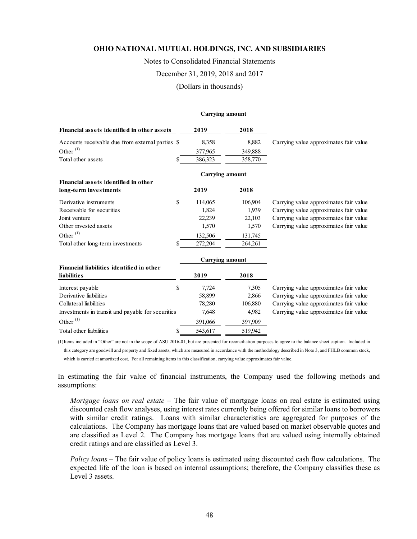Notes to Consolidated Financial Statements

December 31, 2019, 2018 and 2017

(Dollars in thousands)

|                                                   | <b>Carrying amount</b> |         |                                        |
|---------------------------------------------------|------------------------|---------|----------------------------------------|
| Financial assets identified in other assets       | 2019                   | 2018    |                                        |
| Accounts receivable due from external parties \$  | 8,358                  | 8,882   | Carrying value approximates fair value |
| Other <sup>(1)</sup>                              | 377,965                | 349,888 |                                        |
| Total other assets                                | \$<br>386,323          | 358,770 |                                        |
|                                                   | <b>Carrying amount</b> |         |                                        |
| Financial assets identified in other              |                        |         |                                        |
| long-term investments                             | 2019                   | 2018    |                                        |
| Derivative instruments                            | \$<br>114,065          | 106,904 | Carrying value approximates fair value |
| Receivable for securities                         | 1,824                  | 1,939   | Carrying value approximates fair value |
| Joint venture                                     | 22,239                 | 22,103  | Carrying value approximates fair value |
| Other invested assets                             | 1,570                  | 1,570   | Carrying value approximates fair value |
| Other $^{(1)}$                                    | 132,506                | 131,745 |                                        |
| Total other long-term investments                 | \$<br>272,204          | 264,261 |                                        |
|                                                   | <b>Carrying amount</b> |         |                                        |
| Financial liabilities identified in other         |                        |         |                                        |
| <b>liabilities</b>                                | 2019                   | 2018    |                                        |
| Interest payable                                  | \$<br>7,724            | 7,305   | Carrying value approximates fair value |
| Derivative liabilities                            | 58,899                 | 2,866   | Carrying value approximates fair value |
| Collateral liabilities                            | 78,280                 | 106,880 | Carrying value approximates fair value |
| Investments in transit and payable for securities | 7,648                  | 4,982   | Carrying value approximates fair value |
| Other <sup>(1)</sup>                              | 391,066                | 397,909 |                                        |
| Total other liabilities                           | \$<br>543,617          | 519,942 |                                        |

(1) Items included in "Other" are not in the scope of ASU 2016-01, but are presented for reconciliation purposes to agree to the balance sheet caption. Included in this category are goodwill and property and fixed assets, which are measured in accordance with the methodology described in Note 3, and FHLB common stock, which is carried at amortized cost. For all remaining items in this classification, carrying value approximates fair value.

In estimating the fair value of financial instruments, the Company used the following methods and assumptions:

*Mortgage loans on real estate* – The fair value of mortgage loans on real estate is estimated using discounted cash flow analyses, using interest rates currently being offered for similar loans to borrowers with similar credit ratings. Loans with similar characteristics are aggregated for purposes of the calculations. The Company has mortgage loans that are valued based on market observable quotes and are classified as Level 2. The Company has mortgage loans that are valued using internally obtained credit ratings and are classified as Level 3.

*Policy loans* – The fair value of policy loans is estimated using discounted cash flow calculations. The expected life of the loan is based on internal assumptions; therefore, the Company classifies these as Level 3 assets.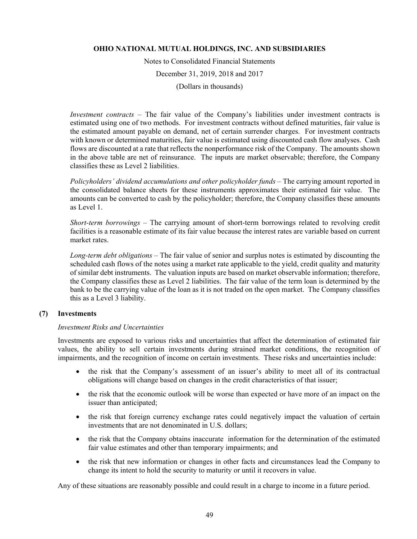Notes to Consolidated Financial Statements

December 31, 2019, 2018 and 2017

(Dollars in thousands)

*Investment contracts* – The fair value of the Company's liabilities under investment contracts is estimated using one of two methods. For investment contracts without defined maturities, fair value is the estimated amount payable on demand, net of certain surrender charges. For investment contracts with known or determined maturities, fair value is estimated using discounted cash flow analyses. Cash flows are discounted at a rate that reflects the nonperformance risk of the Company. The amounts shown in the above table are net of reinsurance. The inputs are market observable; therefore, the Company classifies these as Level 2 liabilities.

*Policyholders' dividend accumulations and other policyholder funds* – The carrying amount reported in the consolidated balance sheets for these instruments approximates their estimated fair value. The amounts can be converted to cash by the policyholder; therefore, the Company classifies these amounts as Level 1.

*Short-term borrowings* – The carrying amount of short-term borrowings related to revolving credit facilities is a reasonable estimate of its fair value because the interest rates are variable based on current market rates.

*Long-term debt obligations –* The fair value of senior and surplus notes is estimated by discounting the scheduled cash flows of the notes using a market rate applicable to the yield, credit quality and maturity of similar debt instruments. The valuation inputs are based on market observable information; therefore, the Company classifies these as Level 2 liabilities. The fair value of the term loan is determined by the bank to be the carrying value of the loan as it is not traded on the open market. The Company classifies this as a Level 3 liability.

### **(7) Investments**

### *Investment Risks and Uncertainties*

Investments are exposed to various risks and uncertainties that affect the determination of estimated fair values, the ability to sell certain investments during strained market conditions, the recognition of impairments, and the recognition of income on certain investments. These risks and uncertainties include:

- the risk that the Company's assessment of an issuer's ability to meet all of its contractual obligations will change based on changes in the credit characteristics of that issuer;
- the risk that the economic outlook will be worse than expected or have more of an impact on the issuer than anticipated;
- the risk that foreign currency exchange rates could negatively impact the valuation of certain investments that are not denominated in U.S. dollars;
- the risk that the Company obtains inaccurate information for the determination of the estimated fair value estimates and other than temporary impairments; and
- the risk that new information or changes in other facts and circumstances lead the Company to change its intent to hold the security to maturity or until it recovers in value.

Any of these situations are reasonably possible and could result in a charge to income in a future period.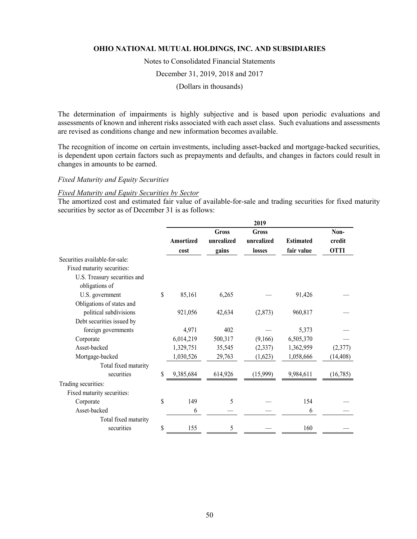Notes to Consolidated Financial Statements

December 31, 2019, 2018 and 2017

(Dollars in thousands)

The determination of impairments is highly subjective and is based upon periodic evaluations and assessments of known and inherent risks associated with each asset class. Such evaluations and assessments are revised as conditions change and new information becomes available.

The recognition of income on certain investments, including asset-backed and mortgage-backed securities, is dependent upon certain factors such as prepayments and defaults, and changes in factors could result in changes in amounts to be earned.

## *Fixed Maturity and Equity Securities*

#### *Fixed Maturity and Equity Securities by Sector*

The amortized cost and estimated fair value of available-for-sale and trading securities for fixed maturity securities by sector as of December 31 is as follows:

| Non-<br>Gross<br>Gross<br>Amortized<br>unrealized<br>unrealized<br><b>Estimated</b><br>credit<br><b>OTTI</b><br>fair value<br>gains<br>losses<br>cost<br>Securities available-for-sale:<br>Fixed maturity securities:<br>U.S. Treasury securities and<br>obligations of<br>\$<br>U.S. government<br>6,265<br>85,161<br>91,426<br>Obligations of states and<br>political subdivisions<br>921,056<br>42,634<br>(2,873)<br>960,817<br>Debt securities issued by<br>402<br>5,373<br>foreign governments<br>4,971<br>500,317<br>6,014,219<br>(9,166)<br>6,505,370<br>Corporate<br>Asset-backed<br>1,329,751<br>35,545<br>1,362,959<br>(2,377)<br>(2,337)<br>Mortgage-backed<br>1,030,526<br>(1,623)<br>1,058,666<br>(14, 408)<br>29,763 |
|------------------------------------------------------------------------------------------------------------------------------------------------------------------------------------------------------------------------------------------------------------------------------------------------------------------------------------------------------------------------------------------------------------------------------------------------------------------------------------------------------------------------------------------------------------------------------------------------------------------------------------------------------------------------------------------------------------------------------------|
|                                                                                                                                                                                                                                                                                                                                                                                                                                                                                                                                                                                                                                                                                                                                    |
|                                                                                                                                                                                                                                                                                                                                                                                                                                                                                                                                                                                                                                                                                                                                    |
|                                                                                                                                                                                                                                                                                                                                                                                                                                                                                                                                                                                                                                                                                                                                    |
|                                                                                                                                                                                                                                                                                                                                                                                                                                                                                                                                                                                                                                                                                                                                    |
|                                                                                                                                                                                                                                                                                                                                                                                                                                                                                                                                                                                                                                                                                                                                    |
|                                                                                                                                                                                                                                                                                                                                                                                                                                                                                                                                                                                                                                                                                                                                    |
|                                                                                                                                                                                                                                                                                                                                                                                                                                                                                                                                                                                                                                                                                                                                    |
|                                                                                                                                                                                                                                                                                                                                                                                                                                                                                                                                                                                                                                                                                                                                    |
|                                                                                                                                                                                                                                                                                                                                                                                                                                                                                                                                                                                                                                                                                                                                    |
|                                                                                                                                                                                                                                                                                                                                                                                                                                                                                                                                                                                                                                                                                                                                    |
|                                                                                                                                                                                                                                                                                                                                                                                                                                                                                                                                                                                                                                                                                                                                    |
|                                                                                                                                                                                                                                                                                                                                                                                                                                                                                                                                                                                                                                                                                                                                    |
|                                                                                                                                                                                                                                                                                                                                                                                                                                                                                                                                                                                                                                                                                                                                    |
| Total fixed maturity                                                                                                                                                                                                                                                                                                                                                                                                                                                                                                                                                                                                                                                                                                               |
| securities<br>\$<br>9,385,684<br>614,926<br>(15,999)<br>9,984,611<br>(16, 785)                                                                                                                                                                                                                                                                                                                                                                                                                                                                                                                                                                                                                                                     |
| Trading securities:                                                                                                                                                                                                                                                                                                                                                                                                                                                                                                                                                                                                                                                                                                                |
| Fixed maturity securities:                                                                                                                                                                                                                                                                                                                                                                                                                                                                                                                                                                                                                                                                                                         |
| \$<br>149<br>5<br>154<br>Corporate                                                                                                                                                                                                                                                                                                                                                                                                                                                                                                                                                                                                                                                                                                 |
| Asset-backed<br>6<br>6                                                                                                                                                                                                                                                                                                                                                                                                                                                                                                                                                                                                                                                                                                             |
| Total fixed maturity                                                                                                                                                                                                                                                                                                                                                                                                                                                                                                                                                                                                                                                                                                               |
| \$<br>securities<br>155<br>5<br>160                                                                                                                                                                                                                                                                                                                                                                                                                                                                                                                                                                                                                                                                                                |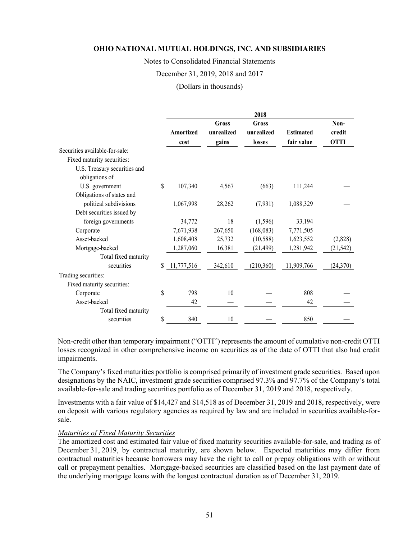Notes to Consolidated Financial Statements

#### December 31, 2019, 2018 and 2017

(Dollars in thousands)

|                                                |    |                   |                                     | 2018                          |                                |                               |
|------------------------------------------------|----|-------------------|-------------------------------------|-------------------------------|--------------------------------|-------------------------------|
|                                                |    | Amortized<br>cost | <b>Gross</b><br>unrealized<br>gains | Gross<br>unrealized<br>losses | <b>Estimated</b><br>fair value | Non-<br>credit<br><b>OTTI</b> |
| Securities available-for-sale:                 |    |                   |                                     |                               |                                |                               |
| Fixed maturity securities:                     |    |                   |                                     |                               |                                |                               |
| U.S. Treasury securities and<br>obligations of |    |                   |                                     |                               |                                |                               |
| U.S. government                                | \$ | 107,340           | 4,567                               | (663)                         | 111,244                        |                               |
| Obligations of states and                      |    |                   |                                     |                               |                                |                               |
| political subdivisions                         |    | 1,067,998         | 28,262                              | (7, 931)                      | 1,088,329                      |                               |
| Debt securities issued by                      |    |                   |                                     |                               |                                |                               |
| foreign governments                            |    | 34,772            | 18                                  | (1,596)                       | 33,194                         |                               |
| Corporate                                      |    | 7,671,938         | 267,650                             | (168,083)                     | 7,771,505                      |                               |
| Asset-backed                                   |    | 1,608,408         | 25,732                              | (10, 588)                     | 1,623,552                      | (2,828)                       |
| Mortgage-backed                                |    | 1,287,060         | 16,381                              | (21, 499)                     | 1,281,942                      | (21, 542)                     |
| Total fixed maturity                           |    |                   |                                     |                               |                                |                               |
| securities                                     | S  | 11,777,516        | 342,610                             | (210, 360)                    | 11,909,766                     | (24,370)                      |
| Trading securities:                            |    |                   |                                     |                               |                                |                               |
| Fixed maturity securities:                     |    |                   |                                     |                               |                                |                               |
| Corporate                                      | \$ | 798               | 10                                  |                               | 808                            |                               |
| Asset-backed                                   |    | 42                |                                     |                               | 42                             |                               |
| Total fixed maturity                           |    |                   |                                     |                               |                                |                               |
| securities                                     | \$ | 840               | 10                                  |                               | 850                            |                               |

Non-credit other than temporary impairment ("OTTI") represents the amount of cumulative non-credit OTTI losses recognized in other comprehensive income on securities as of the date of OTTI that also had credit impairments.

The Company's fixed maturities portfolio is comprised primarily of investment grade securities. Based upon designations by the NAIC, investment grade securities comprised 97.3% and 97.7% of the Company's total available-for-sale and trading securities portfolio as of December 31, 2019 and 2018, respectively.

Investments with a fair value of \$14,427 and \$14,518 as of December 31, 2019 and 2018, respectively, were on deposit with various regulatory agencies as required by law and are included in securities available-forsale.

### *Maturities of Fixed Maturity Securities*

The amortized cost and estimated fair value of fixed maturity securities available-for-sale, and trading as of December 31, 2019, by contractual maturity, are shown below. Expected maturities may differ from contractual maturities because borrowers may have the right to call or prepay obligations with or without call or prepayment penalties. Mortgage-backed securities are classified based on the last payment date of the underlying mortgage loans with the longest contractual duration as of December 31, 2019.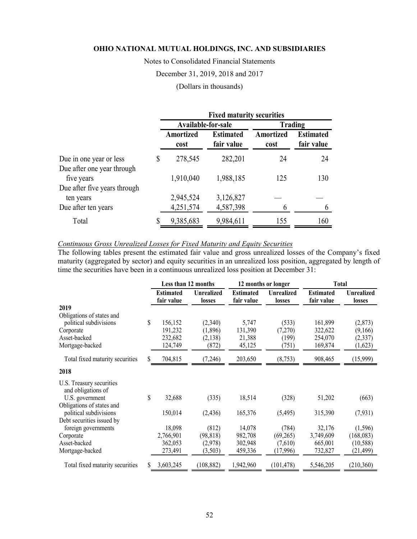Notes to Consolidated Financial Statements

December 31, 2019, 2018 and 2017

## (Dollars in thousands)

|                                                       | <b>Fixed maturity securities</b> |                                |                   |                                |  |  |
|-------------------------------------------------------|----------------------------------|--------------------------------|-------------------|--------------------------------|--|--|
|                                                       | Available-for-sale               |                                |                   | <b>Trading</b>                 |  |  |
|                                                       | Amortized<br>cost                | <b>Estimated</b><br>fair value | Amortized<br>cost | <b>Estimated</b><br>fair value |  |  |
| Due in one year or less<br>Due after one year through | \$<br>278,545                    | 282,201                        | 24                | 24                             |  |  |
| five years                                            | 1,910,040                        | 1,988,185                      | 125               | 130                            |  |  |
| Due after five years through                          |                                  |                                |                   |                                |  |  |
| ten years                                             | 2,945,524                        | 3,126,827                      |                   |                                |  |  |
| Due after ten years                                   | 4,251,574                        | 4,587,398                      | 6                 | 6                              |  |  |
| Total                                                 | 9,385,683                        | 9,984,611                      | 155               | 160                            |  |  |

# *Continuous Gross Unrealized Losses for Fixed Maturity and Equity Securities*

The following tables present the estimated fair value and gross unrealized losses of the Company's fixed maturity (aggregated by sector) and equity securities in an unrealized loss position, aggregated by length of time the securities have been in a continuous unrealized loss position at December 31:

|                                                                                                     |    | Less than 12 months                      |                                        |                                      | 12 months or longer                | <b>Total</b>                             |                                            |
|-----------------------------------------------------------------------------------------------------|----|------------------------------------------|----------------------------------------|--------------------------------------|------------------------------------|------------------------------------------|--------------------------------------------|
|                                                                                                     |    | <b>Estimated</b><br>fair value           | <b>Unrealized</b><br>losses            | <b>Estimated</b><br>fair value       | <b>Unrealized</b><br>losses        | <b>Estimated</b><br>fair value           | <b>Unrealized</b><br>losses                |
| 2019                                                                                                |    |                                          |                                        |                                      |                                    |                                          |                                            |
| Obligations of states and<br>political subdivisions<br>Corporate<br>Asset-backed<br>Mortgage-backed | S  | 156,152<br>191,232<br>232,682<br>124,749 | (2,340)<br>(1,896)<br>(2,138)<br>(872) | 5,747<br>131,390<br>21,388<br>45,125 | (533)<br>(7,270)<br>(199)<br>(751) | 161,899<br>322,622<br>254,070<br>169,874 | (2, 873)<br>(9,166)<br>(2, 337)<br>(1,623) |
| Total fixed maturity securities                                                                     | S  | 704,815                                  | (7,246)                                | 203,650                              | (8,753)                            | 908,465                                  | (15,999)                                   |
| 2018                                                                                                |    |                                          |                                        |                                      |                                    |                                          |                                            |
| U.S. Treasury securities<br>and obligations of                                                      | \$ |                                          |                                        |                                      |                                    |                                          |                                            |
| U.S. government<br>Obligations of states and<br>political subdivisions                              |    | 32,688<br>150,014                        | (335)<br>(2, 436)                      | 18,514<br>165,376                    | (328)<br>(5,495)                   | 51,202<br>315,390                        | (663)<br>(7, 931)                          |
| Debt securities issued by<br>foreign governments                                                    |    | 18,098                                   | (812)                                  | 14,078                               | (784)                              | 32,176                                   | (1,596)                                    |
| Corporate<br>Asset-backed                                                                           |    | 2,766,901<br>362,053                     | (98, 818)<br>(2,978)                   | 982,708<br>302,948                   | (69,265)<br>(7,610)                | 3,749,609<br>665,001                     | (168,083)<br>(10, 588)                     |
| Mortgage-backed                                                                                     |    | 273,491                                  | (3,503)                                | 459,336                              | (17,996)                           | 732,827                                  | (21, 499)                                  |
| Total fixed maturity securities                                                                     | S  | 3,603,245                                | (108, 882)                             | 1,942,960                            | (101, 478)                         | 5,546,205                                | (210,360)                                  |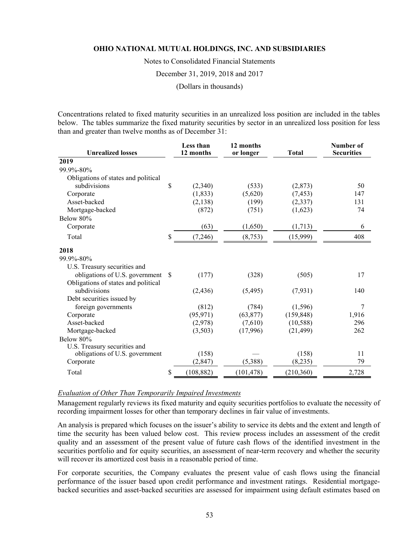Notes to Consolidated Financial Statements

December 31, 2019, 2018 and 2017

(Dollars in thousands)

Concentrations related to fixed maturity securities in an unrealized loss position are included in the tables below. The tables summarize the fixed maturity securities by sector in an unrealized loss position for less than and greater than twelve months as of December 31:

| <b>Unrealized losses</b>            | <b>Less than</b><br>12 months | 12 months<br>or longer | <b>Total</b> | Number of<br><b>Securities</b> |
|-------------------------------------|-------------------------------|------------------------|--------------|--------------------------------|
| 2019                                |                               |                        |              |                                |
| 99.9%-80%                           |                               |                        |              |                                |
| Obligations of states and political |                               |                        |              |                                |
| subdivisions                        | \$<br>(2,340)                 | (533)                  | (2,873)      | 50                             |
| Corporate                           | (1, 833)                      | (5,620)                | (7, 453)     | 147                            |
| Asset-backed                        | (2, 138)                      | (199)                  | (2,337)      | 131                            |
| Mortgage-backed                     | (872)                         | (751)                  | (1,623)      | 74                             |
| Below 80%                           |                               |                        |              |                                |
| Corporate                           | (63)                          | (1,650)                | (1,713)      | 6                              |
| Total                               | \$<br>(7,246)                 | (8,753)                | (15,999)     | 408                            |
| 2018                                |                               |                        |              |                                |
| 99.9%-80%                           |                               |                        |              |                                |
| U.S. Treasury securities and        |                               |                        |              |                                |
| obligations of U.S. government      | \$<br>(177)                   | (328)                  | (505)        | 17                             |
| Obligations of states and political |                               |                        |              |                                |
| subdivisions                        | (2, 436)                      | (5, 495)               | (7,931)      | 140                            |
| Debt securities issued by           |                               |                        |              |                                |
| foreign governments                 | (812)                         | (784)                  | (1,596)      | 7                              |
| Corporate                           | (95, 971)                     | (63, 877)              | (159, 848)   | 1,916                          |
| Asset-backed                        | (2,978)                       | (7,610)                | (10, 588)    | 296                            |
| Mortgage-backed                     | (3,503)                       | (17,996)               | (21, 499)    | 262                            |
| Below 80%                           |                               |                        |              |                                |
| U.S. Treasury securities and        |                               |                        |              |                                |
| obligations of U.S. government      | (158)                         |                        | (158)        | 11                             |
| Corporate                           | (2, 847)                      | (5,388)                | (8,235)      | 79                             |
| Total                               | \$<br>(108, 882)              | (101, 478)             | (210, 360)   | 2,728                          |

# *Evaluation of Other Than Temporarily Impaired Investments*

Management regularly reviews its fixed maturity and equity securities portfolios to evaluate the necessity of recording impairment losses for other than temporary declines in fair value of investments.

An analysis is prepared which focuses on the issuer's ability to service its debts and the extent and length of time the security has been valued below cost. This review process includes an assessment of the credit quality and an assessment of the present value of future cash flows of the identified investment in the securities portfolio and for equity securities, an assessment of near-term recovery and whether the security will recover its amortized cost basis in a reasonable period of time.

For corporate securities, the Company evaluates the present value of cash flows using the financial performance of the issuer based upon credit performance and investment ratings. Residential mortgagebacked securities and asset-backed securities are assessed for impairment using default estimates based on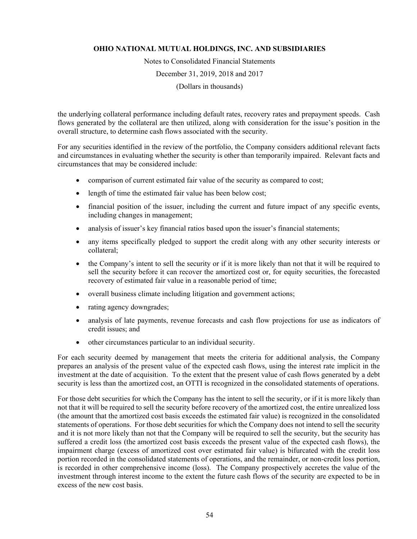Notes to Consolidated Financial Statements

December 31, 2019, 2018 and 2017

(Dollars in thousands)

the underlying collateral performance including default rates, recovery rates and prepayment speeds. Cash flows generated by the collateral are then utilized, along with consideration for the issue's position in the overall structure, to determine cash flows associated with the security.

For any securities identified in the review of the portfolio, the Company considers additional relevant facts and circumstances in evaluating whether the security is other than temporarily impaired. Relevant facts and circumstances that may be considered include:

- comparison of current estimated fair value of the security as compared to cost;
- length of time the estimated fair value has been below cost;
- financial position of the issuer, including the current and future impact of any specific events, including changes in management;
- analysis of issuer's key financial ratios based upon the issuer's financial statements;
- any items specifically pledged to support the credit along with any other security interests or collateral;
- the Company's intent to sell the security or if it is more likely than not that it will be required to sell the security before it can recover the amortized cost or, for equity securities, the forecasted recovery of estimated fair value in a reasonable period of time;
- overall business climate including litigation and government actions;
- rating agency downgrades;
- analysis of late payments, revenue forecasts and cash flow projections for use as indicators of credit issues; and
- other circumstances particular to an individual security.

For each security deemed by management that meets the criteria for additional analysis, the Company prepares an analysis of the present value of the expected cash flows, using the interest rate implicit in the investment at the date of acquisition. To the extent that the present value of cash flows generated by a debt security is less than the amortized cost, an OTTI is recognized in the consolidated statements of operations.

For those debt securities for which the Company has the intent to sell the security, or if it is more likely than not that it will be required to sell the security before recovery of the amortized cost, the entire unrealized loss (the amount that the amortized cost basis exceeds the estimated fair value) is recognized in the consolidated statements of operations. For those debt securities for which the Company does not intend to sell the security and it is not more likely than not that the Company will be required to sell the security, but the security has suffered a credit loss (the amortized cost basis exceeds the present value of the expected cash flows), the impairment charge (excess of amortized cost over estimated fair value) is bifurcated with the credit loss portion recorded in the consolidated statements of operations, and the remainder, or non-credit loss portion, is recorded in other comprehensive income (loss). The Company prospectively accretes the value of the investment through interest income to the extent the future cash flows of the security are expected to be in excess of the new cost basis.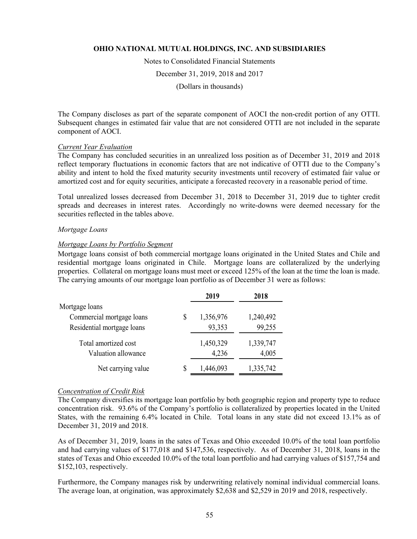Notes to Consolidated Financial Statements

December 31, 2019, 2018 and 2017

(Dollars in thousands)

The Company discloses as part of the separate component of AOCI the non-credit portion of any OTTI. Subsequent changes in estimated fair value that are not considered OTTI are not included in the separate component of AOCI.

#### *Current Year Evaluation*

The Company has concluded securities in an unrealized loss position as of December 31, 2019 and 2018 reflect temporary fluctuations in economic factors that are not indicative of OTTI due to the Company's ability and intent to hold the fixed maturity security investments until recovery of estimated fair value or amortized cost and for equity securities, anticipate a forecasted recovery in a reasonable period of time.

Total unrealized losses decreased from December 31, 2018 to December 31, 2019 due to tighter credit spreads and decreases in interest rates. Accordingly no write-downs were deemed necessary for the securities reflected in the tables above.

#### *Mortgage Loans*

#### *Mortgage Loans by Portfolio Segment*

Mortgage loans consist of both commercial mortgage loans originated in the United States and Chile and residential mortgage loans originated in Chile. Mortgage loans are collateralized by the underlying properties. Collateral on mortgage loans must meet or exceed 125% of the loan at the time the loan is made. The carrying amounts of our mortgage loan portfolio as of December 31 were as follows:

|                            |    | 2019      | 2018      |
|----------------------------|----|-----------|-----------|
| Mortgage loans             |    |           |           |
| Commercial mortgage loans  | \$ | 1,356,976 | 1,240,492 |
| Residential mortgage loans |    | 93,353    | 99,255    |
| Total amortized cost       |    | 1,450,329 | 1,339,747 |
| Valuation allowance        |    | 4,236     | 4,005     |
| Net carrying value         | S  | 1,446,093 | 1,335,742 |

#### *Concentration of Credit Risk*

The Company diversifies its mortgage loan portfolio by both geographic region and property type to reduce concentration risk. 93.6% of the Company's portfolio is collateralized by properties located in the United States, with the remaining 6.4% located in Chile. Total loans in any state did not exceed 13.1% as of December 31, 2019 and 2018.

As of December 31, 2019, loans in the sates of Texas and Ohio exceeded 10.0% of the total loan portfolio and had carrying values of \$177,018 and \$147,536, respectively. As of December 31, 2018, loans in the states of Texas and Ohio exceeded 10.0% of the total loan portfolio and had carrying values of \$157,754 and \$152,103, respectively.

Furthermore, the Company manages risk by underwriting relatively nominal individual commercial loans. The average loan, at origination, was approximately \$2,638 and \$2,529 in 2019 and 2018, respectively.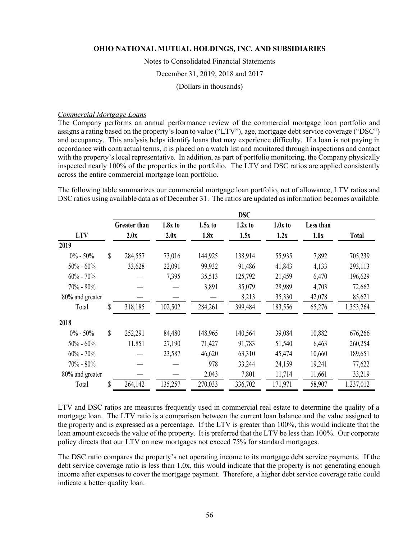Notes to Consolidated Financial Statements

December 31, 2019, 2018 and 2017

(Dollars in thousands)

#### *Commercial Mortgage Loans*

The Company performs an annual performance review of the commercial mortgage loan portfolio and assigns a rating based on the property's loan to value ("LTV"), age, mortgage debt service coverage ("DSC") and occupancy. This analysis helps identify loans that may experience difficulty. If a loan is not paying in accordance with contractual terms, it is placed on a watch list and monitored through inspections and contact with the property's local representative. In addition, as part of portfolio monitoring, the Company physically inspected nearly 100% of the properties in the portfolio. The LTV and DSC ratios are applied consistently across the entire commercial mortgage loan portfolio.

The following table summarizes our commercial mortgage loan portfolio, net of allowance, LTV ratios and DSC ratios using available data as of December 31. The ratios are updated as information becomes available.

|                 |              |                     |           |           | <b>DSC</b> |           |           |              |
|-----------------|--------------|---------------------|-----------|-----------|------------|-----------|-----------|--------------|
|                 |              | <b>Greater than</b> | $1.8x$ to | $1.5x$ to | $1.2x$ to  | $1.0x$ to | Less than |              |
| <b>LTV</b>      |              | 2.0x                | 2.0x      | 1.8x      | 1.5x       | 1.2x      | 1.0x      | <b>Total</b> |
| 2019            |              |                     |           |           |            |           |           |              |
| $0\% - 50\%$    | \$           | 284,557             | 73,016    | 144,925   | 138,914    | 55,935    | 7,892     | 705,239      |
| $50\% - 60\%$   |              | 33,628              | 22,091    | 99,932    | 91,486     | 41,843    | 4,133     | 293,113      |
| $60\% - 70\%$   |              |                     | 7,395     | 35,513    | 125,792    | 21,459    | 6,470     | 196,629      |
| 70% - 80%       |              |                     |           | 3,891     | 35,079     | 28,989    | 4,703     | 72,662       |
| 80% and greater |              |                     |           |           | 8,213      | 35,330    | 42,078    | 85,621       |
| Total           | \$           | 318,185             | 102,502   | 284,261   | 399,484    | 183,556   | 65,276    | 1,353,264    |
| 2018            |              |                     |           |           |            |           |           |              |
| $0\% - 50\%$    | $\mathbb{S}$ | 252,291             | 84,480    | 148,965   | 140,564    | 39,084    | 10,882    | 676,266      |
| $50\% - 60\%$   |              | 11,851              | 27,190    | 71,427    | 91,783     | 51,540    | 6,463     | 260,254      |
| $60\% - 70\%$   |              |                     | 23,587    | 46,620    | 63,310     | 45,474    | 10,660    | 189,651      |
| $70\% - 80\%$   |              |                     |           | 978       | 33,244     | 24,159    | 19,241    | 77,622       |
| 80% and greater |              |                     |           | 2,043     | 7,801      | 11,714    | 11,661    | 33,219       |
| Total           | \$           | 264,142             | 135,257   | 270,033   | 336,702    | 171,971   | 58,907    | 1,237,012    |

LTV and DSC ratios are measures frequently used in commercial real estate to determine the quality of a mortgage loan. The LTV ratio is a comparison between the current loan balance and the value assigned to the property and is expressed as a percentage. If the LTV is greater than 100%, this would indicate that the loan amount exceeds the value of the property. It is preferred that the LTV be less than 100%. Our corporate policy directs that our LTV on new mortgages not exceed 75% for standard mortgages.

The DSC ratio compares the property's net operating income to its mortgage debt service payments. If the debt service coverage ratio is less than 1.0x, this would indicate that the property is not generating enough income after expenses to cover the mortgage payment. Therefore, a higher debt service coverage ratio could indicate a better quality loan.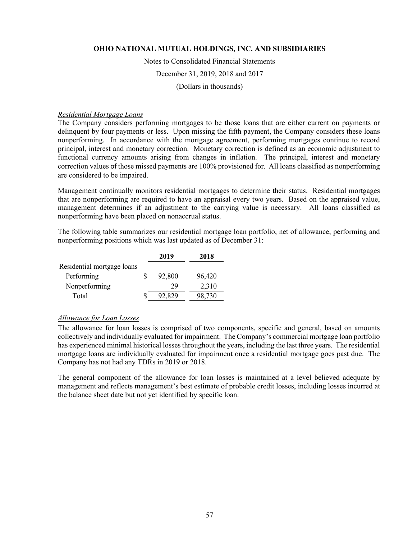#### Notes to Consolidated Financial Statements

#### December 31, 2019, 2018 and 2017

(Dollars in thousands)

#### *Residential Mortgage Loans*

The Company considers performing mortgages to be those loans that are either current on payments or delinquent by four payments or less. Upon missing the fifth payment, the Company considers these loans nonperforming. In accordance with the mortgage agreement, performing mortgages continue to record principal, interest and monetary correction. Monetary correction is defined as an economic adjustment to functional currency amounts arising from changes in inflation. The principal, interest and monetary correction values of those missed payments are 100% provisioned for. All loans classified as nonperforming are considered to be impaired.

Management continually monitors residential mortgages to determine their status. Residential mortgages that are nonperforming are required to have an appraisal every two years. Based on the appraised value, management determines if an adjustment to the carrying value is necessary. All loans classified as nonperforming have been placed on nonaccrual status.

The following table summarizes our residential mortgage loan portfolio, net of allowance, performing and nonperforming positions which was last updated as of December 31:

|                            | 2019   | 2018   |
|----------------------------|--------|--------|
| Residential mortgage loans |        |        |
| Performing                 | 92,800 | 96,420 |
| Nonperforming              | 29     | 2,310  |
| Total                      | 92,829 | 98,730 |

### *Allowance for Loan Losses*

The allowance for loan losses is comprised of two components, specific and general, based on amounts collectively and individually evaluated for impairment. The Company's commercial mortgage loan portfolio has experienced minimal historical losses throughout the years, including the last three years. The residential mortgage loans are individually evaluated for impairment once a residential mortgage goes past due. The Company has not had any TDRs in 2019 or 2018.

The general component of the allowance for loan losses is maintained at a level believed adequate by management and reflects management's best estimate of probable credit losses, including losses incurred at the balance sheet date but not yet identified by specific loan.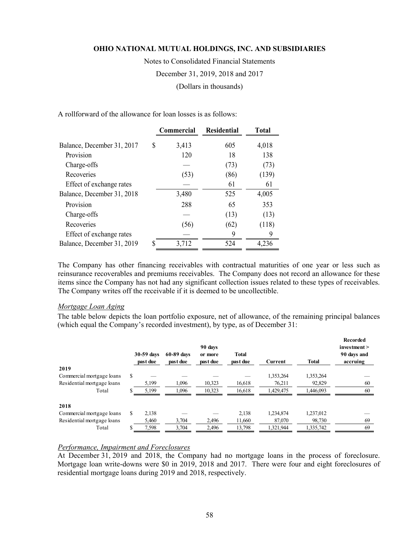Notes to Consolidated Financial Statements December 31, 2019, 2018 and 2017 (Dollars in thousands)

A rollforward of the allowance for loan losses is as follows:

|                            |   | Commercial | <b>Residential</b> | <b>Total</b> |
|----------------------------|---|------------|--------------------|--------------|
| Balance, December 31, 2017 | S | 3,413      | 605                | 4,018        |
| Provision                  |   | 120        | 18                 | 138          |
| Charge-offs                |   |            | (73)               | (73)         |
| Recoveries                 |   | (53)       | (86)               | (139)        |
| Effect of exchange rates   |   |            | 61                 | 61           |
| Balance, December 31, 2018 |   | 3,480      | 525                | 4,005        |
| Provision                  |   | 288        | 65                 | 353          |
| Charge-offs                |   |            | (13)               | (13)         |
| Recoveries                 |   | (56)       | (62)               | (118)        |
| Effect of exchange rates   |   |            | 9                  | 9            |
| Balance, December 31, 2019 | S | 3,712      | 524                | 4,236        |

The Company has other financing receivables with contractual maturities of one year or less such as reinsurance recoverables and premiums receivables. The Company does not record an allowance for these items since the Company has not had any significant collection issues related to these types of receivables. The Company writes off the receivable if it is deemed to be uncollectible.

#### *Mortgage Loan Aging*

The table below depicts the loan portfolio exposure, net of allowance, of the remaining principal balances (which equal the Company's recorded investment), by type, as of December 31:

|                                  | 30-59 days<br>past due | 60-89 days<br>past due | 90 days<br>or more<br>past due | <b>Total</b><br>past due | Current   | <b>Total</b> | <b>Recorded</b><br>investment ><br>90 days and<br>accruing |
|----------------------------------|------------------------|------------------------|--------------------------------|--------------------------|-----------|--------------|------------------------------------------------------------|
| 2019                             |                        |                        |                                |                          |           |              |                                                            |
| Commercial mortgage loans<br>\$. |                        |                        |                                |                          | 1,353,264 | 1,353,264    |                                                            |
| Residential mortgage loans       | 5,199                  | 1,096                  | 10,323                         | 16,618                   | 76,211    | 92,829       | 60                                                         |
| Total                            | 5,199                  | 1,096                  | 10,323                         | 16,618                   | 1,429,475 | 1,446,093    | 60                                                         |
| 2018                             |                        |                        |                                |                          |           |              |                                                            |
| Commercial mortgage loans<br>S   | 2,138                  |                        |                                | 2,138                    | 1.234.874 | 1,237,012    |                                                            |
| Residential mortgage loans       | 5,460                  | 3,704                  | 2,496                          | 11,660                   | 87,070    | 98,730       | 69                                                         |
| Total                            | 7,598                  | 3,704                  | 2,496                          | 13,798                   | 1,321,944 | 1,335,742    | 69                                                         |

### *Performance, Impairment and Foreclosures*

At December 31, 2019 and 2018, the Company had no mortgage loans in the process of foreclosure. Mortgage loan write-downs were \$0 in 2019, 2018 and 2017. There were four and eight foreclosures of residential mortgage loans during 2019 and 2018, respectively.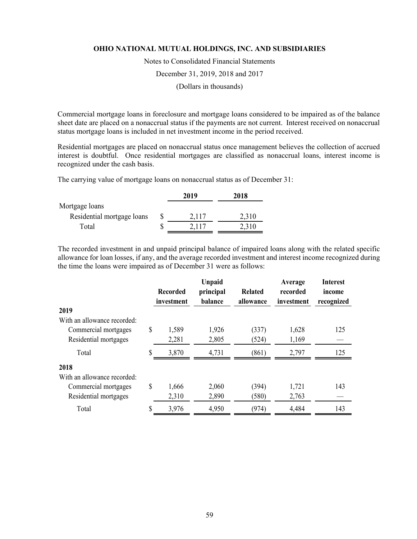Notes to Consolidated Financial Statements

December 31, 2019, 2018 and 2017

(Dollars in thousands)

Commercial mortgage loans in foreclosure and mortgage loans considered to be impaired as of the balance sheet date are placed on a nonaccrual status if the payments are not current. Interest received on nonaccrual status mortgage loans is included in net investment income in the period received.

Residential mortgages are placed on nonaccrual status once management believes the collection of accrued interest is doubtful. Once residential mortgages are classified as nonaccrual loans, interest income is recognized under the cash basis.

The carrying value of mortgage loans on nonaccrual status as of December 31:

|                            | 2019  | 2018  |
|----------------------------|-------|-------|
| Mortgage loans             |       |       |
| Residential mortgage loans | 2,117 | 2,310 |
| Total                      | .117  | 2,310 |

The recorded investment in and unpaid principal balance of impaired loans along with the related specific allowance for loan losses, if any, and the average recorded investment and interest income recognized during the time the loans were impaired as of December 31 were as follows:

|                             |    | Recorded<br>investment | Unpaid<br>principal<br>balance | <b>Related</b><br>allowance | Average<br>recorded<br>investment | <b>Interest</b><br>income<br>recognized |
|-----------------------------|----|------------------------|--------------------------------|-----------------------------|-----------------------------------|-----------------------------------------|
| 2019                        |    |                        |                                |                             |                                   |                                         |
| With an allowance recorded: |    |                        |                                |                             |                                   |                                         |
| Commercial mortgages        | S  | 1,589                  | 1,926                          | (337)                       | 1,628                             | 125                                     |
| Residential mortgages       |    | 2,281                  | 2,805                          | (524)                       | 1,169                             |                                         |
| Total                       | \$ | 3,870                  | 4,731                          | (861)                       | 2,797                             | 125                                     |
| 2018                        |    |                        |                                |                             |                                   |                                         |
| With an allowance recorded: |    |                        |                                |                             |                                   |                                         |
| Commercial mortgages        | \$ | 1,666                  | 2,060                          | (394)                       | 1,721                             | 143                                     |
| Residential mortgages       |    | 2,310                  | 2,890                          | (580)                       | 2,763                             |                                         |
| Total                       |    | 3,976                  | 4,950                          | (974)                       | 4,484                             | 143                                     |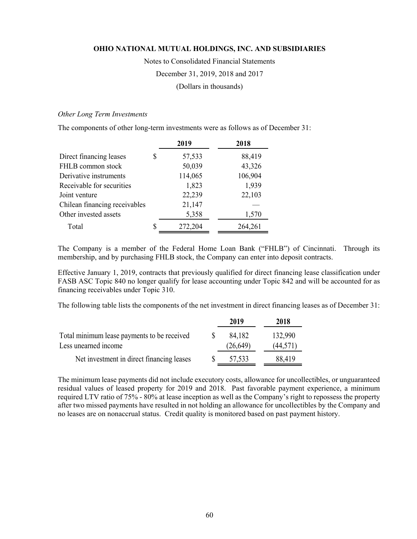Notes to Consolidated Financial Statements

December 31, 2019, 2018 and 2017

(Dollars in thousands)

### *Other Long Term Investments*

The components of other long-term investments were as follows as of December 31:

|                               |   | 2019    | 2018    |
|-------------------------------|---|---------|---------|
| Direct financing leases       | S | 57,533  | 88,419  |
| FHLB common stock             |   | 50,039  | 43,326  |
| Derivative instruments        |   | 114,065 | 106,904 |
| Receivable for securities     |   | 1,823   | 1,939   |
| Joint venture                 |   | 22,239  | 22,103  |
| Chilean financing receivables |   | 21,147  |         |
| Other invested assets         |   | 5,358   | 1,570   |
| Total                         | S | 272,204 | 264,261 |

The Company is a member of the Federal Home Loan Bank ("FHLB") of Cincinnati. Through its membership, and by purchasing FHLB stock, the Company can enter into deposit contracts.

Effective January 1, 2019, contracts that previously qualified for direct financing lease classification under FASB ASC Topic 840 no longer qualify for lease accounting under Topic 842 and will be accounted for as financing receivables under Topic 310.

The following table lists the components of the net investment in direct financing leases as of December 31:

|                                             | 2019      | 2018      |
|---------------------------------------------|-----------|-----------|
| Total minimum lease payments to be received | 84.182    | 132,990   |
| Less unearned income                        | (26, 649) | (44, 571) |
| Net investment in direct financing leases   | 57.533    | 88.419    |

The minimum lease payments did not include executory costs, allowance for uncollectibles, or unguaranteed residual values of leased property for 2019 and 2018. Past favorable payment experience, a minimum required LTV ratio of 75% - 80% at lease inception as well as the Company's right to repossess the property after two missed payments have resulted in not holding an allowance for uncollectibles by the Company and no leases are on nonaccrual status. Credit quality is monitored based on past payment history.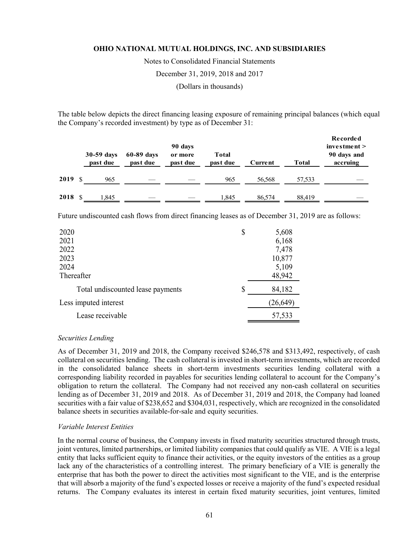Notes to Consolidated Financial Statements

December 31, 2019, 2018 and 2017

(Dollars in thousands)

The table below depicts the direct financing leasing exposure of remaining principal balances (which equal the Company's recorded investment) by type as of December 31:

|      |    | 30-59 days<br>past due | 60-89 days<br>past due | 90 days<br>or more<br>past due | <b>Total</b><br>past due | <b>Current</b> | <b>Total</b> | Recorded<br>investment<br>90 days and<br>accruing |
|------|----|------------------------|------------------------|--------------------------------|--------------------------|----------------|--------------|---------------------------------------------------|
| 2019 | -S | 965                    |                        |                                | 965                      | 56,568         | 57,533       |                                                   |
| 2018 | -S | 845.ء                  |                        |                                | 1,845                    | 86,574         | 88,419       |                                                   |

Future undiscounted cash flows from direct financing leases as of December 31, 2019 are as follows:

| 2020<br>2021                      | \$ | 5,608<br>6,168  |
|-----------------------------------|----|-----------------|
| 2022<br>2023                      |    | 7,478<br>10,877 |
| 2024                              |    | 5,109           |
| Thereafter                        |    | 48,942          |
| Total undiscounted lease payments | S  | 84,182          |
| Less imputed interest             |    | (26, 649)       |
| Lease receivable                  |    | 57,533          |

# *Securities Lending*

As of December 31, 2019 and 2018, the Company received \$246,578 and \$313,492, respectively, of cash collateral on securities lending. The cash collateral is invested in short-term investments, which are recorded in the consolidated balance sheets in short-term investments securities lending collateral with a corresponding liability recorded in payables for securities lending collateral to account for the Company's obligation to return the collateral. The Company had not received any non-cash collateral on securities lending as of December 31, 2019 and 2018. As of December 31, 2019 and 2018, the Company had loaned securities with a fair value of \$238,652 and \$304,031, respectively, which are recognized in the consolidated balance sheets in securities available-for-sale and equity securities.

# *Variable Interest Entities*

In the normal course of business, the Company invests in fixed maturity securities structured through trusts, joint ventures, limited partnerships, or limited liability companies that could qualify as VIE. A VIE is a legal entity that lacks sufficient equity to finance their activities, or the equity investors of the entities as a group lack any of the characteristics of a controlling interest. The primary beneficiary of a VIE is generally the enterprise that has both the power to direct the activities most significant to the VIE, and is the enterprise that will absorb a majority of the fund's expected losses or receive a majority of the fund's expected residual returns. The Company evaluates its interest in certain fixed maturity securities, joint ventures, limited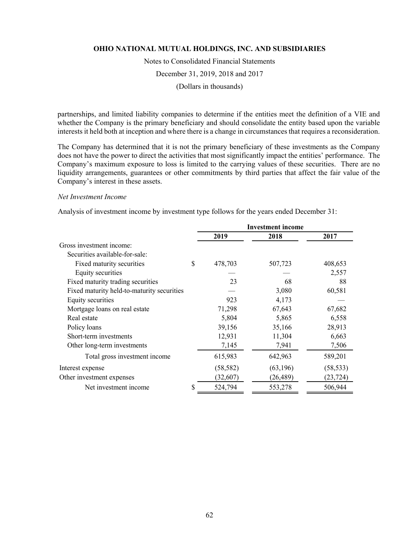Notes to Consolidated Financial Statements

December 31, 2019, 2018 and 2017

(Dollars in thousands)

partnerships, and limited liability companies to determine if the entities meet the definition of a VIE and whether the Company is the primary beneficiary and should consolidate the entity based upon the variable interests it held both at inception and where there is a change in circumstances that requires a reconsideration.

The Company has determined that it is not the primary beneficiary of these investments as the Company does not have the power to direct the activities that most significantly impact the entities' performance. The Company's maximum exposure to loss is limited to the carrying values of these securities. There are no liquidity arrangements, guarantees or other commitments by third parties that affect the fair value of the Company's interest in these assets.

### *Net Investment Income*

Analysis of investment income by investment type follows for the years ended December 31:

|                                            |               | <b>Investment income</b> |           |
|--------------------------------------------|---------------|--------------------------|-----------|
|                                            | 2019          | 2018                     | 2017      |
| Gross investment income:                   |               |                          |           |
| Securities available-for-sale:             |               |                          |           |
| Fixed maturity securities                  | \$<br>478,703 | 507,723                  | 408,653   |
| Equity securities                          |               |                          | 2,557     |
| Fixed maturity trading securities          | 23            | 68                       | 88        |
| Fixed maturity held-to-maturity securities |               | 3,080                    | 60,581    |
| Equity securities                          | 923           | 4,173                    |           |
| Mortgage loans on real estate              | 71,298        | 67,643                   | 67,682    |
| Real estate                                | 5,804         | 5,865                    | 6,558     |
| Policy loans                               | 39,156        | 35,166                   | 28,913    |
| Short-term investments                     | 12,931        | 11,304                   | 6,663     |
| Other long-term investments                | 7,145         | 7,941                    | 7,506     |
| Total gross investment income              | 615,983       | 642,963                  | 589,201   |
| Interest expense                           | (58, 582)     | (63, 196)                | (58, 533) |
| Other investment expenses                  | (32,607)      | (26,489)                 | (23,724)  |
| Net investment income                      | \$<br>524,794 | 553,278                  | 506,944   |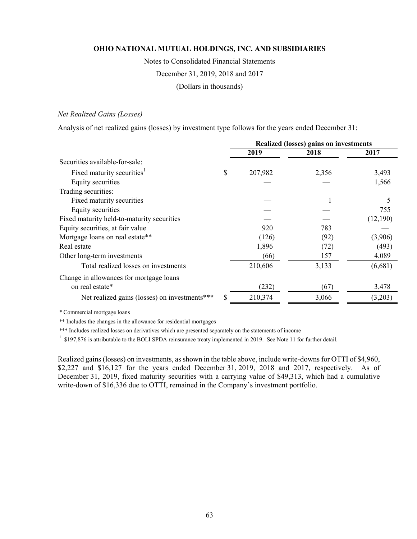Notes to Consolidated Financial Statements

December 31, 2019, 2018 and 2017

(Dollars in thousands)

### *Net Realized Gains (Losses)*

Analysis of net realized gains (losses) by investment type follows for the years ended December 31:

|                                               |   |         | Realized (losses) gains on investments |          |
|-----------------------------------------------|---|---------|----------------------------------------|----------|
|                                               |   | 2019    | 2018                                   | 2017     |
| Securities available-for-sale:                |   |         |                                        |          |
| Fixed maturity securities <sup>1</sup>        | S | 207,982 | 2,356                                  | 3,493    |
| Equity securities                             |   |         |                                        | 1,566    |
| Trading securities:                           |   |         |                                        |          |
| Fixed maturity securities                     |   |         |                                        |          |
| Equity securities                             |   |         |                                        | 755      |
| Fixed maturity held-to-maturity securities    |   |         |                                        | (12,190) |
| Equity securities, at fair value              |   | 920     | 783                                    |          |
| Mortgage loans on real estate**               |   | (126)   | (92)                                   | (3,906)  |
| Real estate                                   |   | 1,896   | (72)                                   | (493)    |
| Other long-term investments                   |   | (66)    | 157                                    | 4,089    |
| Total realized losses on investments          |   | 210,606 | 3,133                                  | (6,681)  |
| Change in allowances for mortgage loans       |   |         |                                        |          |
| on real estate*                               |   | (232)   | (67)                                   | 3,478    |
| Net realized gains (losses) on investments*** |   | 210,374 | 3,066                                  | (3,203)  |

\* Commercial mortgage loans

\*\* Includes the changes in the allowance for residential mortgages

\*\*\* Includes realized losses on derivatives which are presented separately on the statements of income

 $1$  \$197,876 is attributable to the BOLI SPDA reinsurance treaty implemented in 2019. See Note 11 for further detail.

Realized gains (losses) on investments, as shown in the table above, include write-downs for OTTI of \$4,960, \$2,227 and \$16,127 for the years ended December 31, 2019, 2018 and 2017, respectively. As of December 31, 2019, fixed maturity securities with a carrying value of \$49,313, which had a cumulative write-down of \$16,336 due to OTTI, remained in the Company's investment portfolio.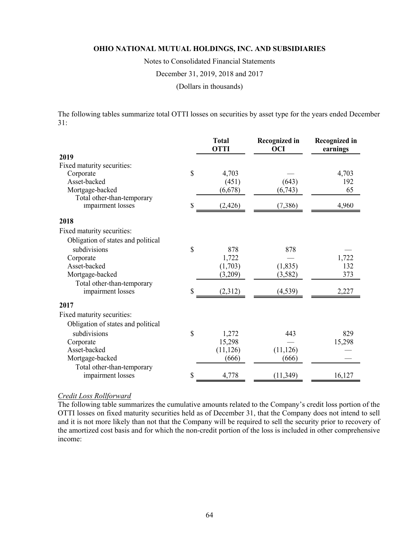Notes to Consolidated Financial Statements

December 31, 2019, 2018 and 2017

(Dollars in thousands)

The following tables summarize total OTTI losses on securities by asset type for the years ended December 31:

|                                    |    | <b>Total</b><br><b>OTTI</b> | <b>Recognized in</b><br><b>OCI</b> | <b>Recognized in</b><br>earnings |
|------------------------------------|----|-----------------------------|------------------------------------|----------------------------------|
| 2019                               |    |                             |                                    |                                  |
| Fixed maturity securities:         |    |                             |                                    |                                  |
| Corporate                          | \$ | 4,703                       |                                    | 4,703                            |
| Asset-backed                       |    | (451)                       | (643)                              | 192                              |
| Mortgage-backed                    |    | (6,678)                     | (6,743)                            | 65                               |
| Total other-than-temporary         |    |                             |                                    |                                  |
| impairment losses                  | S  | (2, 426)                    | (7,386)                            | 4,960                            |
| 2018                               |    |                             |                                    |                                  |
| Fixed maturity securities:         |    |                             |                                    |                                  |
| Obligation of states and political |    |                             |                                    |                                  |
| subdivisions                       | \$ | 878                         | 878                                |                                  |
| Corporate                          |    | 1,722                       |                                    | 1,722                            |
| Asset-backed                       |    | (1,703)                     | (1, 835)                           | 132                              |
| Mortgage-backed                    |    | (3,209)                     | (3, 582)                           | 373                              |
| Total other-than-temporary         |    |                             |                                    |                                  |
| impairment losses                  | \$ | (2,312)                     | (4, 539)                           | 2,227                            |
| 2017                               |    |                             |                                    |                                  |
| Fixed maturity securities:         |    |                             |                                    |                                  |
| Obligation of states and political |    |                             |                                    |                                  |
| subdivisions                       | \$ | 1,272                       | 443                                | 829                              |
| Corporate                          |    | 15,298                      |                                    | 15,298                           |
| Asset-backed                       |    | (11, 126)                   | (11, 126)                          |                                  |
| Mortgage-backed                    |    | (666)                       | (666)                              |                                  |
| Total other-than-temporary         |    |                             |                                    |                                  |
| impairment losses                  | \$ | 4,778                       | (11, 349)                          | 16,127                           |

#### *Credit Loss Rollforward*

The following table summarizes the cumulative amounts related to the Company's credit loss portion of the OTTI losses on fixed maturity securities held as of December 31, that the Company does not intend to sell and it is not more likely than not that the Company will be required to sell the security prior to recovery of the amortized cost basis and for which the non-credit portion of the loss is included in other comprehensive income: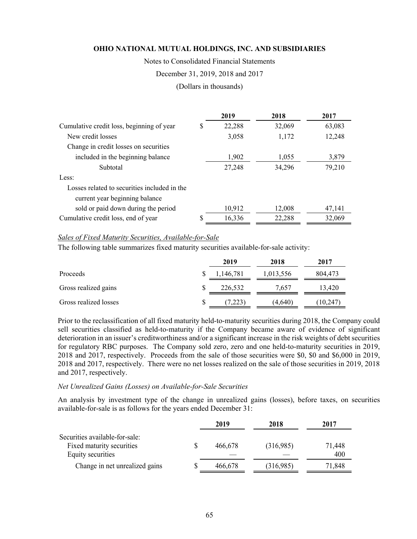#### Notes to Consolidated Financial Statements

#### December 31, 2019, 2018 and 2017

#### (Dollars in thousands)

|                                              |   | 2019   | 2018   | 2017   |
|----------------------------------------------|---|--------|--------|--------|
| Cumulative credit loss, beginning of year    | S | 22,288 | 32,069 | 63,083 |
| New credit losses                            |   | 3,058  | 1,172  | 12,248 |
| Change in credit losses on securities        |   |        |        |        |
| included in the beginning balance            |   | 1,902  | 1,055  | 3,879  |
| Subtotal                                     |   | 27,248 | 34,296 | 79,210 |
| Less:                                        |   |        |        |        |
| Losses related to securities included in the |   |        |        |        |
| current year beginning balance               |   |        |        |        |
| sold or paid down during the period          |   | 10,912 | 12,008 | 47,141 |
| Cumulative credit loss, end of year          | S | 16,336 | 22,288 | 32,069 |

### *Sales of Fixed Maturity Securities, Available-for-Sale*

The following table summarizes fixed maturity securities available-for-sale activity:

|                       |   | 2019      | 2018      | 2017      |
|-----------------------|---|-----------|-----------|-----------|
| Proceeds              |   | 1,146,781 | 1,013,556 | 804,473   |
| Gross realized gains  |   | 226,532   | 7,657     | 13,420    |
| Gross realized losses | S | 7,223)    | (4,640)   | (10, 247) |

Prior to the reclassification of all fixed maturity held-to-maturity securities during 2018, the Company could sell securities classified as held-to-maturity if the Company became aware of evidence of significant deterioration in an issuer's creditworthiness and/or a significant increase in the risk weights of debt securities for regulatory RBC purposes. The Company sold zero, zero and one held-to-maturity securities in 2019, 2018 and 2017, respectively. Proceeds from the sale of those securities were \$0, \$0 and \$6,000 in 2019, 2018 and 2017, respectively. There were no net losses realized on the sale of those securities in 2019, 2018 and 2017, respectively.

#### *Net Unrealized Gains (Losses) on Available-for-Sale Securities*

An analysis by investment type of the change in unrealized gains (losses), before taxes, on securities available-for-sale is as follows for the years ended December 31:

|                                                                                  | 2019    | 2018      | 2017          |
|----------------------------------------------------------------------------------|---------|-----------|---------------|
| Securities available-for-sale:<br>Fixed maturity securities<br>Equity securities | 466,678 | (316,985) | 71,448<br>400 |
| Change in net unrealized gains                                                   | 466,678 | (316,985) | 71.848        |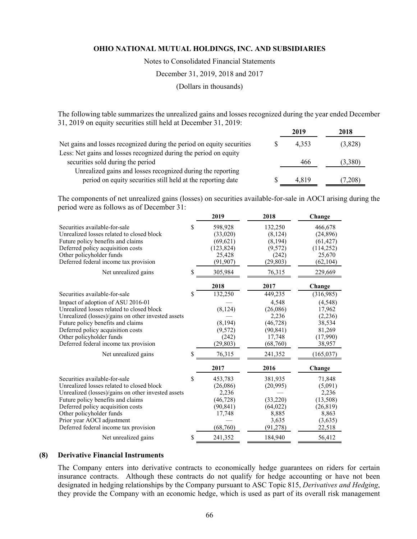Notes to Consolidated Financial Statements

December 31, 2019, 2018 and 2017

(Dollars in thousands)

The following table summarizes the unrealized gains and losses recognized during the year ended December 31, 2019 on equity securities still held at December 31, 2019:

|                                                                        | 2019  | 2018    |
|------------------------------------------------------------------------|-------|---------|
| Net gains and losses recognized during the period on equity securities | 4.353 | (3,828) |
| Less: Net gains and losses recognized during the period on equity      |       |         |
| securities sold during the period                                      | 466   | (3,380) |
| Unrealized gains and losses recognized during the reporting            |       |         |
| period on equity securities still held at the reporting date           | 4.819 | (7,208) |

The components of net unrealized gains (losses) on securities available-for-sale in AOCI arising during the period were as follows as of December 31:

|                                                    |    | 2019       | 2018      | Change     |
|----------------------------------------------------|----|------------|-----------|------------|
| Securities available-for-sale                      | \$ | 598,928    | 132,250   | 466,678    |
| Unrealized losses related to closed block          |    | (33,020)   | (8, 124)  | (24,896)   |
| Future policy benefits and claims                  |    | (69, 621)  | (8,194)   | (61, 427)  |
| Deferred policy acquisition costs                  |    | (123, 824) | (9,572)   | (114, 252) |
| Other policyholder funds                           |    | 25,428     | (242)     | 25,670     |
| Deferred federal income tax provision              |    | (91, 907)  | (29, 803) | (62, 104)  |
| Net unrealized gains                               | S  | 305,984    | 76,315    | 229,669    |
|                                                    |    | 2018       | 2017      | Change     |
| Securities available-for-sale                      | \$ | 132,250    | 449,235   | (316,985)  |
| Impact of adoption of ASU 2016-01                  |    |            | 4.548     | (4, 548)   |
| Unrealized losses related to closed block          |    | (8, 124)   | (26,086)  | 17,962     |
| Unrealized (losses)/gains on other invested assets |    |            | 2,236     | (2,236)    |
| Future policy benefits and claims                  |    | (8, 194)   | (46, 728) | 38,534     |
| Deferred policy acquisition costs                  |    | (9,572)    | (90, 841) | 81,269     |
| Other policyholder funds                           |    | (242)      | 17,748    | (17,990)   |
| Deferred federal income tax provision              |    | (29, 803)  | (68, 760) | 38,957     |
| Net unrealized gains                               | \$ | 76,315     | 241,352   | (165, 037) |
|                                                    |    | 2017       | 2016      | Change     |
| Securities available-for-sale                      | \$ | 453,783    | 381,935   | 71,848     |
| Unrealized losses related to closed block          |    | (26,086)   | (20,995)  | (5,091)    |
| Unrealized (losses)/gains on other invested assets |    | 2,236      |           | 2,236      |
| Future policy benefits and claims                  |    | (46, 728)  | (33,220)  | (13,508)   |
| Deferred policy acquisition costs                  |    | (90, 841)  | (64, 022) | (26, 819)  |
| Other policyholder funds                           |    | 17,748     | 8,885     | 8,863      |
| Prior year AOCI adjustment                         |    |            | 3,635     | (3,635)    |
| Deferred federal income tax provision              |    | (68,760)   | (91, 278) | 22,518     |
| Net unrealized gains                               | \$ | 241,352    | 184,940   | 56,412     |

# **(8) Derivative Financial Instruments**

The Company enters into derivative contracts to economically hedge guarantees on riders for certain insurance contracts. Although these contracts do not qualify for hedge accounting or have not been designated in hedging relationships by the Company pursuant to ASC Topic 815, *Derivatives and Hedging*, they provide the Company with an economic hedge, which is used as part of its overall risk management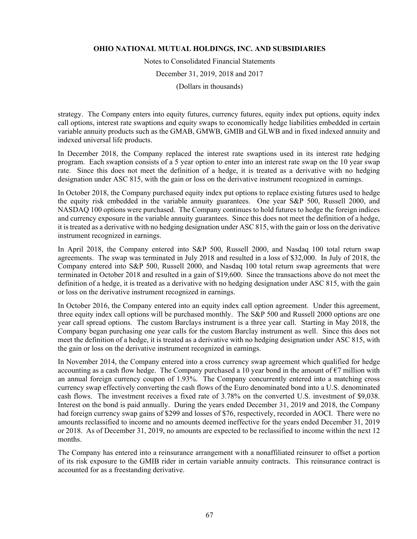Notes to Consolidated Financial Statements

December 31, 2019, 2018 and 2017

(Dollars in thousands)

strategy. The Company enters into equity futures, currency futures, equity index put options, equity index call options, interest rate swaptions and equity swaps to economically hedge liabilities embedded in certain variable annuity products such as the GMAB, GMWB, GMIB and GLWB and in fixed indexed annuity and indexed universal life products.

In December 2018, the Company replaced the interest rate swaptions used in its interest rate hedging program. Each swaption consists of a 5 year option to enter into an interest rate swap on the 10 year swap rate. Since this does not meet the definition of a hedge, it is treated as a derivative with no hedging designation under ASC 815, with the gain or loss on the derivative instrument recognized in earnings.

In October 2018, the Company purchased equity index put options to replace existing futures used to hedge the equity risk embedded in the variable annuity guarantees. One year S&P 500, Russell 2000, and NASDAQ 100 options were purchased. The Company continues to hold futures to hedge the foreign indices and currency exposure in the variable annuity guarantees. Since this does not meet the definition of a hedge, it is treated as a derivative with no hedging designation under ASC 815, with the gain or loss on the derivative instrument recognized in earnings.

In April 2018, the Company entered into S&P 500, Russell 2000, and Nasdaq 100 total return swap agreements. The swap was terminated in July 2018 and resulted in a loss of \$32,000. In July of 2018, the Company entered into S&P 500, Russell 2000, and Nasdaq 100 total return swap agreements that were terminated in October 2018 and resulted in a gain of \$19,600. Since the transactions above do not meet the definition of a hedge, it is treated as a derivative with no hedging designation under ASC 815, with the gain or loss on the derivative instrument recognized in earnings.

In October 2016, the Company entered into an equity index call option agreement. Under this agreement, three equity index call options will be purchased monthly. The S&P 500 and Russell 2000 options are one year call spread options. The custom Barclays instrument is a three year call. Starting in May 2018, the Company began purchasing one year calls for the custom Barclay instrument as well. Since this does not meet the definition of a hedge, it is treated as a derivative with no hedging designation under ASC 815, with the gain or loss on the derivative instrument recognized in earnings.

In November 2014, the Company entered into a cross currency swap agreement which qualified for hedge accounting as a cash flow hedge. The Company purchased a 10 year bond in the amount of  $\epsilon$ 7 million with an annual foreign currency coupon of 1.93%. The Company concurrently entered into a matching cross currency swap effectively converting the cash flows of the Euro denominated bond into a U.S. denominated cash flows. The investment receives a fixed rate of 3.78% on the converted U.S. investment of \$9,038. Interest on the bond is paid annually. During the years ended December 31, 2019 and 2018, the Company had foreign currency swap gains of \$299 and losses of \$76, respectively, recorded in AOCI. There were no amounts reclassified to income and no amounts deemed ineffective for the years ended December 31, 2019 or 2018. As of December 31, 2019, no amounts are expected to be reclassified to income within the next 12 months.

The Company has entered into a reinsurance arrangement with a nonaffiliated reinsurer to offset a portion of its risk exposure to the GMIB rider in certain variable annuity contracts. This reinsurance contract is accounted for as a freestanding derivative.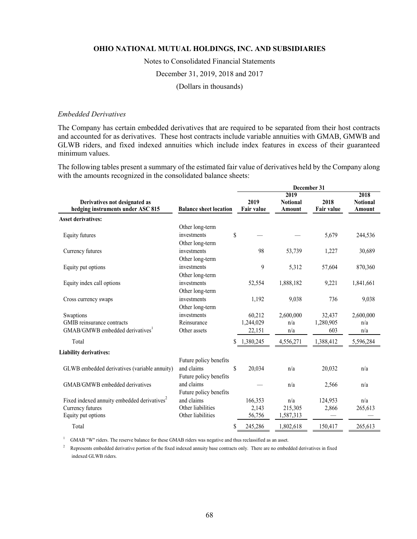Notes to Consolidated Financial Statements

December 31, 2019, 2018 and 2017

(Dollars in thousands)

## *Embedded Derivatives*

The Company has certain embedded derivatives that are required to be separated from their host contracts and accounted for as derivatives. These host contracts include variable annuities with GMAB, GMWB and GLWB riders, and fixed indexed annuities which include index features in excess of their guaranteed minimum values.

The following tables present a summary of the estimated fair value of derivatives held by the Company along with the amounts recognized in the consolidated balance sheets:

|                                                                    |                               | December 31 |                    |                                   |                           |                                   |  |  |  |
|--------------------------------------------------------------------|-------------------------------|-------------|--------------------|-----------------------------------|---------------------------|-----------------------------------|--|--|--|
| Derivatives not designated as<br>hedging instruments under ASC 815 | <b>Balance sheet location</b> |             | 2019<br>Fair value | 2019<br><b>Notional</b><br>Amount | 2018<br><b>Fair value</b> | 2018<br><b>Notional</b><br>Amount |  |  |  |
| <b>Asset derivatives:</b>                                          |                               |             |                    |                                   |                           |                                   |  |  |  |
|                                                                    | Other long-term               |             |                    |                                   |                           |                                   |  |  |  |
| <b>Equity futures</b>                                              | investments                   | \$          |                    |                                   | 5,679                     | 244,536                           |  |  |  |
|                                                                    | Other long-term               |             |                    |                                   |                           |                                   |  |  |  |
| Currency futures                                                   | investments                   |             | 98                 | 53,739                            | 1,227                     | 30,689                            |  |  |  |
|                                                                    | Other long-term               |             |                    |                                   |                           |                                   |  |  |  |
| Equity put options                                                 | investments                   |             | 9                  | 5,312                             | 57,604                    | 870,360                           |  |  |  |
|                                                                    | Other long-term               |             |                    |                                   |                           |                                   |  |  |  |
| Equity index call options                                          | investments                   |             | 52,554             | 1,888,182                         | 9,221                     | 1,841,661                         |  |  |  |
|                                                                    | Other long-term               |             |                    |                                   |                           |                                   |  |  |  |
| Cross currency swaps                                               | investments                   |             | 1,192              | 9,038                             | 736                       | 9,038                             |  |  |  |
|                                                                    | Other long-term               |             |                    |                                   |                           |                                   |  |  |  |
| Swaptions                                                          | investments                   |             | 60,212             | 2,600,000                         | 32,437                    | 2,600,000                         |  |  |  |
| GMIB reinsurance contracts                                         | Reinsurance                   |             | 1,244,029          | n/a                               | 1,280,905                 | n/a                               |  |  |  |
| GMAB/GMWB embedded derivatives <sup>1</sup>                        | Other assets                  |             | 22,151             | n/a                               | 603                       | n/a                               |  |  |  |
| Total                                                              |                               | S           | 1,380,245          | 4,556,271                         | 1,388,412                 | 5,596,284                         |  |  |  |
| <b>Liability derivatives:</b>                                      |                               |             |                    |                                   |                           |                                   |  |  |  |
|                                                                    | Future policy benefits        |             |                    |                                   |                           |                                   |  |  |  |
| GLWB embedded derivatives (variable annuity)                       | and claims                    | \$          | 20,034             | n/a                               | 20,032                    | n/a                               |  |  |  |
|                                                                    | Future policy benefits        |             |                    |                                   |                           |                                   |  |  |  |
| GMAB/GMWB embedded derivatives                                     | and claims                    |             |                    | n/a                               | 2,566                     | n/a                               |  |  |  |
|                                                                    | Future policy benefits        |             |                    |                                   |                           |                                   |  |  |  |
| Fixed indexed annuity embedded derivatives <sup>2</sup>            | and claims                    |             | 166,353            | n/a                               | 124,953                   | n/a                               |  |  |  |
| Currency futures                                                   | Other liabilities             |             | 2,143              | 215,305                           | 2,866                     | 265,613                           |  |  |  |
| Equity put options                                                 | Other liabilities             |             | 56,756             | 1,587,313                         |                           |                                   |  |  |  |
| Total                                                              |                               | S           | 245,286            | 1,802,618                         | 150,417                   | 265,613                           |  |  |  |

<sup>1</sup> GMAB "W" riders. The reserve balance for these GMAB riders was negative and thus reclassified as an asset.

<sup>2</sup> Represents embedded derivative portion of the fixed indexed annuity base contracts only. There are no embedded derivatives in fixed indexed GLWB riders.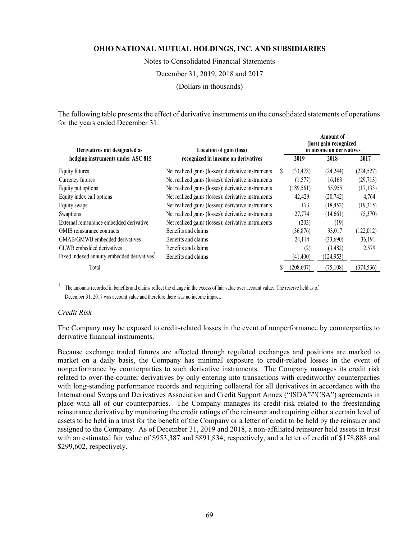Notes to Consolidated Financial Statements

December 31, 2019, 2018 and 2017

(Dollars in thousands)

The following table presents the effect of derivative instruments on the consolidated statements of operations for the years ended December 31:

| Derivatives not designated as                           | Location of gain (loss)                             | Amount of<br>(loss) gain recognized<br>in income on derivatives |            |            |  |
|---------------------------------------------------------|-----------------------------------------------------|-----------------------------------------------------------------|------------|------------|--|
| hedging instruments under ASC 815                       | recognized in income on derivatives                 | 2019                                                            | 2018       | 2017       |  |
| Equity futures                                          | Net realized gains (losses): derivative instruments | (33, 478)                                                       | (24,244)   | (224, 527) |  |
| Currency futures                                        | Net realized gains (losses): derivative instruments | (1,577)                                                         | 16,163     | (29,713)   |  |
| Equity put options                                      | Net realized gains (losses): derivative instruments | (189, 561)                                                      | 55,955     | (17, 133)  |  |
| Equity index call options                               | Net realized gains (losses): derivative instruments | 42.429                                                          | (20,742)   | 4,764      |  |
| Equity swaps                                            | Net realized gains (losses): derivative instruments | 173                                                             | (18, 452)  | (19,315)   |  |
| Swaptions                                               | Net realized gains (losses): derivative instruments | 27,774                                                          | (14,661)   | (5,370)    |  |
| External reinsurance embedded derivative                | Net realized gains (losses): derivative instruments | (203)                                                           | (19)       |            |  |
| GMIB reinsurance contracts                              | Benefits and claims                                 | (36,876)                                                        | 93,017     | (122, 012) |  |
| GMAB/GMWB embedded derivatives                          | Benefits and claims                                 | 24,114                                                          | (33,690)   | 36,191     |  |
| GLWB embedded derivatives                               | Benefits and claims                                 | (2)                                                             | (3,482)    | 2,579      |  |
| Fixed indexed annuity embedded derivatives <sup>1</sup> | Benefits and claims                                 | (41, 400)                                                       | (124, 953) |            |  |
| Total                                                   |                                                     | (208, 607)                                                      | (75,108)   | (374, 536) |  |

<sup>1</sup> The amounts recorded in benefits and claims reflect the change in the excess of fair value over account value. The reserve held as of December 31, 2017 was account value and therefore there was no income impact.

### *Credit Risk*

The Company may be exposed to credit-related losses in the event of nonperformance by counterparties to derivative financial instruments.

Because exchange traded futures are affected through regulated exchanges and positions are marked to market on a daily basis, the Company has minimal exposure to credit-related losses in the event of nonperformance by counterparties to such derivative instruments. The Company manages its credit risk related to over-the-counter derivatives by only entering into transactions with creditworthy counterparties with long-standing performance records and requiring collateral for all derivatives in accordance with the International Swaps and Derivatives Association and Credit Support Annex ("ISDA"/"CSA") agreements in place with all of our counterparties. The Company manages its credit risk related to the freestanding reinsurance derivative by monitoring the credit ratings of the reinsurer and requiring either a certain level of assets to be held in a trust for the benefit of the Company or a letter of credit to be held by the reinsurer and assigned to the Company. As of December 31, 2019 and 2018, a non-affiliated reinsurer held assets in trust with an estimated fair value of \$953,387 and \$891,834, respectively, and a letter of credit of \$178,888 and \$299,602, respectively.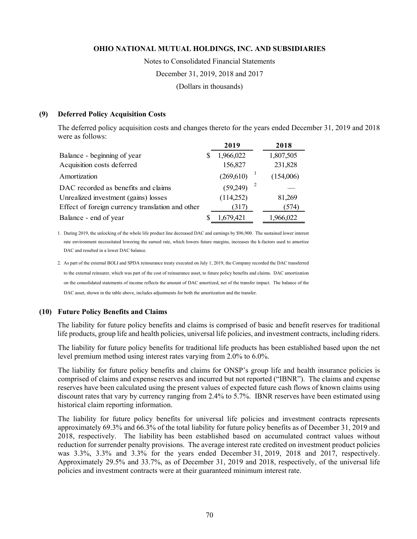Notes to Consolidated Financial Statements December 31, 2019, 2018 and 2017

(Dollars in thousands)

### **(9) Deferred Policy Acquisition Costs**

The deferred policy acquisition costs and changes thereto for the years ended December 31, 2019 and 2018 were as follows:

|                                                  | 2019       | 2018      |
|--------------------------------------------------|------------|-----------|
| Balance - beginning of year                      | 1,966,022  | 1,807,505 |
| Acquisition costs deferred                       | 156,827    | 231,828   |
| Amortization                                     | (269, 610) | (154,006) |
| DAC recorded as benefits and claims              | (59,249)   |           |
| Unrealized investment (gains) losses             | (114,252)  | 81,269    |
| Effect of foreign currency translation and other | (317)      | (574)     |
| Balance - end of year                            | 1.679.421  | 1,966,022 |

1. During 2019, the unlocking of the whole life product line decreased DAC and earnings by \$96,900. The sustained lower interest rate environment necessitated lowering the earned rate, which lowers future margins, increases the k-factors used to amortize DAC and resulted in a lower DAC balance.

### **(10) Future Policy Benefits and Claims**

The liability for future policy benefits and claims is comprised of basic and benefit reserves for traditional life products, group life and health policies, universal life policies, and investment contracts, including riders.

The liability for future policy benefits for traditional life products has been established based upon the net level premium method using interest rates varying from 2.0% to 6.0%.

The liability for future policy benefits and claims for ONSP's group life and health insurance policies is comprised of claims and expense reserves and incurred but not reported ("IBNR"). The claims and expense reserves have been calculated using the present values of expected future cash flows of known claims using discount rates that vary by currency ranging from 2.4% to 5.7%. IBNR reserves have been estimated using historical claim reporting information.

The liability for future policy benefits for universal life policies and investment contracts represents approximately 69.3% and 66.3% of the total liability for future policy benefits as of December 31, 2019 and 2018, respectively. The liability has been established based on accumulated contract values without reduction for surrender penalty provisions. The average interest rate credited on investment product policies was 3.3%, 3.3% and 3.3% for the years ended December 31, 2019, 2018 and 2017, respectively. Approximately 29.5% and 33.7%, as of December 31, 2019 and 2018, respectively, of the universal life policies and investment contracts were at their guaranteed minimum interest rate.

<sup>2.</sup> As part of the external BOLI and SPDA reinsurance treaty executed on July 1, 2019, the Company recorded the DAC transferred to the external reinsurer, which was part of the cost of reinsurance asset, to future policy benefits and claims. DAC amortization on the consolidated statements of income reflects the amount of DAC amortized, net of the transfer impact. The balance of the DAC asset, shown in the table above, includes adjustments for both the amortization and the transfer.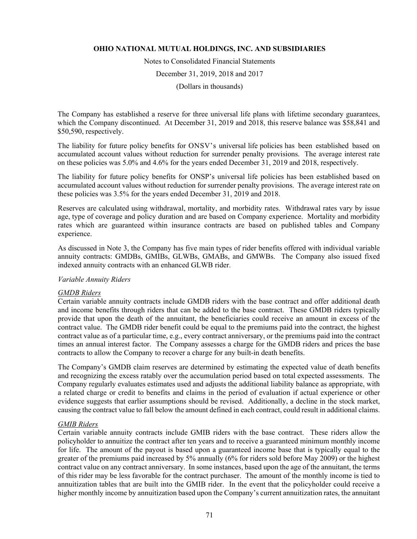Notes to Consolidated Financial Statements

December 31, 2019, 2018 and 2017

(Dollars in thousands)

The Company has established a reserve for three universal life plans with lifetime secondary guarantees, which the Company discontinued. At December 31, 2019 and 2018, this reserve balance was \$58,841 and \$50,590, respectively.

The liability for future policy benefits for ONSV's universal life policies has been established based on accumulated account values without reduction for surrender penalty provisions. The average interest rate on these policies was 5.0% and 4.6% for the years ended December 31, 2019 and 2018, respectively.

The liability for future policy benefits for ONSP's universal life policies has been established based on accumulated account values without reduction for surrender penalty provisions. The average interest rate on these policies was 3.5% for the years ended December 31, 2019 and 2018.

Reserves are calculated using withdrawal, mortality, and morbidity rates. Withdrawal rates vary by issue age, type of coverage and policy duration and are based on Company experience. Mortality and morbidity rates which are guaranteed within insurance contracts are based on published tables and Company experience.

As discussed in Note 3, the Company has five main types of rider benefits offered with individual variable annuity contracts: GMDBs, GMIBs, GLWBs, GMABs, and GMWBs.The Company also issued fixed indexed annuity contracts with an enhanced GLWB rider.

### *Variable Annuity Riders*

### *GMDB Riders*

Certain variable annuity contracts include GMDB riders with the base contract and offer additional death and income benefits through riders that can be added to the base contract. These GMDB riders typically provide that upon the death of the annuitant, the beneficiaries could receive an amount in excess of the contract value. The GMDB rider benefit could be equal to the premiums paid into the contract, the highest contract value as of a particular time, e.g., every contract anniversary, or the premiums paid into the contract times an annual interest factor. The Company assesses a charge for the GMDB riders and prices the base contracts to allow the Company to recover a charge for any built-in death benefits.

The Company's GMDB claim reserves are determined by estimating the expected value of death benefits and recognizing the excess ratably over the accumulation period based on total expected assessments. The Company regularly evaluates estimates used and adjusts the additional liability balance as appropriate, with a related charge or credit to benefits and claims in the period of evaluation if actual experience or other evidence suggests that earlier assumptions should be revised. Additionally, a decline in the stock market, causing the contract value to fall below the amount defined in each contract, could result in additional claims.

# *GMIB Riders*

Certain variable annuity contracts include GMIB riders with the base contract. These riders allow the policyholder to annuitize the contract after ten years and to receive a guaranteed minimum monthly income for life. The amount of the payout is based upon a guaranteed income base that is typically equal to the greater of the premiums paid increased by 5% annually (6% for riders sold before May 2009) or the highest contract value on any contract anniversary. In some instances, based upon the age of the annuitant, the terms of this rider may be less favorable for the contract purchaser. The amount of the monthly income is tied to annuitization tables that are built into the GMIB rider. In the event that the policyholder could receive a higher monthly income by annuitization based upon the Company's current annuitization rates, the annuitant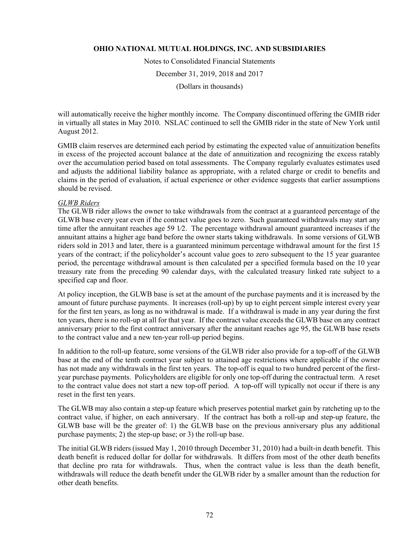Notes to Consolidated Financial Statements

December 31, 2019, 2018 and 2017

(Dollars in thousands)

will automatically receive the higher monthly income. The Company discontinued offering the GMIB rider in virtually all states in May 2010. NSLAC continued to sell the GMIB rider in the state of New York until August 2012.

GMIB claim reserves are determined each period by estimating the expected value of annuitization benefits in excess of the projected account balance at the date of annuitization and recognizing the excess ratably over the accumulation period based on total assessments. The Company regularly evaluates estimates used and adjusts the additional liability balance as appropriate, with a related charge or credit to benefits and claims in the period of evaluation, if actual experience or other evidence suggests that earlier assumptions should be revised.

#### *GLWB Riders*

The GLWB rider allows the owner to take withdrawals from the contract at a guaranteed percentage of the GLWB base every year even if the contract value goes to zero. Such guaranteed withdrawals may start any time after the annuitant reaches age 59 1∕2. The percentage withdrawal amount guaranteed increases if the annuitant attains a higher age band before the owner starts taking withdrawals. In some versions of GLWB riders sold in 2013 and later, there is a guaranteed minimum percentage withdrawal amount for the first 15 years of the contract; if the policyholder's account value goes to zero subsequent to the 15 year guarantee period, the percentage withdrawal amount is then calculated per a specified formula based on the 10 year treasury rate from the preceding 90 calendar days, with the calculated treasury linked rate subject to a specified cap and floor.

At policy inception, the GLWB base is set at the amount of the purchase payments and it is increased by the amount of future purchase payments. It increases (roll-up) by up to eight percent simple interest every year for the first ten years, as long as no withdrawal is made. If a withdrawal is made in any year during the first ten years, there is no roll-up at all for that year. If the contract value exceeds the GLWB base on any contract anniversary prior to the first contract anniversary after the annuitant reaches age 95, the GLWB base resets to the contract value and a new ten-year roll-up period begins.

In addition to the roll-up feature, some versions of the GLWB rider also provide for a top-off of the GLWB base at the end of the tenth contract year subject to attained age restrictions where applicable if the owner has not made any withdrawals in the first ten years. The top-off is equal to two hundred percent of the firstyear purchase payments. Policyholders are eligible for only one top-off during the contractual term. A reset to the contract value does not start a new top-off period. A top-off will typically not occur if there is any reset in the first ten years.

The GLWB may also contain a step-up feature which preserves potential market gain by ratcheting up to the contract value, if higher, on each anniversary. If the contract has both a roll-up and step-up feature, the GLWB base will be the greater of: 1) the GLWB base on the previous anniversary plus any additional purchase payments; 2) the step-up base; or 3) the roll-up base.

The initial GLWB riders (issued May 1, 2010 through December 31, 2010) had a built-in death benefit. This death benefit is reduced dollar for dollar for withdrawals. It differs from most of the other death benefits that decline pro rata for withdrawals. Thus, when the contract value is less than the death benefit, withdrawals will reduce the death benefit under the GLWB rider by a smaller amount than the reduction for other death benefits.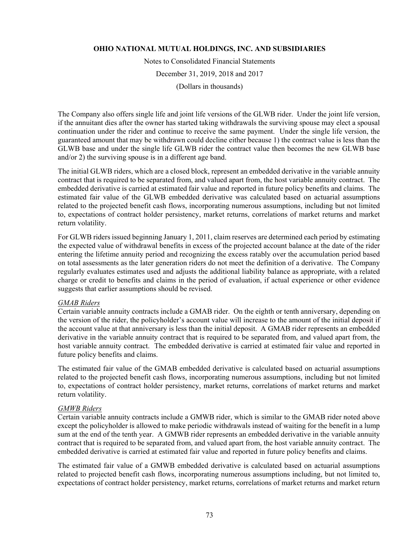Notes to Consolidated Financial Statements

December 31, 2019, 2018 and 2017

(Dollars in thousands)

The Company also offers single life and joint life versions of the GLWB rider. Under the joint life version, if the annuitant dies after the owner has started taking withdrawals the surviving spouse may elect a spousal continuation under the rider and continue to receive the same payment. Under the single life version, the guaranteed amount that may be withdrawn could decline either because 1) the contract value is less than the GLWB base and under the single life GLWB rider the contract value then becomes the new GLWB base and/or 2) the surviving spouse is in a different age band.

The initial GLWB riders, which are a closed block, represent an embedded derivative in the variable annuity contract that is required to be separated from, and valued apart from, the host variable annuity contract. The embedded derivative is carried at estimated fair value and reported in future policy benefits and claims. The estimated fair value of the GLWB embedded derivative was calculated based on actuarial assumptions related to the projected benefit cash flows, incorporating numerous assumptions, including but not limited to, expectations of contract holder persistency, market returns, correlations of market returns and market return volatility.

For GLWB riders issued beginning January 1, 2011, claim reserves are determined each period by estimating the expected value of withdrawal benefits in excess of the projected account balance at the date of the rider entering the lifetime annuity period and recognizing the excess ratably over the accumulation period based on total assessments as the later generation riders do not meet the definition of a derivative. The Company regularly evaluates estimates used and adjusts the additional liability balance as appropriate, with a related charge or credit to benefits and claims in the period of evaluation, if actual experience or other evidence suggests that earlier assumptions should be revised.

#### *GMAB Riders*

Certain variable annuity contracts include a GMAB rider. On the eighth or tenth anniversary, depending on the version of the rider, the policyholder's account value will increase to the amount of the initial deposit if the account value at that anniversary is less than the initial deposit. A GMAB rider represents an embedded derivative in the variable annuity contract that is required to be separated from, and valued apart from, the host variable annuity contract. The embedded derivative is carried at estimated fair value and reported in future policy benefits and claims.

The estimated fair value of the GMAB embedded derivative is calculated based on actuarial assumptions related to the projected benefit cash flows, incorporating numerous assumptions, including but not limited to, expectations of contract holder persistency, market returns, correlations of market returns and market return volatility.

#### *GMWB Riders*

Certain variable annuity contracts include a GMWB rider, which is similar to the GMAB rider noted above except the policyholder is allowed to make periodic withdrawals instead of waiting for the benefit in a lump sum at the end of the tenth year. A GMWB rider represents an embedded derivative in the variable annuity contract that is required to be separated from, and valued apart from, the host variable annuity contract. The embedded derivative is carried at estimated fair value and reported in future policy benefits and claims.

The estimated fair value of a GMWB embedded derivative is calculated based on actuarial assumptions related to projected benefit cash flows, incorporating numerous assumptions including, but not limited to, expectations of contract holder persistency, market returns, correlations of market returns and market return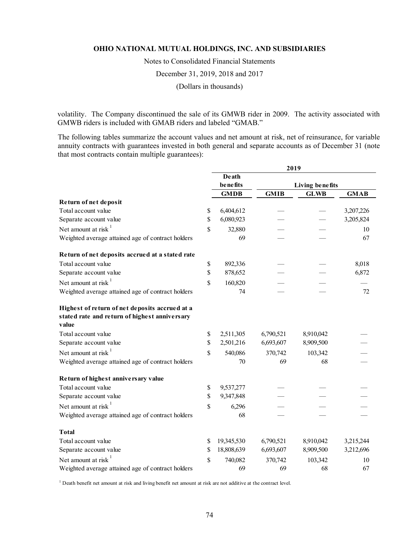Notes to Consolidated Financial Statements

December 31, 2019, 2018 and 2017

(Dollars in thousands)

volatility. The Company discontinued the sale of its GMWB rider in 2009. The activity associated with GMWB riders is included with GMAB riders and labeled "GMAB."

The following tables summarize the account values and net amount at risk, net of reinsurance, for variable annuity contracts with guarantees invested in both general and separate accounts as of December 31 (note that most contracts contain multiple guarantees):

|                                                                                                          | 2019                              |             |             |                        |             |
|----------------------------------------------------------------------------------------------------------|-----------------------------------|-------------|-------------|------------------------|-------------|
|                                                                                                          |                                   | Death       |             |                        |             |
|                                                                                                          |                                   | benefits    |             | <b>Living benefits</b> |             |
|                                                                                                          |                                   | <b>GMDB</b> | <b>GMIB</b> | <b>GLWB</b>            | <b>GMAB</b> |
| Return of net deposit                                                                                    |                                   |             |             |                        |             |
| Total account value                                                                                      | \$                                | 6,404,612   |             |                        | 3,207,226   |
| Separate account value                                                                                   | \$                                | 6,080,923   |             |                        | 3,205,824   |
| Net amount at risk $1$                                                                                   | \$                                | 32,880      |             |                        | 10          |
| Weighted average attained age of contract holders                                                        |                                   | 69          |             |                        | 67          |
| Return of net deposits accrued at a stated rate                                                          |                                   |             |             |                        |             |
| Total account value                                                                                      | $\mathbb{S}% _{t}\left( t\right)$ | 892,336     |             |                        | 8,018       |
| Separate account value                                                                                   | \$                                | 878,652     |             |                        | 6,872       |
| Net amount at risk $1$                                                                                   | \$                                | 160,820     |             |                        |             |
| Weighted average attained age of contract holders                                                        |                                   | 74          |             |                        | 72          |
| Highest of return of net deposits accrued at a<br>stated rate and return of highest anniversary<br>value |                                   |             |             |                        |             |
| Total account value                                                                                      | \$                                | 2,511,305   | 6,790,521   | 8,910,042              |             |
| Separate account value                                                                                   | \$                                | 2,501,216   | 6,693,607   | 8,909,500              |             |
| Net amount at risk $1$                                                                                   | $\mathbf S$                       | 540,086     | 370,742     | 103,342                |             |
| Weighted average attained age of contract holders                                                        |                                   | 70          | 69          | 68                     |             |
| Return of highest anniversary value                                                                      |                                   |             |             |                        |             |
| Total account value                                                                                      | \$                                | 9,537,277   |             |                        |             |
| Separate account value                                                                                   | \$                                | 9,347,848   |             |                        |             |
| Net amount at risk $1$                                                                                   | \$                                | 6,296       |             |                        |             |
| Weighted average attained age of contract holders                                                        |                                   | 68          |             |                        |             |
| <b>Total</b>                                                                                             |                                   |             |             |                        |             |
| Total account value                                                                                      | \$                                | 19,345,530  | 6,790,521   | 8,910,042              | 3,215,244   |
| Separate account value                                                                                   | \$                                | 18,808,639  | 6,693,607   | 8,909,500              | 3,212,696   |
| Net amount at risk $1$                                                                                   | $\mathbb{S}$                      | 740,082     | 370,742     | 103,342                | 10          |
| Weighted average attained age of contract holders                                                        |                                   | 69          | 69          | 68                     | 67          |

<sup>1</sup> Death benefit net amount at risk and living benefit net amount at risk are not additive at the contract level.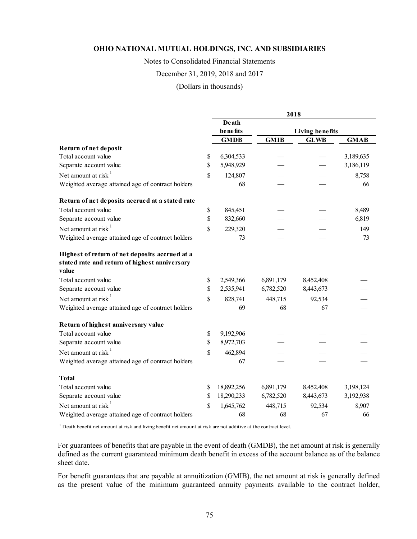Notes to Consolidated Financial Statements

December 31, 2019, 2018 and 2017

(Dollars in thousands)

|                                                                                                          | 2018             |             |                 |             |  |
|----------------------------------------------------------------------------------------------------------|------------------|-------------|-----------------|-------------|--|
|                                                                                                          | Death            |             |                 |             |  |
|                                                                                                          | benefits         |             | Living benefits |             |  |
|                                                                                                          | <b>GMDB</b>      | <b>GMIB</b> | <b>GLWB</b>     | <b>GMAB</b> |  |
| <b>Return of net deposit</b>                                                                             |                  |             |                 |             |  |
| Total account value                                                                                      | \$<br>6,304,533  |             |                 | 3,189,635   |  |
| Separate account value                                                                                   | \$<br>5,948,929  |             |                 | 3,186,119   |  |
| Net amount at risk $1$                                                                                   | \$<br>124,807    |             |                 | 8,758       |  |
| Weighted average attained age of contract holders                                                        | 68               |             |                 | 66          |  |
| Return of net deposits accrued at a stated rate                                                          |                  |             |                 |             |  |
| Total account value                                                                                      | \$<br>845,451    |             |                 | 8,489       |  |
| Separate account value                                                                                   | \$<br>832,660    |             |                 | 6,819       |  |
| Net amount at risk $1$                                                                                   | \$<br>229,320    |             |                 | 149         |  |
| Weighted average attained age of contract holders                                                        | 73               |             |                 | 73          |  |
| Highest of return of net deposits accrued at a<br>stated rate and return of highest anniversary<br>value |                  |             |                 |             |  |
| Total account value                                                                                      | \$<br>2,549,366  | 6,891,179   | 8,452,408       |             |  |
| Separate account value                                                                                   | \$<br>2,535,941  | 6,782,520   | 8,443,673       |             |  |
| Net amount at risk $1$                                                                                   | \$<br>828,741    | 448,715     | 92,534          |             |  |
| Weighted average attained age of contract holders                                                        | 69               | 68          | 67              |             |  |
| Return of highest anniversary value                                                                      |                  |             |                 |             |  |
| Total account value                                                                                      | \$<br>9,192,906  |             |                 |             |  |
| Separate account value                                                                                   | \$<br>8,972,703  |             |                 |             |  |
| Net amount at risk $1$                                                                                   | \$<br>462,894    |             |                 |             |  |
| Weighted average attained age of contract holders                                                        | 67               |             |                 |             |  |
| <b>Total</b>                                                                                             |                  |             |                 |             |  |
| Total account value                                                                                      | \$<br>18,892,256 | 6,891,179   | 8,452,408       | 3,198,124   |  |
| Separate account value                                                                                   | \$<br>18,290,233 | 6,782,520   | 8,443,673       | 3,192,938   |  |
| Net amount at risk $1$                                                                                   | \$<br>1,645,762  | 448,715     | 92,534          | 8,907       |  |
| Weighted average attained age of contract holders                                                        | 68               | 68          | 67              | 66          |  |

<sup>1</sup> Death benefit net amount at risk and living benefit net amount at risk are not additive at the contract level.

For guarantees of benefits that are payable in the event of death (GMDB), the net amount at risk is generally defined as the current guaranteed minimum death benefit in excess of the account balance as of the balance sheet date.

For benefit guarantees that are payable at annuitization (GMIB), the net amount at risk is generally defined as the present value of the minimum guaranteed annuity payments available to the contract holder,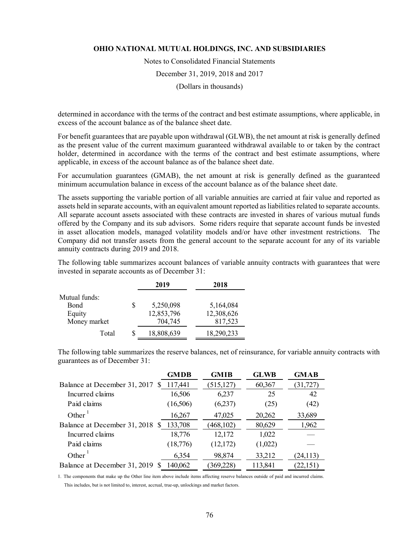Notes to Consolidated Financial Statements

December 31, 2019, 2018 and 2017

(Dollars in thousands)

determined in accordance with the terms of the contract and best estimate assumptions, where applicable, in excess of the account balance as of the balance sheet date.

For benefit guarantees that are payable upon withdrawal (GLWB), the net amount at risk is generally defined as the present value of the current maximum guaranteed withdrawal available to or taken by the contract holder, determined in accordance with the terms of the contract and best estimate assumptions, where applicable, in excess of the account balance as of the balance sheet date.

For accumulation guarantees (GMAB), the net amount at risk is generally defined as the guaranteed minimum accumulation balance in excess of the account balance as of the balance sheet date.

The assets supporting the variable portion of all variable annuities are carried at fair value and reported as assets held in separate accounts, with an equivalent amount reported as liabilities related to separate accounts. All separate account assets associated with these contracts are invested in shares of various mutual funds offered by the Company and its sub advisors. Some riders require that separate account funds be invested in asset allocation models, managed volatility models and/or have other investment restrictions. The Company did not transfer assets from the general account to the separate account for any of its variable annuity contracts during 2019 and 2018.

The following table summarizes account balances of variable annuity contracts with guarantees that were invested in separate accounts as of December 31:

|   | 2019       | 2018       |
|---|------------|------------|
|   |            |            |
| S | 5,250,098  | 5,164,084  |
|   | 12,853,796 | 12,308,626 |
|   | 704,745    | 817,523    |
|   | 18,808,639 | 18,290,233 |
|   |            |            |

The following table summarizes the reserve balances, net of reinsurance, for variable annuity contracts with guarantees as of December 31:

|                                    | <b>GMDB</b> | <b>GMIB</b> | <b>GLWB</b> | <b>GMAB</b> |
|------------------------------------|-------------|-------------|-------------|-------------|
| Balance at December 31, 2017<br>-S | 117,441     | (515, 127)  | 60,367      | (31, 727)   |
| Incurred claims                    | 16,506      | 6,237       | 25          | 42          |
| Paid claims                        | (16,506)    | (6,237)     | (25)        | (42)        |
| Other $\frac{1}{1}$                | 16,267      | 47,025      | 20,262      | 33,689      |
| Balance at December 31, 2018 \$    | 133,708     | (468, 102)  | 80,629      | 1,962       |
| Incurred claims                    | 18,776      | 12,172      | 1,022       |             |
| Paid claims                        | (18,776)    | (12,172)    | (1,022)     |             |
| Other                              | 6,354       | 98,874      | 33,212      | (24, 113)   |
| Balance at December 31, 2019<br>-S | 140,062     | (369,228)   | 113,841     | (22, 151)   |

1. The components that make up the Other line item above include items affecting reserve balances outside of paid and incurred claims. This includes, but is not limited to, interest, accrual, true-up, unlockings and market factors.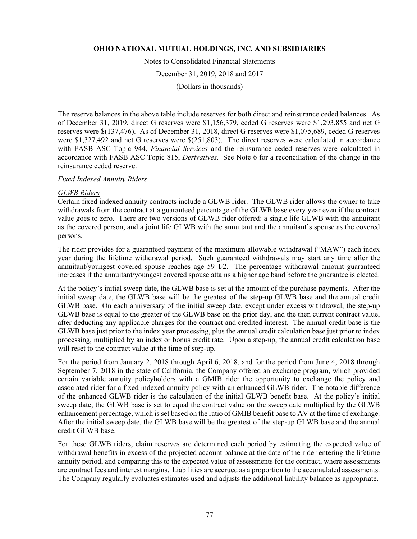Notes to Consolidated Financial Statements

December 31, 2019, 2018 and 2017

(Dollars in thousands)

The reserve balances in the above table include reserves for both direct and reinsurance ceded balances. As of December 31, 2019, direct G reserves were \$1,156,379, ceded G reserves were \$1,293,855 and net G reserves were \$(137,476). As of December 31, 2018, direct G reserves were \$1,075,689, ceded G reserves were \$1,327,492 and net G reserves were \$(251,803). The direct reserves were calculated in accordance with FASB ASC Topic 944, *Financial Services* and the reinsurance ceded reserves were calculated in accordance with FASB ASC Topic 815, *Derivatives*. See Note 6 for a reconciliation of the change in the reinsurance ceded reserve.

#### *Fixed Indexed Annuity Riders*

#### *GLWB Riders*

Certain fixed indexed annuity contracts include a GLWB rider. The GLWB rider allows the owner to take withdrawals from the contract at a guaranteed percentage of the GLWB base every year even if the contract value goes to zero. There are two versions of GLWB rider offered: a single life GLWB with the annuitant as the covered person, and a joint life GLWB with the annuitant and the annuitant's spouse as the covered persons.

The rider provides for a guaranteed payment of the maximum allowable withdrawal ("MAW") each index year during the lifetime withdrawal period. Such guaranteed withdrawals may start any time after the annuitant/youngest covered spouse reaches age 59 1⁄2. The percentage withdrawal amount guaranteed increases if the annuitant/youngest covered spouse attains a higher age band before the guarantee is elected.

At the policy's initial sweep date, the GLWB base is set at the amount of the purchase payments. After the initial sweep date, the GLWB base will be the greatest of the step-up GLWB base and the annual credit GLWB base. On each anniversary of the initial sweep date, except under excess withdrawal, the step-up GLWB base is equal to the greater of the GLWB base on the prior day, and the then current contract value, after deducting any applicable charges for the contract and credited interest. The annual credit base is the GLWB base just prior to the index year processing, plus the annual credit calculation base just prior to index processing, multiplied by an index or bonus credit rate. Upon a step-up, the annual credit calculation base will reset to the contract value at the time of step-up.

For the period from January 2, 2018 through April 6, 2018, and for the period from June 4, 2018 through September 7, 2018 in the state of California, the Company offered an exchange program, which provided certain variable annuity policyholders with a GMIB rider the opportunity to exchange the policy and associated rider for a fixed indexed annuity policy with an enhanced GLWB rider. The notable difference of the enhanced GLWB rider is the calculation of the initial GLWB benefit base. At the policy's initial sweep date, the GLWB base is set to equal the contract value on the sweep date multiplied by the GLWB enhancement percentage, which is set based on the ratio of GMIB benefit base to AV at the time of exchange. After the initial sweep date, the GLWB base will be the greatest of the step-up GLWB base and the annual credit GLWB base.

For these GLWB riders, claim reserves are determined each period by estimating the expected value of withdrawal benefits in excess of the projected account balance at the date of the rider entering the lifetime annuity period, and comparing this to the expected value of assessments for the contract, where assessments are contract fees and interest margins. Liabilities are accrued as a proportion to the accumulated assessments. The Company regularly evaluates estimates used and adjusts the additional liability balance as appropriate.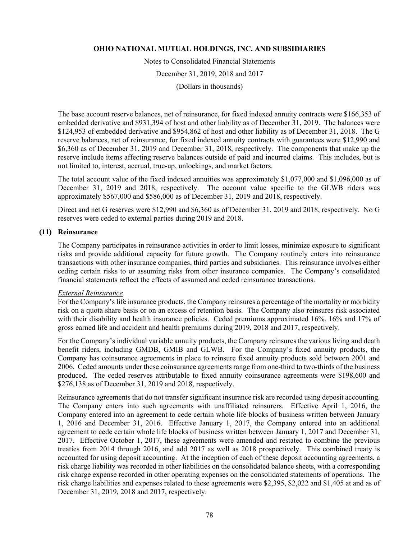Notes to Consolidated Financial Statements

December 31, 2019, 2018 and 2017

(Dollars in thousands)

The base account reserve balances, net of reinsurance, for fixed indexed annuity contracts were \$166,353 of embedded derivative and \$931,394 of host and other liability as of December 31, 2019. The balances were \$124,953 of embedded derivative and \$954,862 of host and other liability as of December 31, 2018. The G reserve balances, net of reinsurance, for fixed indexed annuity contracts with guarantees were \$12,990 and \$6,360 as of December 31, 2019 and December 31, 2018, respectively. The components that make up the reserve include items affecting reserve balances outside of paid and incurred claims. This includes, but is not limited to, interest, accrual, true-up, unlockings, and market factors.

The total account value of the fixed indexed annuities was approximately \$1,077,000 and \$1,096,000 as of December 31, 2019 and 2018, respectively. The account value specific to the GLWB riders was approximately \$567,000 and \$586,000 as of December 31, 2019 and 2018, respectively.

Direct and net G reserves were \$12,990 and \$6,360 as of December 31, 2019 and 2018, respectively. No G reserves were ceded to external parties during 2019 and 2018.

#### **(11) Reinsurance**

The Company participates in reinsurance activities in order to limit losses, minimize exposure to significant risks and provide additional capacity for future growth. The Company routinely enters into reinsurance transactions with other insurance companies, third parties and subsidiaries. This reinsurance involves either ceding certain risks to or assuming risks from other insurance companies. The Company's consolidated financial statements reflect the effects of assumed and ceded reinsurance transactions.

#### *External Reinsurance*

For the Company's life insurance products, the Company reinsures a percentage of the mortality or morbidity risk on a quota share basis or on an excess of retention basis. The Company also reinsures risk associated with their disability and health insurance policies. Ceded premiums approximated 16%, 16% and 17% of gross earned life and accident and health premiums during 2019, 2018 and 2017, respectively.

For the Company's individual variable annuity products, the Company reinsures the various living and death benefit riders, including GMDB, GMIB and GLWB. For the Company's fixed annuity products, the Company has coinsurance agreements in place to reinsure fixed annuity products sold between 2001 and 2006. Ceded amounts under these coinsurance agreements range from one-third to two-thirds of the business produced. The ceded reserves attributable to fixed annuity coinsurance agreements were \$198,600 and \$276,138 as of December 31, 2019 and 2018, respectively.

Reinsurance agreements that do not transfer significant insurance risk are recorded using deposit accounting. The Company enters into such agreements with unaffiliated reinsurers. Effective April 1, 2016, the Company entered into an agreement to cede certain whole life blocks of business written between January 1, 2016 and December 31, 2016. Effective January 1, 2017, the Company entered into an additional agreement to cede certain whole life blocks of business written between January 1, 2017 and December 31, 2017. Effective October 1, 2017, these agreements were amended and restated to combine the previous treaties from 2014 through 2016, and add 2017 as well as 2018 prospectively. This combined treaty is accounted for using deposit accounting. At the inception of each of these deposit accounting agreements, a risk charge liability was recorded in other liabilities on the consolidated balance sheets, with a corresponding risk charge expense recorded in other operating expenses on the consolidated statements of operations. The risk charge liabilities and expenses related to these agreements were \$2,395, \$2,022 and \$1,405 at and as of December 31, 2019, 2018 and 2017, respectively.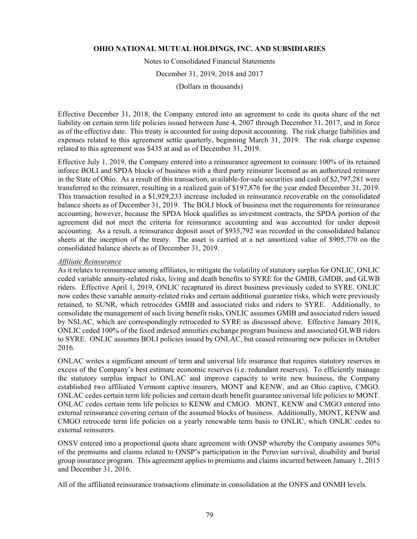Notes to Consolidated Financial Statements

December 31, 2019, 2018 and 2017

(Dollars in thousands)

Effective December 31, 2018, the Company entered into an agreement to cede its quota share of the net liability on certain term life policies issued between June 4, 2007 through December 31, 2017, and in force as of the effective date. This treaty is accounted for using deposit accounting. The risk charge liabilities and expenses related to this agreement settle quarterly, beginning March 31, 2019. The risk charge expense related to this agreement was \$435 at and as of December 31, 2019.

Effective July 1, 2019, the Company entered into a reinsurance agreement to coinsure 100% of its retained inforce BOLI and SPDA blocks of business with a third party reinsurer licensed as an authorized reinsurer in the State of Ohio. As a result of this transaction, available-for-sale securities and cash of \$2,797,281 were transferred to the reinsurer, resulting in a realized gain of \$197,876 for the year ended December 31, 2019. This transaction resulted in a \$1,929,233 increase included in reinsurance recoverable on the consolidated balance sheets as of December 31, 2019. The BOLI block of business met the requirements for reinsurance accounting, however, because the SPDA block qualifies as investment contracts, the SPDA portion of the agreement did not meet the criteria for reinsurance accounting and was accounted for under deposit accounting. As a result, a reinsurance deposit asset of \$935,792 was recorded in the consolidated balance sheets at the inception of the treaty. The asset is carried at a net amortized value of \$905,770 on the consolidated balance sheets as of December 31, 2019.

#### *Affiliate Reinsurance*

As it relates to reinsurance among affiliates, to mitigate the volatility of statutory surplus for ONLIC, ONLIC ceded variable annuity-related risks, living and death benefits to SYRE for the GMIB, GMDB, and GLWB riders. Effective April 1, 2019, ONLIC recaptured its direct business previously ceded to SYRE. ONLIC now cedes these variable annuity-related risks and certain additional guarantee risks, which were previously retained, to SUNR, which retrocedes GMIB and associated risks and riders to SYRE. Additionally, to consolidate the management of such living benefit risks, ONLIC assumes GMIB and associated riders issued by NSLAC, which are correspondingly retroceded to SYRE as discussed above. Effective January 2018, ONLIC ceded 100% of the fixed indexed annuities exchange program business and associated GLWB riders to SYRE. ONLIC assumes BOLI policies issued by ONLAC, but ceased reinsuring new policies in October 2016.

ONLAC writes a significant amount of term and universal life insurance that requires statutory reserves in excess of the Company's best estimate economic reserves (i.e. redundant reserves). To efficiently manage the statutory surplus impact to ONLAC and improve capacity to write new business, the Company established two affiliated Vermont captive insurers, MONT and KENW, and an Ohio captive, CMGO. ONLAC cedes certain term life policies and certain death benefit guarantee universal life policies to MONT. ONLAC cedes certain term life policies to KENW and CMGO. MONT, KENW and CMGO entered into external reinsurance covering certain of the assumed blocks of business. Additionally, MONT, KENW and CMGO retrocede term life policies on a yearly renewable term basis to ONLIC, which ONLIC cedes to external reinsurers.

ONSV entered into a proportional quota share agreement with ONSP whereby the Company assumes 50% of the premiums and claims related to ONSP's participation in the Peruvian survival, disability and burial group insurance program. This agreement applies to premiums and claims incurred between January 1, 2015 and December 31, 2016.

All of the affiliated reinsurance transactions eliminate in consolidation at the ONFS and ONMH levels.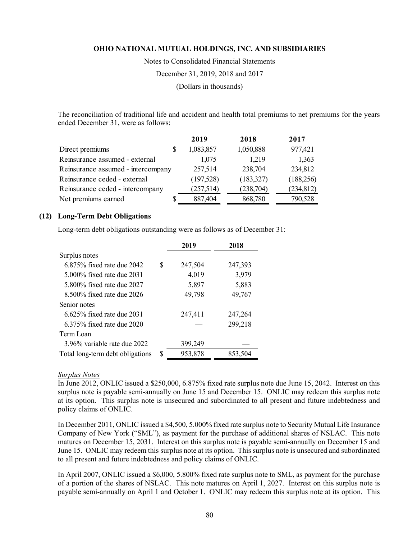Notes to Consolidated Financial Statements

December 31, 2019, 2018 and 2017

(Dollars in thousands)

The reconciliation of traditional life and accident and health total premiums to net premiums for the years ended December 31, were as follows:

|                                    | 2019      | 2018       | 2017       |
|------------------------------------|-----------|------------|------------|
| Direct premiums                    | 1,083,857 | 1,050,888  | 977,421    |
| Reinsurance assumed - external     | 1,075     | 1,219      | 1,363      |
| Reinsurance assumed - intercompany | 257,514   | 238,704    | 234,812    |
| Reinsurance ceded - external       | (197,528) | (183, 327) | (188, 256) |
| Reinsurance ceded - intercompany   | (257,514) | (238, 704) | (234, 812) |
| Net premiums earned                | 887,404   | 868,780    | 790,528    |

#### **(12) Long-Term Debt Obligations**

Long-term debt obligations outstanding were as follows as of December 31:

|                                  |               | 2019    | 2018    |
|----------------------------------|---------------|---------|---------|
| Surplus notes                    |               |         |         |
| $6.875\%$ fixed rate due 2042    | S             | 247,504 | 247,393 |
| 5,000% fixed rate due 2031       |               | 4,019   | 3,979   |
| 5.800% fixed rate due 2027       |               | 5,897   | 5,883   |
| 8.500% fixed rate due 2026       |               | 49,798  | 49,767  |
| Senior notes                     |               |         |         |
| $6.625\%$ fixed rate due 2031    |               | 247,411 | 247,264 |
| $6.375\%$ fixed rate due 2020    |               |         | 299,218 |
| Term Loan                        |               |         |         |
| 3.96% variable rate due 2022     |               | 399,249 |         |
| Total long-term debt obligations | <sup>\$</sup> | 953,878 | 853,504 |
|                                  |               |         |         |

#### *Surplus Notes*

In June 2012, ONLIC issued a \$250,000, 6.875% fixed rate surplus note due June 15, 2042. Interest on this surplus note is payable semi-annually on June 15 and December 15. ONLIC may redeem this surplus note at its option. This surplus note is unsecured and subordinated to all present and future indebtedness and policy claims of ONLIC.

In December 2011, ONLIC issued a \$4,500, 5.000% fixed rate surplus note to Security Mutual Life Insurance Company of New York ("SML"), as payment for the purchase of additional shares of NSLAC. This note matures on December 15, 2031. Interest on this surplus note is payable semi-annually on December 15 and June 15. ONLIC may redeem this surplus note at its option. This surplus note is unsecured and subordinated to all present and future indebtedness and policy claims of ONLIC.

In April 2007, ONLIC issued a \$6,000, 5.800% fixed rate surplus note to SML, as payment for the purchase of a portion of the shares of NSLAC. This note matures on April 1, 2027. Interest on this surplus note is payable semi-annually on April 1 and October 1. ONLIC may redeem this surplus note at its option. This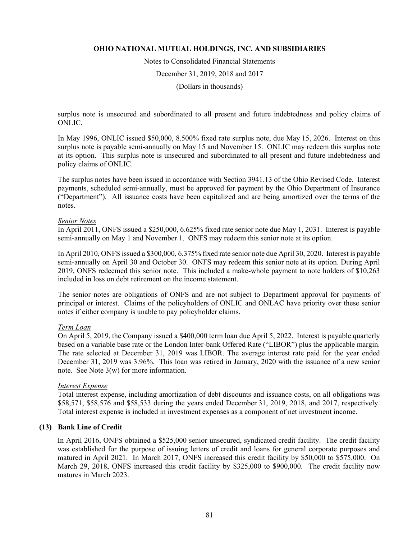Notes to Consolidated Financial Statements December 31, 2019, 2018 and 2017 (Dollars in thousands)

surplus note is unsecured and subordinated to all present and future indebtedness and policy claims of ONLIC.

In May 1996, ONLIC issued \$50,000, 8.500% fixed rate surplus note, due May 15, 2026. Interest on this surplus note is payable semi-annually on May 15 and November 15. ONLIC may redeem this surplus note at its option. This surplus note is unsecured and subordinated to all present and future indebtedness and policy claims of ONLIC.

The surplus notes have been issued in accordance with Section 3941.13 of the Ohio Revised Code. Interest payments, scheduled semi-annually, must be approved for payment by the Ohio Department of Insurance ("Department"). All issuance costs have been capitalized and are being amortized over the terms of the notes.

#### *Senior Notes*

In April 2011, ONFS issued a \$250,000, 6.625% fixed rate senior note due May 1, 2031. Interest is payable semi-annually on May 1 and November 1. ONFS may redeem this senior note at its option.

In April 2010, ONFS issued a \$300,000, 6.375% fixed rate senior note due April 30, 2020. Interest is payable semi-annually on April 30 and October 30. ONFS may redeem this senior note at its option. During April 2019, ONFS redeemed this senior note. This included a make-whole payment to note holders of \$10,263 included in loss on debt retirement on the income statement.

The senior notes are obligations of ONFS and are not subject to Department approval for payments of principal or interest. Claims of the policyholders of ONLIC and ONLAC have priority over these senior notes if either company is unable to pay policyholder claims.

#### *Term Loan*

On April 5, 2019, the Company issued a \$400,000 term loan due April 5, 2022. Interest is payable quarterly based on a variable base rate or the London Inter-bank Offered Rate ("LIBOR") plus the applicable margin. The rate selected at December 31, 2019 was LIBOR. The average interest rate paid for the year ended December 31, 2019 was 3.96%. This loan was retired in January, 2020 with the issuance of a new senior note. See Note 3(w) for more information.

#### *Interest Expense*

Total interest expense, including amortization of debt discounts and issuance costs, on all obligations was \$58,571, \$58,576 and \$58,533 during the years ended December 31, 2019, 2018, and 2017, respectively. Total interest expense is included in investment expenses as a component of net investment income.

## **(13) Bank Line of Credit**

In April 2016, ONFS obtained a \$525,000 senior unsecured, syndicated credit facility. The credit facility was established for the purpose of issuing letters of credit and loans for general corporate purposes and matured in April 2021. In March 2017, ONFS increased this credit facility by \$50,000 to \$575,000. On March 29, 2018, ONFS increased this credit facility by \$325,000 to \$900,000. The credit facility now matures in March 2023.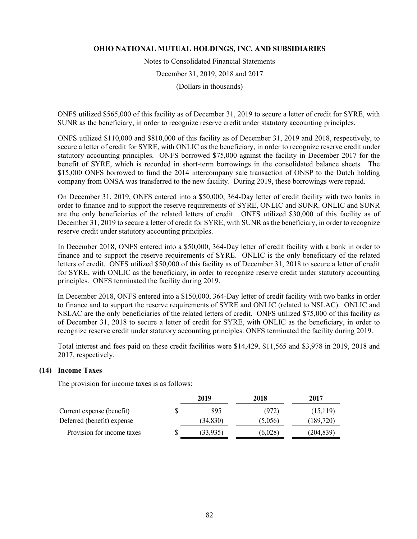Notes to Consolidated Financial Statements December 31, 2019, 2018 and 2017

(Dollars in thousands)

ONFS utilized \$565,000 of this facility as of December 31, 2019 to secure a letter of credit for SYRE, with SUNR as the beneficiary, in order to recognize reserve credit under statutory accounting principles.

ONFS utilized \$110,000 and \$810,000 of this facility as of December 31, 2019 and 2018, respectively, to secure a letter of credit for SYRE, with ONLIC as the beneficiary, in order to recognize reserve credit under statutory accounting principles. ONFS borrowed \$75,000 against the facility in December 2017 for the benefit of SYRE, which is recorded in short-term borrowings in the consolidated balance sheets. The \$15,000 ONFS borrowed to fund the 2014 intercompany sale transaction of ONSP to the Dutch holding company from ONSA was transferred to the new facility. During 2019, these borrowings were repaid.

On December 31, 2019, ONFS entered into a \$50,000, 364-Day letter of credit facility with two banks in order to finance and to support the reserve requirements of SYRE, ONLIC and SUNR. ONLIC and SUNR are the only beneficiaries of the related letters of credit. ONFS utilized \$30,000 of this facility as of December 31, 2019 to secure a letter of credit for SYRE, with SUNR as the beneficiary, in order to recognize reserve credit under statutory accounting principles.

In December 2018, ONFS entered into a \$50,000, 364-Day letter of credit facility with a bank in order to finance and to support the reserve requirements of SYRE. ONLIC is the only beneficiary of the related letters of credit. ONFS utilized \$50,000 of this facility as of December 31, 2018 to secure a letter of credit for SYRE, with ONLIC as the beneficiary, in order to recognize reserve credit under statutory accounting principles. ONFS terminated the facility during 2019.

In December 2018, ONFS entered into a \$150,000, 364-Day letter of credit facility with two banks in order to finance and to support the reserve requirements of SYRE and ONLIC (related to NSLAC). ONLIC and NSLAC are the only beneficiaries of the related letters of credit. ONFS utilized \$75,000 of this facility as of December 31, 2018 to secure a letter of credit for SYRE, with ONLIC as the beneficiary, in order to recognize reserve credit under statutory accounting principles. ONFS terminated the facility during 2019.

Total interest and fees paid on these credit facilities were \$14,429, \$11,565 and \$3,978 in 2019, 2018 and 2017, respectively.

### **(14) Income Taxes**

The provision for income taxes is as follows:

|                            | 2019      | 2018    | 2017       |
|----------------------------|-----------|---------|------------|
| Current expense (benefit)  | 895       | (972)   | (15,119)   |
| Deferred (benefit) expense | (34, 830) | (5,056) | (189, 720) |
| Provision for income taxes | (33,935)  | (6,028) | (204, 839) |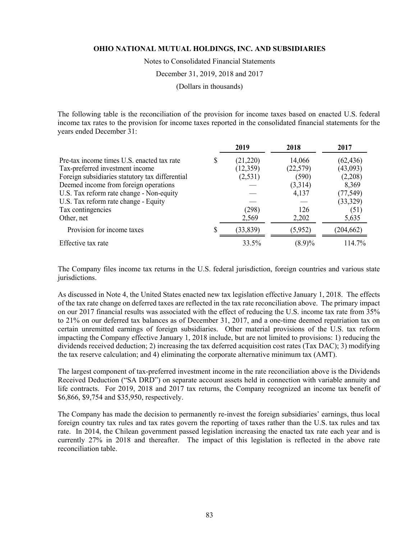Notes to Consolidated Financial Statements

December 31, 2019, 2018 and 2017

(Dollars in thousands)

The following table is the reconciliation of the provision for income taxes based on enacted U.S. federal income tax rates to the provision for income taxes reported in the consolidated financial statements for the years ended December 31:

|                                                 |   | 2019      | 2018      | 2017       |
|-------------------------------------------------|---|-----------|-----------|------------|
| Pre-tax income times U.S. enacted tax rate      | S | (21,220)  | 14,066    | (62, 436)  |
| Tax-preferred investment income                 |   | (12,359)  | (22, 579) | (43,093)   |
| Foreign subsidiaries statutory tax differential |   | (2, 531)  | (590)     | (2,208)    |
| Deemed income from foreign operations           |   |           | (3,314)   | 8,369      |
| U.S. Tax reform rate change - Non-equity        |   |           | 4,137     | (77, 549)  |
| U.S. Tax reform rate change - Equity            |   |           |           | (33,329)   |
| Tax contingencies                               |   | (298)     | 126       | (51)       |
| Other, net                                      |   | 2,569     | 2,202     | 5,635      |
| Provision for income taxes                      |   | (33, 839) | (5,952)   | (204, 662) |
| Effective tax rate                              |   | 33.5%     | $(8.9)\%$ | 114.7%     |

The Company files income tax returns in the U.S. federal jurisdiction, foreign countries and various state jurisdictions.

As discussed in Note 4, the United States enacted new tax legislation effective January 1, 2018. The effects of the tax rate change on deferred taxes are reflected in the tax rate reconciliation above. The primary impact on our 2017 financial results was associated with the effect of reducing the U.S. income tax rate from 35% to 21% on our deferred tax balances as of December 31, 2017, and a one-time deemed repatriation tax on certain unremitted earnings of foreign subsidiaries. Other material provisions of the U.S. tax reform impacting the Company effective January 1, 2018 include, but are not limited to provisions: 1) reducing the dividends received deduction; 2) increasing the tax deferred acquisition cost rates (Tax DAC); 3) modifying the tax reserve calculation; and 4) eliminating the corporate alternative minimum tax (AMT).

The largest component of tax-preferred investment income in the rate reconciliation above is the Dividends Received Deduction ("SA DRD") on separate account assets held in connection with variable annuity and life contracts. For 2019, 2018 and 2017 tax returns, the Company recognized an income tax benefit of \$6,866, \$9,754 and \$35,950, respectively.

The Company has made the decision to permanently re-invest the foreign subsidiaries' earnings, thus local foreign country tax rules and tax rates govern the reporting of taxes rather than the U.S. tax rules and tax rate. In 2014, the Chilean government passed legislation increasing the enacted tax rate each year and is currently 27% in 2018 and thereafter. The impact of this legislation is reflected in the above rate reconciliation table.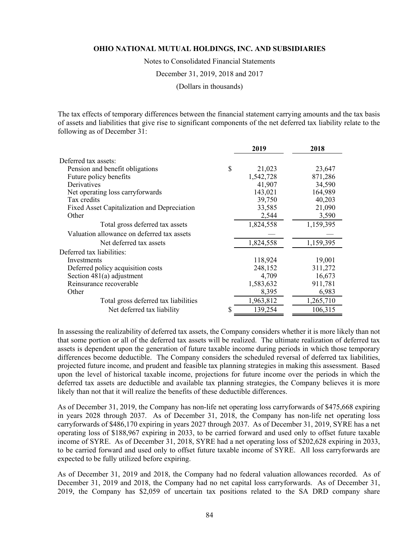Notes to Consolidated Financial Statements

December 31, 2019, 2018 and 2017

(Dollars in thousands)

The tax effects of temporary differences between the financial statement carrying amounts and the tax basis of assets and liabilities that give rise to significant components of the net deferred tax liability relate to the following as of December 31:

|           | 2018            |
|-----------|-----------------|
|           |                 |
| 21,023    | 23,647          |
| 1,542,728 | 871,286         |
| 41,907    | 34,590          |
|           | 164,989         |
| 39,750    | 40,203          |
| 33,585    | 21,090          |
| 2,544     | 3,590           |
| 1,824,558 | 1,159,395       |
|           |                 |
| 1,824,558 | 1,159,395       |
|           |                 |
| 118,924   | 19,001          |
| 248,152   | 311,272         |
| 4,709     | 16,673          |
| 1,583,632 | 911,781         |
| 8,395     | 6,983           |
| 1,963,812 | 1,265,710       |
| 139,254   | 106,315         |
|           | 2019<br>143,021 |

In assessing the realizability of deferred tax assets, the Company considers whether it is more likely than not that some portion or all of the deferred tax assets will be realized. The ultimate realization of deferred tax assets is dependent upon the generation of future taxable income during periods in which those temporary differences become deductible. The Company considers the scheduled reversal of deferred tax liabilities, projected future income, and prudent and feasible tax planning strategies in making this assessment. Based upon the level of historical taxable income, projections for future income over the periods in which the deferred tax assets are deductible and available tax planning strategies, the Company believes it is more likely than not that it will realize the benefits of these deductible differences.

As of December 31, 2019, the Company has non-life net operating loss carryforwards of \$475,668 expiring in years 2028 through 2037. As of December 31, 2018, the Company has non-life net operating loss carryforwards of \$486,170 expiring in years 2027 through 2037. As of December 31, 2019, SYRE has a net operating loss of \$188,967 expiring in 2033, to be carried forward and used only to offset future taxable income of SYRE. As of December 31, 2018, SYRE had a net operating loss of \$202,628 expiring in 2033, to be carried forward and used only to offset future taxable income of SYRE. All loss carryforwards are expected to be fully utilized before expiring.

As of December 31, 2019 and 2018, the Company had no federal valuation allowances recorded. As of December 31, 2019 and 2018, the Company had no net capital loss carryforwards. As of December 31, 2019, the Company has \$2,059 of uncertain tax positions related to the SA DRD company share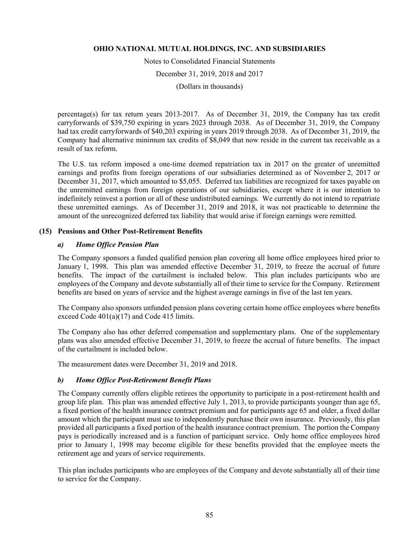Notes to Consolidated Financial Statements

December 31, 2019, 2018 and 2017

(Dollars in thousands)

percentage(s) for tax return years 2013-2017. As of December 31, 2019, the Company has tax credit carryforwards of \$39,750 expiring in years 2023 through 2038. As of December 31, 2019, the Company had tax credit carryforwards of \$40,203 expiring in years 2019 through 2038. As of December 31, 2019, the Company had alternative minimum tax credits of \$8,049 that now reside in the current tax receivable as a result of tax reform.

The U.S. tax reform imposed a one-time deemed repatriation tax in 2017 on the greater of unremitted earnings and profits from foreign operations of our subsidiaries determined as of November 2, 2017 or December 31, 2017, which amounted to \$5,055. Deferred tax liabilities are recognized for taxes payable on the unremitted earnings from foreign operations of our subsidiaries, except where it is our intention to indefinitely reinvest a portion or all of these undistributed earnings. We currently do not intend to repatriate these unremitted earnings. As of December 31, 2019 and 2018, it was not practicable to determine the amount of the unrecognized deferred tax liability that would arise if foreign earnings were remitted.

#### **(15) Pensions and Other Post-Retirement Benefits**

#### *a) Home Office Pension Plan*

The Company sponsors a funded qualified pension plan covering all home office employees hired prior to January 1, 1998. This plan was amended effective December 31, 2019, to freeze the accrual of future benefits. The impact of the curtailment is included below. This plan includes participants who are employees of the Company and devote substantially all of their time to service for the Company. Retirement benefits are based on years of service and the highest average earnings in five of the last ten years.

The Company also sponsors unfunded pension plans covering certain home office employees where benefits exceed Code 401(a)(17) and Code 415 limits.

The Company also has other deferred compensation and supplementary plans. One of the supplementary plans was also amended effective December 31, 2019, to freeze the accrual of future benefits. The impact of the curtailment is included below.

The measurement dates were December 31, 2019 and 2018.

# *b) Home Office Post-Retirement Benefit Plans*

The Company currently offers eligible retirees the opportunity to participate in a post-retirement health and group life plan. This plan was amended effective July 1, 2013, to provide participants younger than age 65, a fixed portion of the health insurance contract premium and for participants age 65 and older, a fixed dollar amount which the participant must use to independently purchase their own insurance. Previously, this plan provided all participants a fixed portion of the health insurance contract premium. The portion the Company pays is periodically increased and is a function of participant service. Only home office employees hired prior to January 1, 1998 may become eligible for these benefits provided that the employee meets the retirement age and years of service requirements.

This plan includes participants who are employees of the Company and devote substantially all of their time to service for the Company.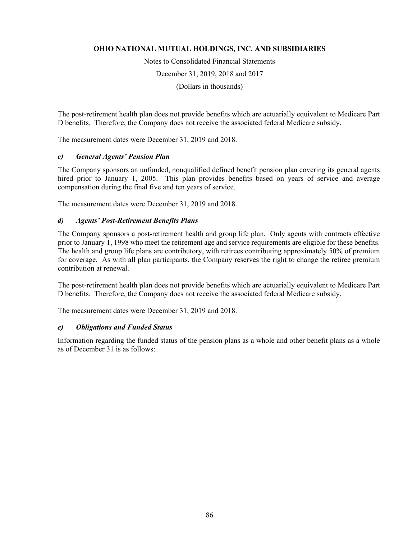Notes to Consolidated Financial Statements

December 31, 2019, 2018 and 2017

(Dollars in thousands)

The post-retirement health plan does not provide benefits which are actuarially equivalent to Medicare Part D benefits. Therefore, the Company does not receive the associated federal Medicare subsidy.

The measurement dates were December 31, 2019 and 2018.

#### *c) General Agents' Pension Plan*

The Company sponsors an unfunded, nonqualified defined benefit pension plan covering its general agents hired prior to January 1, 2005. This plan provides benefits based on years of service and average compensation during the final five and ten years of service.

The measurement dates were December 31, 2019 and 2018.

#### *d) Agents' Post-Retirement Benefits Plans*

The Company sponsors a post-retirement health and group life plan. Only agents with contracts effective prior to January 1, 1998 who meet the retirement age and service requirements are eligible for these benefits. The health and group life plans are contributory, with retirees contributing approximately 50% of premium for coverage. As with all plan participants, the Company reserves the right to change the retiree premium contribution at renewal.

The post-retirement health plan does not provide benefits which are actuarially equivalent to Medicare Part D benefits. Therefore, the Company does not receive the associated federal Medicare subsidy.

The measurement dates were December 31, 2019 and 2018.

#### *e) Obligations and Funded Status*

Information regarding the funded status of the pension plans as a whole and other benefit plans as a whole as of December 31 is as follows: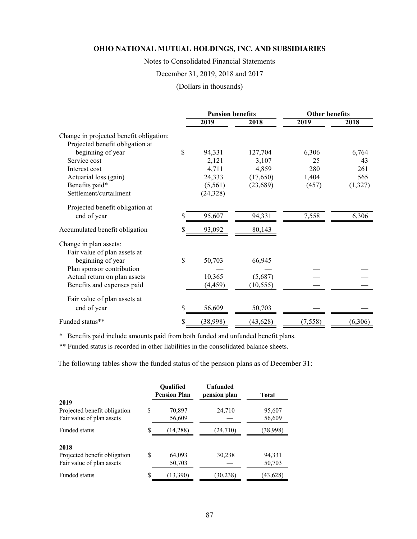Notes to Consolidated Financial Statements

#### December 31, 2019, 2018 and 2017

# (Dollars in thousands)

|                                         |    | <b>Pension benefits</b> |           | <b>Other benefits</b> |         |
|-----------------------------------------|----|-------------------------|-----------|-----------------------|---------|
|                                         |    | 2019                    | 2018      | 2019                  | 2018    |
| Change in projected benefit obligation: |    |                         |           |                       |         |
| Projected benefit obligation at         |    |                         |           |                       |         |
| beginning of year                       | \$ | 94,331                  | 127,704   | 6,306                 | 6,764   |
| Service cost                            |    | 2,121                   | 3,107     | 25                    | 43      |
| Interest cost                           |    | 4,711                   | 4,859     | 280                   | 261     |
| Actuarial loss (gain)                   |    | 24,333                  | (17,650)  | 1,404                 | 565     |
| Benefits paid*                          |    | (5,561)                 | (23, 689) | (457)                 | (1,327) |
| Settlement/curtailment                  |    | (24, 328)               |           |                       |         |
| Projected benefit obligation at         |    |                         |           |                       |         |
| end of year                             | \$ | 95,607                  | 94,331    | 7,558                 | 6,306   |
| Accumulated benefit obligation          | S  | 93,092                  | 80,143    |                       |         |
| Change in plan assets:                  |    |                         |           |                       |         |
| Fair value of plan assets at            |    |                         |           |                       |         |
| beginning of year                       | \$ | 50,703                  | 66,945    |                       |         |
| Plan sponsor contribution               |    |                         |           |                       |         |
| Actual return on plan assets            |    | 10,365                  | (5,687)   |                       |         |
| Benefits and expenses paid              |    | (4, 459)                | (10, 555) |                       |         |
| Fair value of plan assets at            |    |                         |           |                       |         |
| end of year                             | \$ | 56,609                  | 50,703    |                       |         |
| Funded status**                         | \$ | (38,998)                | (43, 628) | (7, 558)              | (6,306) |

\* Benefits paid include amounts paid from both funded and unfunded benefit plans.

\*\* Funded status is recorded in other liabilities in the consolidated balance sheets.

The following tables show the funded status of the pension plans as of December 31:

|                                                                   |     | <b>Oualified</b><br><b>Pension Plan</b> | Unfunded<br>pension plan | Total            |
|-------------------------------------------------------------------|-----|-----------------------------------------|--------------------------|------------------|
| 2019<br>Projected benefit obligation<br>Fair value of plan assets | S   | 70,897<br>56,609                        | 24,710                   | 95,607<br>56,609 |
| <b>Funded status</b>                                              | \$. | (14, 288)                               | (24, 710)                | (38,998)         |
| 2018<br>Projected benefit obligation<br>Fair value of plan assets | S   | 64,093<br>50,703                        | 30,238                   | 94,331<br>50,703 |
| <b>Funded status</b>                                              | S   | (13, 390)                               | (30, 238)                | (43, 628)        |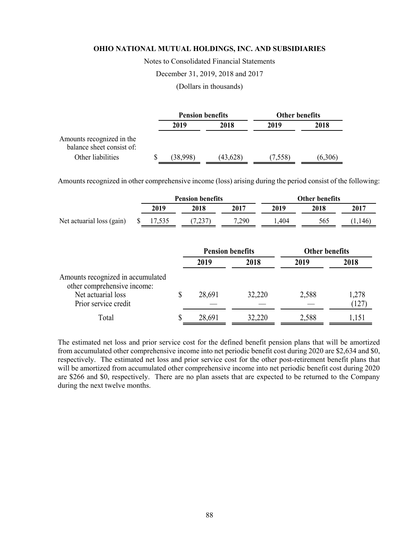Notes to Consolidated Financial Statements

December 31, 2019, 2018 and 2017

(Dollars in thousands)

|                                                        |          | <b>Pension benefits</b> | <b>Other benefits</b> |        |
|--------------------------------------------------------|----------|-------------------------|-----------------------|--------|
|                                                        | 2019     | 2018                    | 2019                  | 2018   |
| Amounts recognized in the<br>balance sheet consist of: |          |                         |                       |        |
| Other liabilities                                      | (38,998) | (43, 628)               | 7,558)                | (6,306 |

Amounts recognized in other comprehensive income (loss) arising during the period consist of the following:

|                           | <b>Pension benefits</b> |      |         | Other benefits |       |  |       |  |      |  |       |
|---------------------------|-------------------------|------|---------|----------------|-------|--|-------|--|------|--|-------|
|                           | 2019                    | 2018 |         | 2017           |       |  | 2019  |  | 2018 |  | 2017  |
| Net actuarial loss (gain) | 17,535                  |      | (7,237) |                | 7,290 |  | 1.404 |  | 565  |  | 1,146 |
|                           |                         |      |         |                |       |  |       |  |      |  |       |

|                                                                                                                |        | <b>Pension benefits</b> | <b>Other benefits</b> |              |
|----------------------------------------------------------------------------------------------------------------|--------|-------------------------|-----------------------|--------------|
|                                                                                                                | 2019   | 2018                    | 2019                  | 2018         |
| Amounts recognized in accumulated<br>other comprehensive income:<br>Net actuarial loss<br>Prior service credit | 28,691 | 32,220                  | 2,588                 | 1,278<br>127 |
| Total                                                                                                          | 28,691 | 32,220                  | 2,588                 | 1,151        |

The estimated net loss and prior service cost for the defined benefit pension plans that will be amortized from accumulated other comprehensive income into net periodic benefit cost during 2020 are \$2,634 and \$0, respectively. The estimated net loss and prior service cost for the other post-retirement benefit plans that will be amortized from accumulated other comprehensive income into net periodic benefit cost during 2020 are \$266 and \$0, respectively. There are no plan assets that are expected to be returned to the Company during the next twelve months.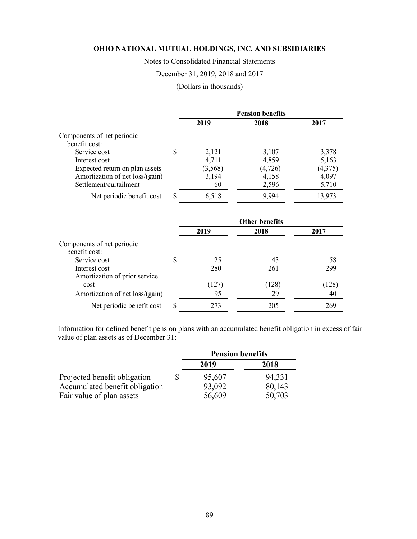Notes to Consolidated Financial Statements

December 31, 2019, 2018 and 2017

(Dollars in thousands)

|                                 |    | <b>Pension benefits</b> |          |         |
|---------------------------------|----|-------------------------|----------|---------|
|                                 |    | 2019                    | 2018     | 2017    |
| Components of net periodic      |    |                         |          |         |
| benefit cost:                   |    |                         |          |         |
| Service cost                    | \$ | 2,121                   | 3,107    | 3,378   |
| Interest cost                   |    | 4,711                   | 4,859    | 5,163   |
| Expected return on plan assets  |    | (3,568)                 | (4, 726) | (4,375) |
| Amortization of net loss/(gain) |    | 3,194                   | 4,158    | 4,097   |
| Settlement/curtailment          |    | 60                      | 2,596    | 5,710   |
| Net periodic benefit cost       | S  | 6,518                   | 9,994    | 13,973  |

|                                 |   | <b>Other benefits</b> |       |       |  |
|---------------------------------|---|-----------------------|-------|-------|--|
|                                 |   | 2019                  | 2018  | 2017  |  |
| Components of net periodic      |   |                       |       |       |  |
| benefit cost:                   |   |                       |       |       |  |
| Service cost                    | S | 25                    | 43    | 58    |  |
| Interest cost                   |   | 280                   | 261   | 299   |  |
| Amortization of prior service   |   |                       |       |       |  |
| cost                            |   | (127)                 | (128) | (128) |  |
| Amortization of net loss/(gain) |   | 95                    | 29    | 40    |  |
| Net periodic benefit cost       | S | 273                   | 205   | 269   |  |

Information for defined benefit pension plans with an accumulated benefit obligation in excess of fair value of plan assets as of December 31:

|                                | <b>Pension benefits</b> |        |  |
|--------------------------------|-------------------------|--------|--|
|                                | 2019                    | 2018   |  |
| Projected benefit obligation   | 95,607                  | 94,331 |  |
| Accumulated benefit obligation | 93,092                  | 80,143 |  |
| Fair value of plan assets      | 56,609                  | 50,703 |  |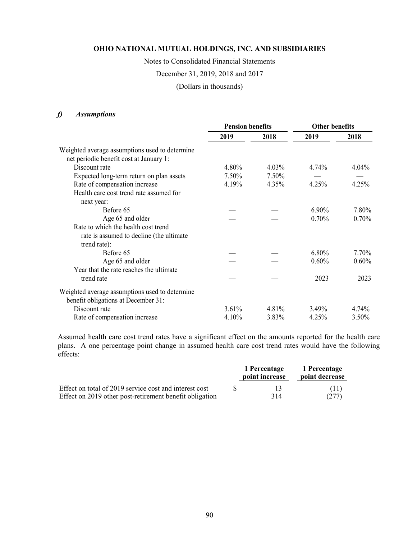Notes to Consolidated Financial Statements

December 31, 2019, 2018 and 2017

(Dollars in thousands)

### *f) Assumptions*

|                                                | <b>Pension benefits</b> |          | <b>Other benefits</b> |       |
|------------------------------------------------|-------------------------|----------|-----------------------|-------|
|                                                | 2019                    | 2018     | 2019                  | 2018  |
| Weighted average assumptions used to determine |                         |          |                       |       |
| net periodic benefit cost at January 1:        |                         |          |                       |       |
| Discount rate                                  | 4.80%                   | $4.03\%$ | $4.74\%$              | 4.04% |
| Expected long-term return on plan assets       | 7.50%                   | 7.50%    |                       |       |
| Rate of compensation increase                  | 4.19%                   | 4.35%    | 4.25%                 | 4.25% |
| Health care cost trend rate assumed for        |                         |          |                       |       |
| next year:                                     |                         |          |                       |       |
| Before 65                                      |                         |          | 6.90%                 | 7.80% |
| Age 65 and older                               |                         |          | 0.70%                 | 0.70% |
| Rate to which the health cost trend            |                         |          |                       |       |
| rate is assumed to decline (the ultimate       |                         |          |                       |       |
| trend rate):                                   |                         |          |                       |       |
| Before 65                                      |                         |          | 6.80%                 | 7.70% |
| Age 65 and older                               |                         |          | $0.60\%$              | 0.60% |
| Year that the rate reaches the ultimate        |                         |          |                       |       |
| trend rate                                     |                         |          | 2023                  | 2023  |
| Weighted average assumptions used to determine |                         |          |                       |       |
| benefit obligations at December 31:            |                         |          |                       |       |
| Discount rate                                  | 3.61%                   | 4.81%    | 3.49%                 | 4.74% |
| Rate of compensation increase                  | 4.10%                   | 3.83%    | 4.25%                 | 3.50% |

Assumed health care cost trend rates have a significant effect on the amounts reported for the health care plans. A one percentage point change in assumed health care cost trend rates would have the following effects:

|                                                         | 1 Percentage<br>point increase | 1 Percentage<br>point decrease |
|---------------------------------------------------------|--------------------------------|--------------------------------|
| Effect on total of 2019 service cost and interest cost  |                                | (11)                           |
| Effect on 2019 other post-retirement benefit obligation | 314                            | (277)                          |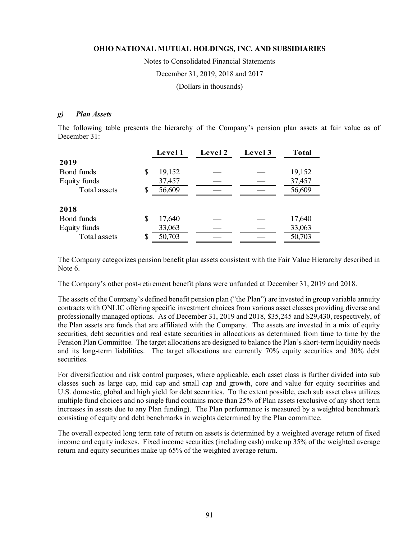Notes to Consolidated Financial Statements

December 31, 2019, 2018 and 2017

(Dollars in thousands)

#### *g) Plan Assets*

The following table presents the hierarchy of the Company's pension plan assets at fair value as of December 31:

|              |    | Level 1 | Level 2 | Level 3 | <b>Total</b> |
|--------------|----|---------|---------|---------|--------------|
| 2019         |    |         |         |         |              |
| Bond funds   |    | 19,152  |         |         | 19,152       |
| Equity funds |    | 37,457  |         |         | 37,457       |
| Total assets | S  | 56,609  |         |         | 56,609       |
|              |    |         |         |         |              |
| 2018         |    |         |         |         |              |
| Bond funds   |    | 17,640  |         |         | 17,640       |
| Equity funds |    | 33,063  |         |         | 33,063       |
| Total assets | \$ | 50,703  |         |         | 50,703       |

The Company categorizes pension benefit plan assets consistent with the Fair Value Hierarchy described in Note 6.

The Company's other post-retirement benefit plans were unfunded at December 31, 2019 and 2018.

The assets of the Company's defined benefit pension plan ("the Plan") are invested in group variable annuity contracts with ONLIC offering specific investment choices from various asset classes providing diverse and professionally managed options. As of December 31, 2019 and 2018, \$35,245 and \$29,430, respectively, of the Plan assets are funds that are affiliated with the Company. The assets are invested in a mix of equity securities, debt securities and real estate securities in allocations as determined from time to time by the Pension Plan Committee. The target allocations are designed to balance the Plan's short-term liquidity needs and its long-term liabilities. The target allocations are currently 70% equity securities and 30% debt securities.

For diversification and risk control purposes, where applicable, each asset class is further divided into sub classes such as large cap, mid cap and small cap and growth, core and value for equity securities and U.S. domestic, global and high yield for debt securities. To the extent possible, each sub asset class utilizes multiple fund choices and no single fund contains more than 25% of Plan assets (exclusive of any short term increases in assets due to any Plan funding). The Plan performance is measured by a weighted benchmark consisting of equity and debt benchmarks in weights determined by the Plan committee.

The overall expected long term rate of return on assets is determined by a weighted average return of fixed income and equity indexes. Fixed income securities (including cash) make up 35% of the weighted average return and equity securities make up 65% of the weighted average return.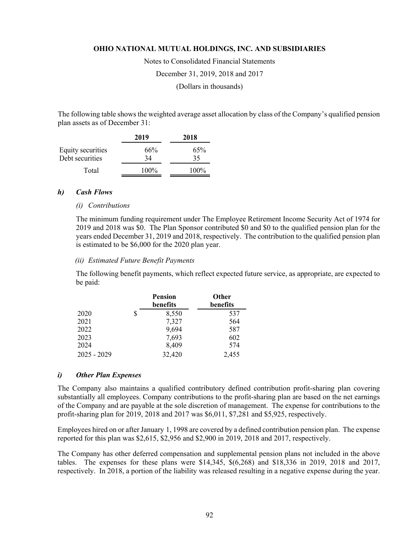Notes to Consolidated Financial Statements

December 31, 2019, 2018 and 2017

(Dollars in thousands)

The following table shows the weighted average asset allocation by class of the Company's qualified pension plan assets as of December 31:

|                                      | 2019      | 2018      |
|--------------------------------------|-----------|-----------|
| Equity securities<br>Debt securities | 66%<br>34 | 65%<br>35 |
| Total                                | $100\%$   | $100\%$   |

#### *h) Cash Flows*

#### *(i) Contributions*

The minimum funding requirement under The Employee Retirement Income Security Act of 1974 for 2019 and 2018 was \$0. The Plan Sponsor contributed \$0 and \$0 to the qualified pension plan for the years ended December 31, 2019 and 2018, respectively. The contribution to the qualified pension plan is estimated to be \$6,000 for the 2020 plan year.

#### *(ii) Estimated Future Benefit Payments*

The following benefit payments, which reflect expected future service, as appropriate, are expected to be paid:

|               |  | Pension<br>benefits | <b>Other</b><br>benefits |
|---------------|--|---------------------|--------------------------|
| 2020          |  | 8,550               | 537                      |
| 2021          |  | 7,327               | 564                      |
| 2022          |  | 9,694               | 587                      |
| 2023          |  | 7,693               | 602                      |
| 2024          |  | 8,409               | 574                      |
| $2025 - 2029$ |  | 32,420              | 2,455                    |

#### *i) Other Plan Expenses*

The Company also maintains a qualified contributory defined contribution profit-sharing plan covering substantially all employees. Company contributions to the profit-sharing plan are based on the net earnings of the Company and are payable at the sole discretion of management. The expense for contributions to the profit-sharing plan for 2019, 2018 and 2017 was \$6,011, \$7,281 and \$5,925, respectively.

Employees hired on or after January 1, 1998 are covered by a defined contribution pension plan. The expense reported for this plan was \$2,615, \$2,956 and \$2,900 in 2019, 2018 and 2017, respectively.

The Company has other deferred compensation and supplemental pension plans not included in the above tables. The expenses for these plans were \$14,345, \$(6,268) and \$18,336 in 2019, 2018 and 2017, respectively. In 2018, a portion of the liability was released resulting in a negative expense during the year.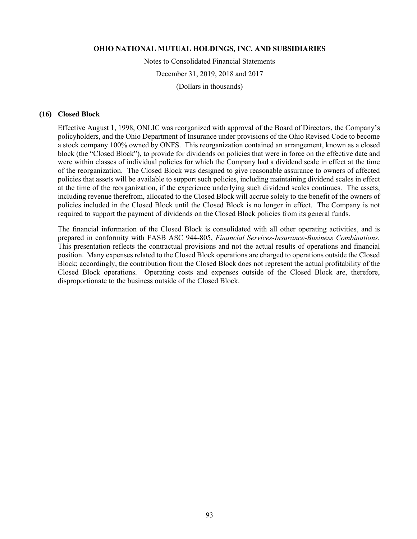Notes to Consolidated Financial Statements

December 31, 2019, 2018 and 2017

(Dollars in thousands)

#### **(16) Closed Block**

Effective August 1, 1998, ONLIC was reorganized with approval of the Board of Directors, the Company's policyholders, and the Ohio Department of Insurance under provisions of the Ohio Revised Code to become a stock company 100% owned by ONFS. This reorganization contained an arrangement, known as a closed block (the "Closed Block"), to provide for dividends on policies that were in force on the effective date and were within classes of individual policies for which the Company had a dividend scale in effect at the time of the reorganization. The Closed Block was designed to give reasonable assurance to owners of affected policies that assets will be available to support such policies, including maintaining dividend scales in effect at the time of the reorganization, if the experience underlying such dividend scales continues. The assets, including revenue therefrom, allocated to the Closed Block will accrue solely to the benefit of the owners of policies included in the Closed Block until the Closed Block is no longer in effect. The Company is not required to support the payment of dividends on the Closed Block policies from its general funds.

The financial information of the Closed Block is consolidated with all other operating activities, and is prepared in conformity with FASB ASC 944-805, *Financial Services-Insurance-Business Combinations.* This presentation reflects the contractual provisions and not the actual results of operations and financial position. Many expenses related to the Closed Block operations are charged to operations outside the Closed Block; accordingly, the contribution from the Closed Block does not represent the actual profitability of the Closed Block operations. Operating costs and expenses outside of the Closed Block are, therefore, disproportionate to the business outside of the Closed Block.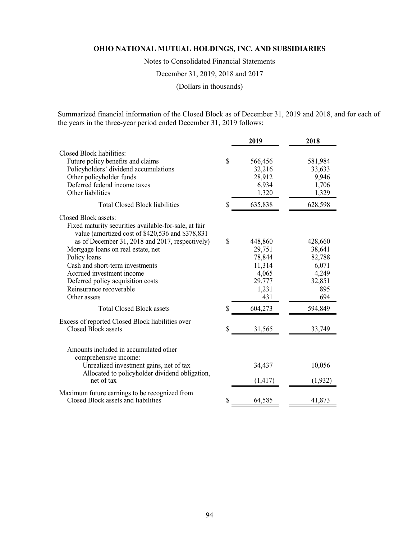Notes to Consolidated Financial Statements

December 31, 2019, 2018 and 2017

(Dollars in thousands)

Summarized financial information of the Closed Block as of December 31, 2019 and 2018, and for each of the years in the three-year period ended December 31, 2019 follows:

|                                                                                                                                                                                                    |              | 2019                                                          | 2018                                                       |
|----------------------------------------------------------------------------------------------------------------------------------------------------------------------------------------------------|--------------|---------------------------------------------------------------|------------------------------------------------------------|
| Closed Block liabilities:<br>Future policy benefits and claims<br>Policyholders' dividend accumulations<br>Other policyholder funds<br>Deferred federal income taxes<br>Other liabilities          | \$           | 566,456<br>32,216<br>28,912<br>6,934<br>1,320                 | 581,984<br>33,633<br>9,946<br>1,706<br>1,329               |
| <b>Total Closed Block liabilities</b>                                                                                                                                                              | \$           | 635,838                                                       | 628,598                                                    |
| Closed Block assets:<br>Fixed maturity securities available-for-sale, at fair<br>value (amortized cost of \$420,536 and \$378,831<br>as of December 31, 2018 and 2017, respectively)               | $\mathbb{S}$ | 448,860                                                       | 428,660                                                    |
| Mortgage loans on real estate, net<br>Policy loans<br>Cash and short-term investments<br>Accrued investment income<br>Deferred policy acquisition costs<br>Reinsurance recoverable<br>Other assets |              | 29,751<br>78,844<br>11,314<br>4,065<br>29,777<br>1,231<br>431 | 38,641<br>82,788<br>6,071<br>4,249<br>32,851<br>895<br>694 |
| <b>Total Closed Block assets</b>                                                                                                                                                                   | \$           | 604,273                                                       | 594,849                                                    |
| Excess of reported Closed Block liabilities over<br><b>Closed Block assets</b>                                                                                                                     | S            | 31,565                                                        | 33,749                                                     |
| Amounts included in accumulated other<br>comprehensive income:<br>Unrealized investment gains, net of tax<br>Allocated to policyholder dividend obligation,<br>net of tax                          |              | 34,437<br>(1, 417)                                            | 10,056<br>(1,932)                                          |
| Maximum future earnings to be recognized from<br>Closed Block assets and liabilities                                                                                                               | $\mathbb{S}$ | 64,585                                                        | 41,873                                                     |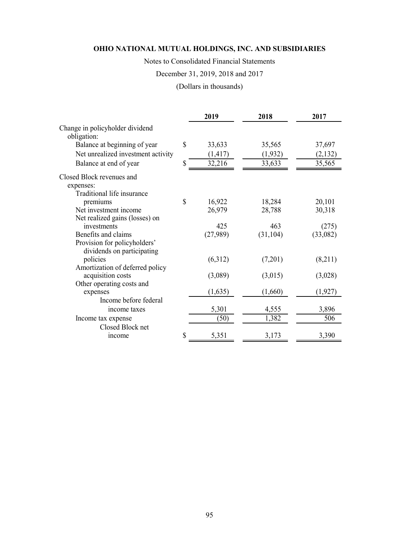Notes to Consolidated Financial Statements

December 31, 2019, 2018 and 2017

(Dollars in thousands)

|                                                            | 2019         | 2018      | 2017     |
|------------------------------------------------------------|--------------|-----------|----------|
| Change in policyholder dividend<br>obligation:             |              |           |          |
| Balance at beginning of year                               | \$<br>33,633 | 35,565    | 37,697   |
| Net unrealized investment activity                         | (1, 417)     | (1, 932)  | (2,132)  |
| Balance at end of year                                     | \$<br>32,216 | 33,633    | 35,565   |
| Closed Block revenues and                                  |              |           |          |
| expenses:                                                  |              |           |          |
| Traditional life insurance                                 |              |           |          |
| premiums                                                   | \$<br>16,922 | 18,284    | 20,101   |
| Net investment income                                      | 26,979       | 28,788    | 30,318   |
| Net realized gains (losses) on                             |              |           |          |
| investments                                                | 425          | 463       | (275)    |
| Benefits and claims                                        | (27,989)     | (31, 104) | (33,082) |
| Provision for policyholders'<br>dividends on participating |              |           |          |
| policies                                                   | (6,312)      | (7,201)   | (8,211)  |
| Amortization of deferred policy                            |              |           |          |
| acquisition costs                                          | (3,089)      | (3,015)   | (3,028)  |
| Other operating costs and                                  |              |           |          |
| expenses                                                   | (1,635)      | (1,660)   | (1, 927) |
| Income before federal                                      |              |           |          |
| income taxes                                               | 5,301        | 4,555     | 3,896    |
| Income tax expense                                         | (50)         | 1,382     | 506      |
| Closed Block net                                           |              |           |          |
| income                                                     | \$<br>5,351  | 3,173     | 3,390    |
|                                                            |              |           |          |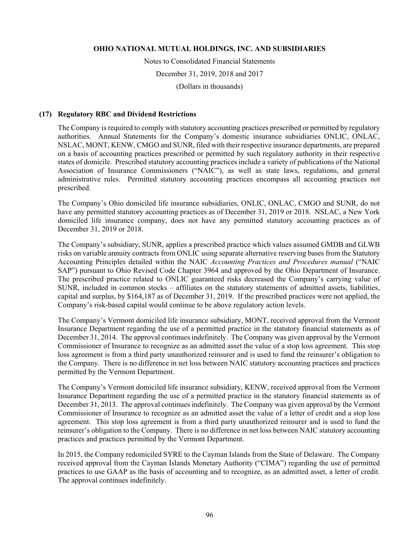Notes to Consolidated Financial Statements

December 31, 2019, 2018 and 2017

(Dollars in thousands)

#### **(17) Regulatory RBC and Dividend Restrictions**

The Company is required to comply with statutory accounting practices prescribed or permitted by regulatory authorities. Annual Statements for the Company's domestic insurance subsidiaries ONLIC, ONLAC, NSLAC, MONT, KENW, CMGO and SUNR, filed with their respective insurance departments, are prepared on a basis of accounting practices prescribed or permitted by such regulatory authority in their respective states of domicile. Prescribed statutory accounting practices include a variety of publications of the National Association of Insurance Commissioners ("NAIC"), as well as state laws, regulations, and general administrative rules. Permitted statutory accounting practices encompass all accounting practices not prescribed.

The Company's Ohio domiciled life insurance subsidiaries, ONLIC, ONLAC, CMGO and SUNR, do not have any permitted statutory accounting practices as of December 31, 2019 or 2018. NSLAC, a New York domiciled life insurance company, does not have any permitted statutory accounting practices as of December 31, 2019 or 2018.

The Company's subsidiary, SUNR, applies a prescribed practice which values assumed GMDB and GLWB risks on variable annuity contracts from ONLIC using separate alternative reserving bases from the Statutory Accounting Principles detailed within the NAIC *Accounting Practices and Procedures manual* ("NAIC SAP") pursuant to Ohio Revised Code Chapter 3964 and approved by the Ohio Department of Insurance. The prescribed practice related to ONLIC guaranteed risks decreased the Company's carrying value of SUNR, included in common stocks – affiliates on the statutory statements of admitted assets, liabilities, capital and surplus, by \$164,187 as of December 31, 2019. If the prescribed practices were not applied, the Company's risk-based capital would continue to be above regulatory action levels.

The Company's Vermont domiciled life insurance subsidiary, MONT, received approval from the Vermont Insurance Department regarding the use of a permitted practice in the statutory financial statements as of December 31, 2014. The approval continues indefinitely. The Company was given approval by the Vermont Commissioner of Insurance to recognize as an admitted asset the value of a stop loss agreement. This stop loss agreement is from a third party unauthorized reinsurer and is used to fund the reinsurer's obligation to the Company. There is no difference in net loss between NAIC statutory accounting practices and practices permitted by the Vermont Department.

The Company's Vermont domiciled life insurance subsidiary, KENW, received approval from the Vermont Insurance Department regarding the use of a permitted practice in the statutory financial statements as of December 31, 2013. The approval continues indefinitely. The Company was given approval by the Vermont Commissioner of Insurance to recognize as an admitted asset the value of a letter of credit and a stop loss agreement. This stop loss agreement is from a third party unauthorized reinsurer and is used to fund the reinsurer's obligation to the Company. There is no difference in net loss between NAIC statutory accounting practices and practices permitted by the Vermont Department.

In 2015, the Company redomiciled SYRE to the Cayman Islands from the State of Delaware. The Company received approval from the Cayman Islands Monetary Authority ("CIMA") regarding the use of permitted practices to use GAAP as the basis of accounting and to recognize, as an admitted asset, a letter of credit. The approval continues indefinitely.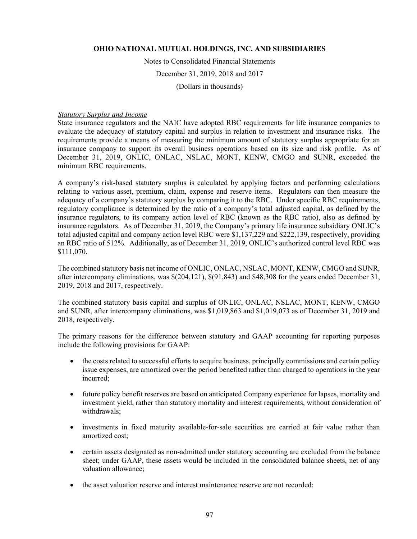Notes to Consolidated Financial Statements

December 31, 2019, 2018 and 2017

(Dollars in thousands)

#### *Statutory Surplus and Income*

State insurance regulators and the NAIC have adopted RBC requirements for life insurance companies to evaluate the adequacy of statutory capital and surplus in relation to investment and insurance risks. The requirements provide a means of measuring the minimum amount of statutory surplus appropriate for an insurance company to support its overall business operations based on its size and risk profile. As of December 31, 2019, ONLIC, ONLAC, NSLAC, MONT, KENW, CMGO and SUNR, exceeded the minimum RBC requirements.

A company's risk-based statutory surplus is calculated by applying factors and performing calculations relating to various asset, premium, claim, expense and reserve items. Regulators can then measure the adequacy of a company's statutory surplus by comparing it to the RBC. Under specific RBC requirements, regulatory compliance is determined by the ratio of a company's total adjusted capital, as defined by the insurance regulators, to its company action level of RBC (known as the RBC ratio), also as defined by insurance regulators. As of December 31, 2019, the Company's primary life insurance subsidiary ONLIC's total adjusted capital and company action level RBC were \$1,137,229 and \$222,139, respectively, providing an RBC ratio of 512%. Additionally, as of December 31, 2019, ONLIC's authorized control level RBC was \$111,070.

The combined statutory basis net income of ONLIC, ONLAC, NSLAC, MONT, KENW, CMGO and SUNR, after intercompany eliminations, was \$(204,121), \$(91,843) and \$48,308 for the years ended December 31, 2019, 2018 and 2017, respectively.

The combined statutory basis capital and surplus of ONLIC, ONLAC, NSLAC, MONT, KENW, CMGO and SUNR, after intercompany eliminations, was \$1,019,863 and \$1,019,073 as of December 31, 2019 and 2018, respectively.

The primary reasons for the difference between statutory and GAAP accounting for reporting purposes include the following provisions for GAAP:

- the costs related to successful efforts to acquire business, principally commissions and certain policy issue expenses, are amortized over the period benefited rather than charged to operations in the year incurred;
- future policy benefit reserves are based on anticipated Company experience for lapses, mortality and investment yield, rather than statutory mortality and interest requirements, without consideration of withdrawals;
- investments in fixed maturity available-for-sale securities are carried at fair value rather than amortized cost;
- certain assets designated as non-admitted under statutory accounting are excluded from the balance sheet; under GAAP, these assets would be included in the consolidated balance sheets, net of any valuation allowance;
- the asset valuation reserve and interest maintenance reserve are not recorded;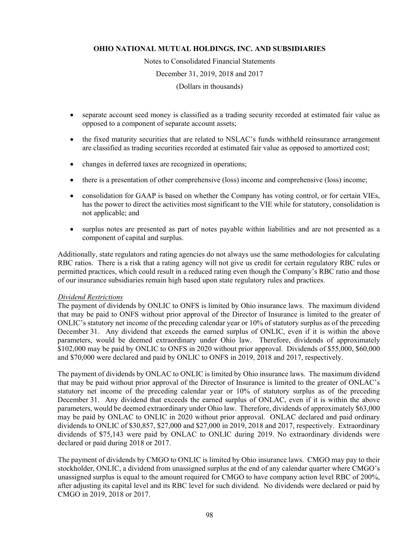Notes to Consolidated Financial Statements

December 31, 2019, 2018 and 2017

(Dollars in thousands)

- separate account seed money is classified as a trading security recorded at estimated fair value as opposed to a component of separate account assets;
- the fixed maturity securities that are related to NSLAC's funds withheld reinsurance arrangement are classified as trading securities recorded at estimated fair value as opposed to amortized cost;
- changes in deferred taxes are recognized in operations;
- there is a presentation of other comprehensive (loss) income and comprehensive (loss) income;
- consolidation for GAAP is based on whether the Company has voting control, or for certain VIEs, has the power to direct the activities most significant to the VIE while for statutory, consolidation is not applicable; and
- surplus notes are presented as part of notes payable within liabilities and are not presented as a component of capital and surplus.

Additionally, state regulators and rating agencies do not always use the same methodologies for calculating RBC ratios. There is a risk that a rating agency will not give us credit for certain regulatory RBC rules or permitted practices, which could result in a reduced rating even though the Company's RBC ratio and those of our insurance subsidiaries remain high based upon state regulatory rules and practices.

#### *Dividend Restrictions*

The payment of dividends by ONLIC to ONFS is limited by Ohio insurance laws. The maximum dividend that may be paid to ONFS without prior approval of the Director of Insurance is limited to the greater of ONLIC's statutory net income of the preceding calendar year or 10% of statutory surplus as of the preceding December 31. Any dividend that exceeds the earned surplus of ONLIC, even if it is within the above parameters, would be deemed extraordinary under Ohio law. Therefore, dividends of approximately \$102,000 may be paid by ONLIC to ONFS in 2020 without prior approval. Dividends of \$55,000, \$60,000 and \$70,000 were declared and paid by ONLIC to ONFS in 2019, 2018 and 2017, respectively.

The payment of dividends by ONLAC to ONLIC is limited by Ohio insurance laws. The maximum dividend that may be paid without prior approval of the Director of Insurance is limited to the greater of ONLAC's statutory net income of the preceding calendar year or 10% of statutory surplus as of the preceding December 31. Any dividend that exceeds the earned surplus of ONLAC, even if it is within the above parameters, would be deemed extraordinary under Ohio law. Therefore, dividends of approximately \$63,000 may be paid by ONLAC to ONLIC in 2020 without prior approval. ONLAC declared and paid ordinary dividends to ONLIC of \$30,857, \$27,000 and \$27,000 in 2019, 2018 and 2017, respectively. Extraordinary dividends of \$75,143 were paid by ONLAC to ONLIC during 2019. No extraordinary dividends were declared or paid during 2018 or 2017.

The payment of dividends by CMGO to ONLIC is limited by Ohio insurance laws. CMGO may pay to their stockholder, ONLIC, a dividend from unassigned surplus at the end of any calendar quarter where CMGO's unassigned surplus is equal to the amount required for CMGO to have company action level RBC of 200%, after adjusting its capital level and its RBC level for such dividend. No dividends were declared or paid by CMGO in 2019, 2018 or 2017.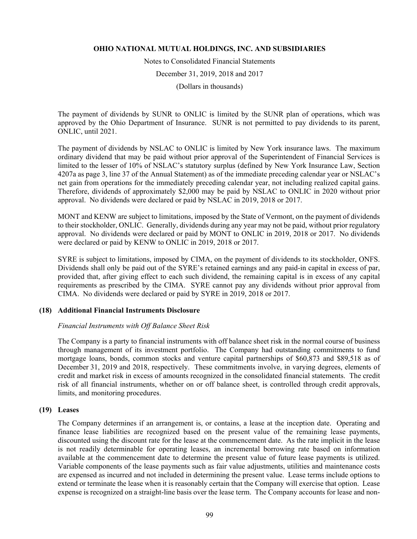Notes to Consolidated Financial Statements

December 31, 2019, 2018 and 2017

(Dollars in thousands)

The payment of dividends by SUNR to ONLIC is limited by the SUNR plan of operations, which was approved by the Ohio Department of Insurance. SUNR is not permitted to pay dividends to its parent, ONLIC, until 2021.

The payment of dividends by NSLAC to ONLIC is limited by New York insurance laws. The maximum ordinary dividend that may be paid without prior approval of the Superintendent of Financial Services is limited to the lesser of 10% of NSLAC's statutory surplus (defined by New York Insurance Law, Section 4207a as page 3, line 37 of the Annual Statement) as of the immediate preceding calendar year or NSLAC's net gain from operations for the immediately preceding calendar year, not including realized capital gains. Therefore, dividends of approximately \$2,000 may be paid by NSLAC to ONLIC in 2020 without prior approval. No dividends were declared or paid by NSLAC in 2019, 2018 or 2017.

MONT and KENW are subject to limitations, imposed by the State of Vermont, on the payment of dividends to their stockholder, ONLIC. Generally, dividends during any year may not be paid, without prior regulatory approval. No dividends were declared or paid by MONT to ONLIC in 2019, 2018 or 2017. No dividends were declared or paid by KENW to ONLIC in 2019, 2018 or 2017.

SYRE is subject to limitations, imposed by CIMA, on the payment of dividends to its stockholder, ONFS. Dividends shall only be paid out of the SYRE's retained earnings and any paid-in capital in excess of par, provided that, after giving effect to each such dividend, the remaining capital is in excess of any capital requirements as prescribed by the CIMA. SYRE cannot pay any dividends without prior approval from CIMA. No dividends were declared or paid by SYRE in 2019, 2018 or 2017.

#### **(18) Additional Financial Instruments Disclosure**

#### *Financial Instruments with Off Balance Sheet Risk*

The Company is a party to financial instruments with off balance sheet risk in the normal course of business through management of its investment portfolio. The Company had outstanding commitments to fund mortgage loans, bonds, common stocks and venture capital partnerships of \$60,873 and \$89,518 as of December 31, 2019 and 2018, respectively. These commitments involve, in varying degrees, elements of credit and market risk in excess of amounts recognized in the consolidated financial statements. The credit risk of all financial instruments, whether on or off balance sheet, is controlled through credit approvals, limits, and monitoring procedures.

## **(19) Leases**

The Company determines if an arrangement is, or contains, a lease at the inception date. Operating and finance lease liabilities are recognized based on the present value of the remaining lease payments, discounted using the discount rate for the lease at the commencement date. As the rate implicit in the lease is not readily determinable for operating leases, an incremental borrowing rate based on information available at the commencement date to determine the present value of future lease payments is utilized. Variable components of the lease payments such as fair value adjustments, utilities and maintenance costs are expensed as incurred and not included in determining the present value. Lease terms include options to extend or terminate the lease when it is reasonably certain that the Company will exercise that option. Lease expense is recognized on a straight-line basis over the lease term. The Company accounts for lease and non-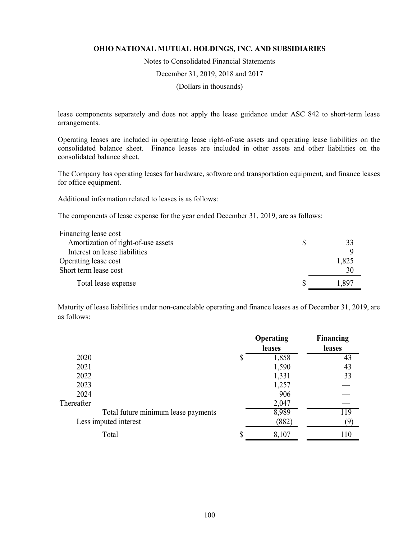Notes to Consolidated Financial Statements

December 31, 2019, 2018 and 2017

(Dollars in thousands)

lease components separately and does not apply the lease guidance under ASC 842 to short-term lease arrangements.

Operating leases are included in operating lease right-of-use assets and operating lease liabilities on the consolidated balance sheet. Finance leases are included in other assets and other liabilities on the consolidated balance sheet.

The Company has operating leases for hardware, software and transportation equipment, and finance leases for office equipment.

Additional information related to leases is as follows:

The components of lease expense for the year ended December 31, 2019, are as follows:

| Financing lease cost                |       |
|-------------------------------------|-------|
| Amortization of right-of-use assets | 33    |
| Interest on lease liabilities       |       |
| Operating lease cost                | 1,825 |
| Short term lease cost               |       |
| Total lease expense                 |       |

Maturity of lease liabilities under non-cancelable operating and finance leases as of December 31, 2019, are as follows:

|                                     | Operating | <b>Financing</b> |
|-------------------------------------|-----------|------------------|
|                                     | leases    | leases           |
| 2020                                | 1,858     | 43               |
| 2021                                | 1,590     | 43               |
| 2022                                | 1,331     | 33               |
| 2023                                | 1,257     |                  |
| 2024                                | 906       |                  |
| Thereafter                          | 2,047     |                  |
| Total future minimum lease payments | 8,989     | 119              |
| Less imputed interest               | (882)     | 9)               |
| Total                               | 8,107     | 110              |
|                                     |           |                  |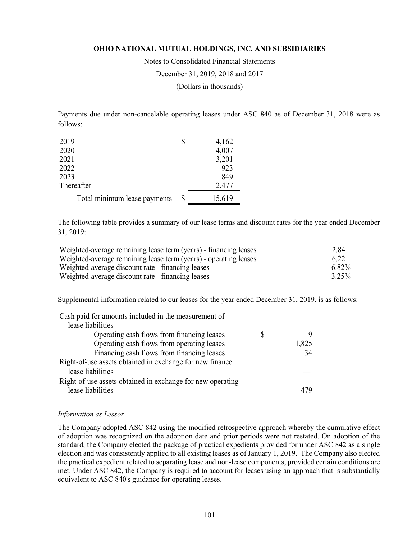Notes to Consolidated Financial Statements December 31, 2019, 2018 and 2017

(Dollars in thousands)

Payments due under non-cancelable operating leases under ASC 840 as of December 31, 2018 were as follows:

| 2019                         |   | 4,162  |
|------------------------------|---|--------|
| 2020                         |   | 4,007  |
| 2021                         |   | 3,201  |
| 2022                         |   | 923    |
| 2023                         |   | 849    |
| Thereafter                   |   | 2,477  |
| Total minimum lease payments | S | 15,619 |

The following table provides a summary of our lease terms and discount rates for the year ended December 31, 2019:

| Weighted-average remaining lease term (years) - financing leases | 2.84  |
|------------------------------------------------------------------|-------|
| Weighted-average remaining lease term (years) - operating leases | 6.22  |
| Weighted-average discount rate - financing leases                | 6.82% |
| Weighted-average discount rate - financing leases                | 3.25% |

Supplemental information related to our leases for the year ended December 31, 2019, is as follows:

| Cash paid for amounts included in the measurement of       |   |       |
|------------------------------------------------------------|---|-------|
| lease liabilities                                          |   |       |
| Operating cash flows from financing leases                 | S |       |
| Operating cash flows from operating leases                 |   | 1,825 |
| Financing cash flows from financing leases                 |   | 34    |
| Right-of-use assets obtained in exchange for new finance   |   |       |
| lease liabilities                                          |   |       |
| Right-of-use assets obtained in exchange for new operating |   |       |
| lease liabilities                                          |   |       |
|                                                            |   |       |

#### *Information as Lessor*

The Company adopted ASC 842 using the modified retrospective approach whereby the cumulative effect of adoption was recognized on the adoption date and prior periods were not restated. On adoption of the standard, the Company elected the package of practical expedients provided for under ASC 842 as a single election and was consistently applied to all existing leases as of January 1, 2019. The Company also elected the practical expedient related to separating lease and non-lease components, provided certain conditions are met. Under ASC 842, the Company is required to account for leases using an approach that is substantially equivalent to ASC 840's guidance for operating leases.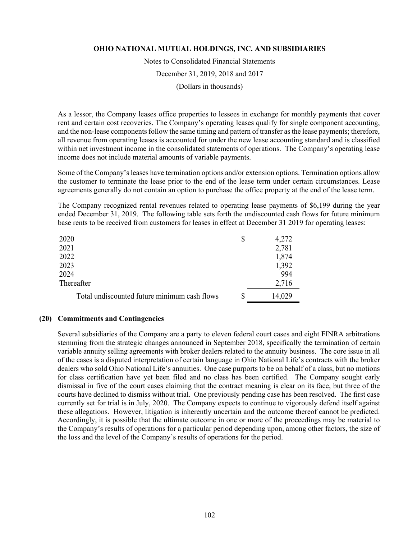Notes to Consolidated Financial Statements

December 31, 2019, 2018 and 2017

(Dollars in thousands)

As a lessor, the Company leases office properties to lessees in exchange for monthly payments that cover rent and certain cost recoveries. The Company's operating leases qualify for single component accounting, and the non-lease components follow the same timing and pattern of transfer as the lease payments; therefore, all revenue from operating leases is accounted for under the new lease accounting standard and is classified within net investment income in the consolidated statements of operations. The Company's operating lease income does not include material amounts of variable payments.

Some of the Company's leases have termination options and/or extension options. Termination options allow the customer to terminate the lease prior to the end of the lease term under certain circumstances. Lease agreements generally do not contain an option to purchase the office property at the end of the lease term.

The Company recognized rental revenues related to operating lease payments of \$6,199 during the year ended December 31, 2019. The following table sets forth the undiscounted cash flows for future minimum base rents to be received from customers for leases in effect at December 31 2019 for operating leases:

| 2020                                         | 4,272  |
|----------------------------------------------|--------|
| 2021                                         | 2,781  |
| 2022                                         | 1,874  |
| 2023                                         | 1,392  |
| 2024                                         | 994    |
| Thereafter                                   | 2,716  |
| Total undiscounted future minimum cash flows | 14,029 |

#### **(20) Commitments and Contingencies**

Several subsidiaries of the Company are a party to eleven federal court cases and eight FINRA arbitrations stemming from the strategic changes announced in September 2018, specifically the termination of certain variable annuity selling agreements with broker dealers related to the annuity business. The core issue in all of the cases is a disputed interpretation of certain language in Ohio National Life's contracts with the broker dealers who sold Ohio National Life's annuities. One case purports to be on behalf of a class, but no motions for class certification have yet been filed and no class has been certified. The Company sought early dismissal in five of the court cases claiming that the contract meaning is clear on its face, but three of the courts have declined to dismiss without trial. One previously pending case has been resolved. The first case currently set for trial is in July, 2020. The Company expects to continue to vigorously defend itself against these allegations. However, litigation is inherently uncertain and the outcome thereof cannot be predicted. Accordingly, it is possible that the ultimate outcome in one or more of the proceedings may be material to the Company's results of operations for a particular period depending upon, among other factors, the size of the loss and the level of the Company's results of operations for the period.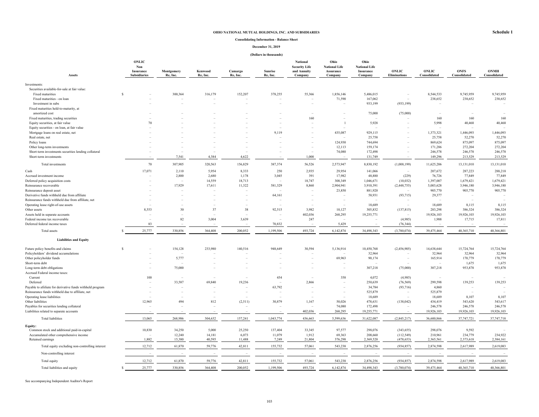#### **Consolidating Information - Balance Sheet**

#### **December 31, 2019**

#### **(Dollars in thousands)**

| <b>Assets</b>                                              | <b>ONLIC</b><br>Non<br>Insurance<br><b>Subsidiaries</b> |        | Montgomery<br>Re, Inc. | Kenwood<br>Re, Inc. | Camargo<br>Re, Inc. | <b>Sunrise</b><br>Re, Inc. | <b>National</b><br><b>Security Life</b><br>and Annuity<br>Company | Ohio<br><b>National Life</b><br>Assurance<br>Company | Ohio<br><b>National Life</b><br>Insurance<br>Company | <b>ONLIC</b><br><b>Eliminations</b> | ONLIC<br>Consolidated | <b>ONFS</b><br>Consolidated | <b>ONMH</b><br>Consolidated |
|------------------------------------------------------------|---------------------------------------------------------|--------|------------------------|---------------------|---------------------|----------------------------|-------------------------------------------------------------------|------------------------------------------------------|------------------------------------------------------|-------------------------------------|-----------------------|-----------------------------|-----------------------------|
|                                                            |                                                         |        |                        |                     |                     |                            |                                                                   |                                                      |                                                      |                                     |                       |                             |                             |
| Investments:                                               |                                                         |        |                        |                     |                     |                            |                                                                   |                                                      |                                                      |                                     |                       |                             |                             |
| Securities available-for-sale at fair value:               |                                                         |        |                        |                     |                     |                            |                                                                   |                                                      |                                                      |                                     |                       |                             |                             |
| Fixed maturities                                           | <sup>\$</sup>                                           |        | 300,364                | 316,179             | 152,207             | 378,255                    | 55,366                                                            | 1,856,146                                            | 5,486,015                                            |                                     | 8,544,533             | 9,745,959                   | 9,745,959                   |
| Fixed maturities - on loan                                 |                                                         |        |                        |                     |                     |                            |                                                                   | 71,590                                               | 167,062                                              |                                     | 238,652               | 238,652                     | 238,652                     |
| Investment in subs                                         |                                                         |        |                        |                     |                     |                            |                                                                   |                                                      | 933,199                                              | (933, 199)                          | ÷                     | ÷                           |                             |
| Fixed maturities held-to-maturity, at                      |                                                         |        |                        |                     |                     |                            |                                                                   |                                                      |                                                      |                                     |                       |                             |                             |
| amortized cost                                             |                                                         |        |                        |                     |                     |                            |                                                                   |                                                      | 75,000                                               | (75,000)                            |                       |                             |                             |
| Fixed maturities, trading securities                       |                                                         |        |                        |                     |                     |                            | 160                                                               |                                                      |                                                      |                                     | 160                   | 160                         | 160                         |
| Equity securities, at fair value                           |                                                         | 70     |                        |                     |                     |                            |                                                                   | $\mathbf{I}$                                         | 5,928                                                |                                     | 5,998                 | 40,468                      | 40,468                      |
| Equity securities - on loan, at fair value                 |                                                         |        |                        |                     |                     |                            |                                                                   |                                                      |                                                      |                                     |                       |                             |                             |
| Mortgage loans on real estate, net                         |                                                         |        |                        |                     |                     | 9,119                      |                                                                   | 435,087                                              | 929,115                                              |                                     | 1,373,321             | 1,446,093                   | 1,446,093                   |
| Real estate, net                                           |                                                         |        |                        |                     |                     |                            |                                                                   |                                                      | 25,758                                               |                                     | 25,758                | 52,270                      | 52,270                      |
| Policy loans                                               |                                                         |        |                        |                     |                     |                            |                                                                   | 124,930                                              | 744,694                                              |                                     | 869,624               | 875,097                     | 875,097                     |
| Other long-term investments                                |                                                         |        |                        |                     |                     |                            |                                                                   | 12,113                                               | 159,174                                              |                                     | 171,286               | 272,204                     | 272,204                     |
| Short-term investments securities lending collateral       |                                                         |        |                        |                     |                     |                            |                                                                   | 74,080                                               | 172,498                                              |                                     | 246,578               | 246,578                     | 246,578                     |
| Short-term investments                                     |                                                         |        | 7,541                  | 4,384               | 4,622               |                            | 1,000                                                             |                                                      | 131,749                                              |                                     | 149,296               | 213,529                     | 213,529                     |
| Total investments                                          |                                                         | 70     | 307,905                | 320,563             | 156,829             | 387,374                    | 56,526                                                            | 2,573,947                                            | 8,830,192                                            | (1,008,199)                         | 11,625,206            | 13,131,010                  | 13,131,010                  |
| Cash                                                       |                                                         | 17,071 | 2,110                  | 5,954               | 8,333               | 250                        | 2,935                                                             | 29,954                                               | 141,066                                              | $\sim$                              | 207,672               | 287,223                     | 288,218                     |
| Accrued investment income                                  |                                                         |        | 2,800                  | 2.680               | 1,178               | 3,045                      | 391                                                               | 17,982                                               | 48,880                                               | (229)                               | 76,726                | 77,849                      | 77,849                      |
| Deferred policy acquisition costs                          |                                                         |        |                        | 14,559              | 18,713              |                            | 18,747                                                            | 308,349                                              | 1,046,671                                            | (10,032)                            | 1,397,007             | 1,679,421                   | 1,679,421                   |
| Reinsurance recoverable                                    |                                                         |        | 17,929                 | 17,611              | 11,322              | 581,329                    | 8,860                                                             | 2,904,941                                            | 3,910,391                                            | (2,448,755)                         | 5,003,628             | 3,946,180                   | 3,946,180                   |
| Reinsurance deposit asset                                  |                                                         |        |                        |                     |                     |                            |                                                                   | 23,850                                               | 881,920                                              |                                     | 905,770               | 905,770                     | 905,770                     |
| Derivative funds withheld due from affiliate               |                                                         |        |                        |                     |                     | 64,161                     |                                                                   |                                                      | 58,931                                               | (93, 715)                           | 29,377                |                             |                             |
| Reinsurance funds withheld due from affiliate, net         |                                                         |        |                        |                     |                     |                            |                                                                   |                                                      |                                                      |                                     |                       |                             |                             |
| Operating lease right-of-use assets                        |                                                         |        |                        |                     |                     | ۰                          |                                                                   |                                                      | 18,689                                               | $\sim$                              | 18,689                | 8,115                       | 8,115                       |
| Other assets                                               |                                                         | 8,553  | 30                     | 37                  | 38                  | 92,515                     | 3,982                                                             | 10,127                                               | 305,832                                              | (137, 815)                          | 283,298               | 386,324                     | 386,324                     |
| Assets held in separate accounts                           |                                                         |        |                        |                     |                     |                            | 402,036                                                           | 268,295                                              | 19,255,771                                           | $\sim$                              | 19,926,103            | 19,926,103                  | 19,926,103                  |
| Federal income tax recoverable                             |                                                         |        | 82                     | 3,004               | 3,639               | ÷                          | 247                                                               |                                                      |                                                      | (4,985)                             | 1,988                 | 17,715                      | 17,811                      |
| Deferred federal income taxes                              |                                                         | 83     |                        |                     |                     | 70,832                     |                                                                   | 5,429                                                |                                                      | (76, 344)                           |                       |                             |                             |
|                                                            |                                                         |        |                        |                     |                     |                            |                                                                   |                                                      |                                                      |                                     |                       |                             |                             |
| Total assets                                               |                                                         | 25,777 | 330,856                | 364,408             | 200,052             | 1,199,506                  | 493,724                                                           | 6,142,874                                            | 34,498,343                                           | (3,780,074)                         | 39,475,464            | 40,365,710                  | 40,366,801                  |
| <b>Liabilities and Equity</b>                              |                                                         |        |                        |                     |                     |                            |                                                                   |                                                      |                                                      |                                     |                       |                             |                             |
| Future policy benefits and claims                          | <sup>\$</sup>                                           |        | 154,128                | 233,980             | 140,516             | 948,649                    | 30,594                                                            | 5,136,914                                            | 10,450,768                                           | (2,456,905)                         | 14,638,644            | 15,724,764                  | 15,724,764                  |
| Policyholders' dividend accumulations                      |                                                         |        |                        |                     |                     |                            |                                                                   |                                                      | 32,964                                               |                                     | 32,964                | 32,964                      | 32,964                      |
| Other policyholder funds                                   |                                                         |        | 5,777                  |                     |                     |                            |                                                                   | 69,963                                               | 90,174                                               | ۰                                   | 165,914               | 170,779                     | 170,779                     |
| Short-term debt                                            |                                                         |        |                        |                     |                     |                            |                                                                   |                                                      |                                                      |                                     |                       | 1,675                       | 1,675                       |
| Long-term debt obligations                                 |                                                         |        | 75,000                 |                     |                     |                            |                                                                   |                                                      | 307,218                                              | (75,000)                            | 307,218               | 953,878                     | 953,878                     |
| Accrued Federal income taxes:                              |                                                         |        |                        |                     |                     |                            |                                                                   |                                                      |                                                      |                                     |                       |                             |                             |
| Current                                                    |                                                         | 100    |                        |                     |                     | 454                        |                                                                   | 358                                                  | 4,072                                                | (4,985)                             |                       |                             |                             |
| Deferred                                                   |                                                         |        | 33,587                 | 69,840              | 19,236              |                            | 2,866                                                             |                                                      | 250,639                                              | (76, 569)                           | 299,598               | 139,253                     | 139,253                     |
| Payable to afiiliate for derivative funds withheld program |                                                         |        |                        |                     |                     | 63,792                     |                                                                   |                                                      | 34,784                                               | (93,716)                            | 4,860                 |                             |                             |
| Reinsurance funds withheld due to affiliate, net           |                                                         |        |                        |                     |                     |                            |                                                                   |                                                      | 525,879                                              |                                     | 525,879               |                             |                             |
| Operating lease liabilities                                |                                                         |        |                        |                     |                     |                            |                                                                   |                                                      | 18,689                                               |                                     | 18,689                | 8,107                       | 8,107                       |
| Other liabilities                                          |                                                         | 12,965 | 494                    | 812                 | (2,511)             | 30,879                     | 1,167                                                             | 50,026                                               | 478,631                                              | (138, 042)                          | 434,419               | 543,620                     | 543,617                     |
| Payables for securities lending collateral                 |                                                         |        |                        |                     |                     |                            |                                                                   | 74,080                                               | 172,498                                              |                                     | 246,578               | 246,578                     | 246,578                     |
| Liabilities related to separate accounts                   |                                                         |        |                        |                     |                     |                            | 402,036                                                           | 268,295                                              | 19,255,771                                           |                                     | 19,926,103            | 19,926,103                  | 19,926,103                  |
| <b>Total liabilities</b>                                   |                                                         | 13,065 | 268,986                | 304,632             | 157,241             | 1,043,774                  | 436,663                                                           | 5,599,636                                            | 31,622,087                                           | (2,845,217)                         | 36,600,866            | 37,747,721                  | 37,747,718                  |
| Equity:                                                    |                                                         |        |                        |                     |                     |                            |                                                                   |                                                      |                                                      |                                     |                       |                             |                             |
| Common stock and additional paid-in-capital                |                                                         | 10,830 | 34,250                 | 5,000               | 25,250              | 137,404                    | 33,345                                                            | 97,577                                               | 298,076                                              | (343, 655)                          | 298,076               | 9,592                       |                             |
| Accumulated other comprehensive income                     |                                                         |        | 12,240                 | 14,181              | 6,073               | 11,079                     | 1,912                                                             | 69,363                                               | 208,660                                              | (112, 549)                          | 210,961               | 234,779                     | 234,922                     |
| Retained earnings                                          |                                                         | 1,882  | 15,380                 | 40,595              | 11,488              | 7,249                      | 21,804                                                            | 376,298                                              | 2,369,520                                            | (478, 653)                          | 2,365,561             | 2,373,618                   | 2,384,161                   |
| Total equity excluding non-controlling interest            |                                                         | 12,712 | 61,870                 | 59,776              | 42,811              | 155,732                    | 57,061                                                            | 543,238                                              | 2,876,256                                            | (934, 857)                          | 2,874,598             | 2,617,989                   | 2,619,083                   |
| Non-controlling interest                                   |                                                         |        |                        |                     | $\sim$              |                            |                                                                   |                                                      |                                                      |                                     |                       |                             |                             |
| Total equity                                               |                                                         | 12,712 | 61,870                 | 59,776              | 42,811              | 155,732                    | 57,061                                                            | 543,238                                              | 2,876,256                                            | (934, 857)                          | 2,874,598             | 2,617,989                   | 2,619,083                   |
| Total liabilities and equity                               |                                                         | 25,777 | 330.856                | 364,408             | 200.052             | 1.199.506                  | 493,724                                                           | 6,142,874                                            | 34,498,343                                           | (3,780,074)                         | 39,475,464            | 40,365,710                  | 40,366,801                  |

See accompanying Independent Auditor's Report